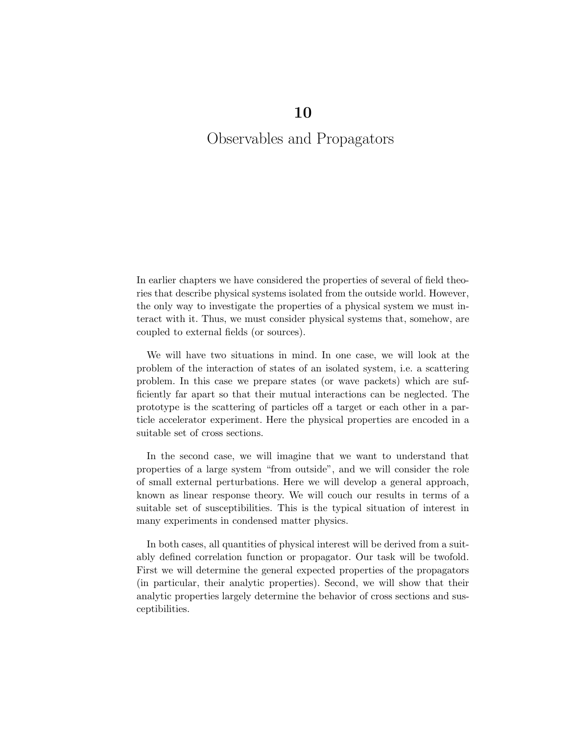# Observables and Propagators

In earlier chapters we have considered the properties of several of field theories that describe physical systems isolated from the outside world. However, the only way to investigate the properties of a physical system we must interact with it. Thus, we must consider physical systems that, somehow, are coupled to external fields (or sources).

We will have two situations in mind. In one case, we will look at the problem of the interaction of states of an isolated system, i.e. a scattering problem. In this case we prepare states (or wave packets) which are sufficiently far apart so that their mutual interactions can be neglected. The prototype is the scattering of particles off a target or each other in a particle accelerator experiment. Here the physical properties are encoded in a suitable set of cross sections.

In the second case, we will imagine that we want to understand that properties of a large system "from outside", and we will consider the role of small external perturbations. Here we will develop a general approach, known as linear response theory. We will couch our results in terms of a suitable set of susceptibilities. This is the typical situation of interest in many experiments in condensed matter physics.

In both cases, all quantities of physical interest will be derived from a suitably defined correlation function or propagator. Our task will be twofold. First we will determine the general expected properties of the propagators (in particular, their analytic properties). Second, we will show that their analytic properties largely determine the behavior of cross sections and susceptibilities.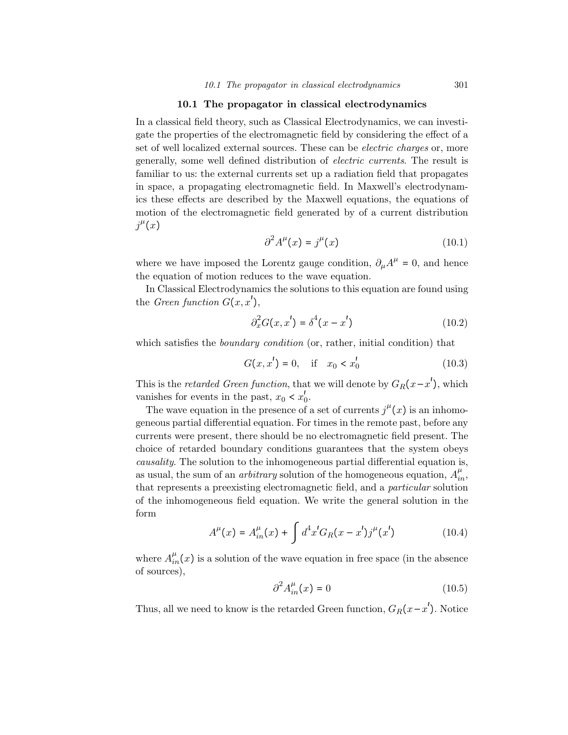#### 10.1 The propagator in classical electrodynamics

In a classical field theory, such as Classical Electrodynamics, we can investigate the properties of the electromagnetic field by considering the effect of a set of well localized external sources. These can be electric charges or, more generally, some well defined distribution of electric currents. The result is familiar to us: the external currents set up a radiation field that propagates in space, a propagating electromagnetic field. In Maxwell's electrodynamics these effects are described by the Maxwell equations, the equations of motion of the electromagnetic field generated by of a current distribution  $j^{\mu}(x)$ 

$$
\partial^2 A^\mu(x) = j^\mu(x) \tag{10.1}
$$

where we have imposed the Lorentz gauge condition,  $\partial_{\mu}A^{\mu} = 0$ , and hence the equation of motion reduces to the wave equation.

In Classical Electrodynamics the solutions to this equation are found using the *Green function*  $G(x, x')$ ,

$$
\partial_x^2 G(x, x') = \delta^4 (x - x')
$$
 (10.2)

which satisfies the *boundary condition* (or, rather, initial condition) that

$$
G(x, x') = 0, \quad \text{if} \quad x_0 < x'_0 \tag{10.3}
$$

This is the *retarded Green function*, that we will denote by  $G_R(x-x')$ , which vanishes for events in the past,  $x_0 < x'_0$ .

The wave equation in the presence of a set of currents  $j^{\mu}(x)$  is an inhomogeneous partial differential equation. For times in the remote past, before any currents were present, there should be no electromagnetic field present. The choice of retarded boundary conditions guarantees that the system obeys causality. The solution to the inhomogeneous partial differential equation is, as usual, the sum of an *arbitrary* solution of the homogeneous equation,  $A_{in}^{\mu}$ , that represents a preexisting electromagnetic field, and a particular solution of the inhomogeneous field equation. We write the general solution in the form

$$
A^{\mu}(x) = A_{in}^{\mu}(x) + \int d^4x' G_R(x - x')j^{\mu}(x')
$$
 (10.4)

where  $A_{in}^{\mu}(x)$  is a solution of the wave equation in free space (in the absence of sources),

$$
\partial^2 A_{in}^\mu(x) = 0 \tag{10.5}
$$

Thus, all we need to know is the retarded Green function,  $G_R(x-x')$ . Notice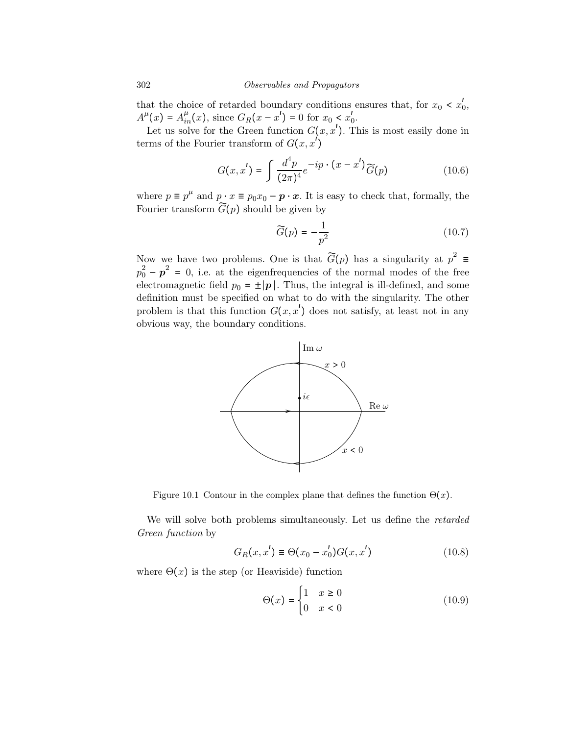that the choice of retarded boundary conditions ensures that, for  $x_0 < x'_0$ ,  $A^{\mu}(x) = A_{in}^{\mu}(x)$ , since  $G_R(x - x') = 0$  for  $x_0 < x'_0$ .

Let us solve for the Green function  $G(x, x')$ . This is most easily done in terms of the Fourier transform of  $G(x, x')$ 

$$
G(x, x') = \int \frac{d^4 p}{(2\pi)^4} e^{-ip \cdot (x - x')} \widetilde{G}(p)
$$
 (10.6)

where  $p \equiv p^{\mu}$  and  $p \cdot x \equiv p_0 x_0 - \boldsymbol{p} \cdot \boldsymbol{x}$ . It is easy to check that, formally, the Fourier transform  $\widetilde{G}(p)$  should be given by

$$
\widetilde{G}(p) = -\frac{1}{p^2} \tag{10.7}
$$

Now we have two problems. One is that  $\widetilde{G}(p)$  has a singularity at  $p^2 \equiv$  $p_0^2 - p^2 = 0$ , i.e. at the eigenfrequencies of the normal modes of the free electromagnetic field  $p_0 = \pm |\mathbf{p}|$ . Thus, the integral is ill-defined, and some definition must be specified on what to do with the singularity. The other problem is that this function  $G(x, x')$  does not satisfy, at least not in any obvious way, the boundary conditions.



Figure 10.1 Contour in the complex plane that defines the function  $\Theta(x)$ .

We will solve both problems simultaneously. Let us define the retarded Green function by

$$
G_R(x, x') \equiv \Theta(x_0 - x'_0) G(x, x')
$$
 (10.8)

where  $\Theta(x)$  is the step (or Heaviside) function

$$
\Theta(x) = \begin{cases} 1 & x \ge 0 \\ 0 & x < 0 \end{cases} \tag{10.9}
$$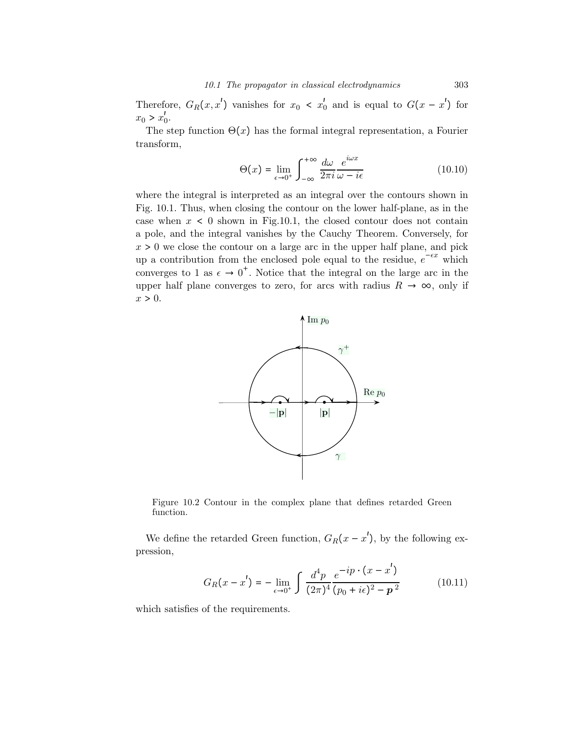Therefore,  $G_R(x, x')$  vanishes for  $x_0 < x'_0$  and is equal to  $G(x - x')$  for  $x_0 > x'_0$ .

The step function  $\Theta(x)$  has the formal integral representation, a Fourier transform,

$$
\Theta(x) = \lim_{\epsilon \to 0^+} \int_{-\infty}^{+\infty} \frac{d\omega}{2\pi i} \frac{e^{i\omega x}}{\omega - i\epsilon}
$$
 (10.10)

where the integral is interpreted as an integral over the contours shown in Fig. 10.1. Thus, when closing the contour on the lower half-plane, as in the case when  $x < 0$  shown in Fig.10.1, the closed contour does not contain a pole, and the integral vanishes by the Cauchy Theorem. Conversely, for  $x > 0$  we close the contour on a large arc in the upper half plane, and pick up a contribution from the enclosed pole equal to the residue,  $e^{-\epsilon x}$  which converges to 1 as  $\epsilon \to 0^+$ . Notice that the integral on the large arc in the upper half plane converges to zero, for arcs with radius  $R \to \infty$ , only if  $x > 0$ .



Figure 10.2 Contour in the complex plane that defines retarded Green function.

We define the retarded Green function,  $G_R(x - x')$ , by the following expression,

$$
G_R(x - x') = -\lim_{\epsilon \to 0^+} \int \frac{d^4 p}{(2\pi)^4} \frac{e^{-ip \cdot (x - x')}}{(p_0 + i\epsilon)^2 - p^2}
$$
(10.11)

which satisfies of the requirements.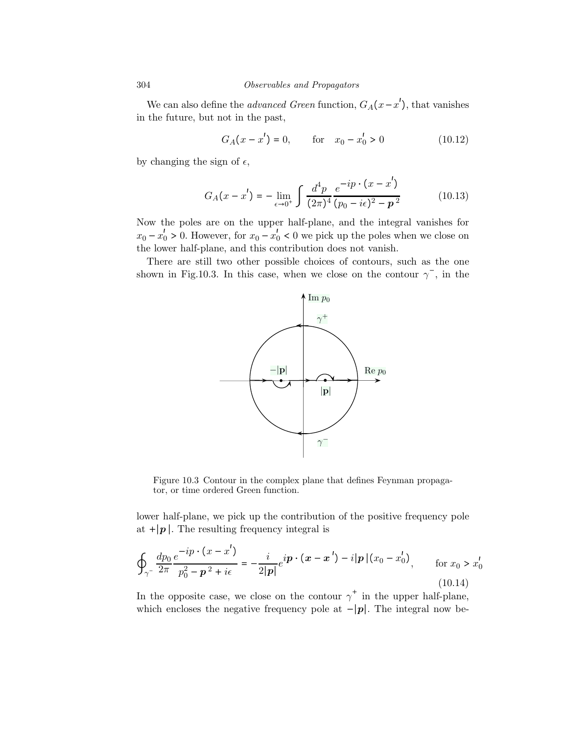304 Observables and Propagators

We can also define the *advanced Green* function,  $G_A(x-x')$ , that vanishes in the future, but not in the past,

$$
G_A(x - x') = 0, \qquad \text{for} \quad x_0 - x'_0 > 0 \tag{10.12}
$$

by changing the sign of  $\epsilon$ ,

$$
G_A(x - x') = -\lim_{\epsilon \to 0^+} \int \frac{d^4 p}{(2\pi)^4} \frac{e^{-ip \cdot (x - x')}}{(p_0 - i\epsilon)^2 - p^2}
$$
(10.13)

Now the poles are on the upper half-plane, and the integral vanishes for  $x_0 - x'_0 > 0$ . However, for  $x_0 - x'_0 < 0$  we pick up the poles when we close on the lower half-plane, and this contribution does not vanish.

There are still two other possible choices of contours, such as the one shown in Fig.10.3. In this case, when we close on the contour  $\gamma^-$ , in the



Figure 10.3 Contour in the complex plane that defines Feynman propagator, or time ordered Green function.

lower half-plane, we pick up the contribution of the positive frequency pole at  $+|\mathbf{p}|$ . The resulting frequency integral is

$$
\oint_{\gamma^-} \frac{dp_0}{2\pi} \frac{e^{-ip \cdot (x - x')}}{p_0^2 - p^2 + i\epsilon} = -\frac{i}{2|p|} e^{ip \cdot (x - x')} - i|p|(x_0 - x'_0), \quad \text{for } x_0 > x'_0
$$
\n(10.14)

In the opposite case, we close on the contour  $\gamma^+$  in the upper half-plane, which encloses the negative frequency pole at  $-|\mathbf{p}|$ . The integral now be-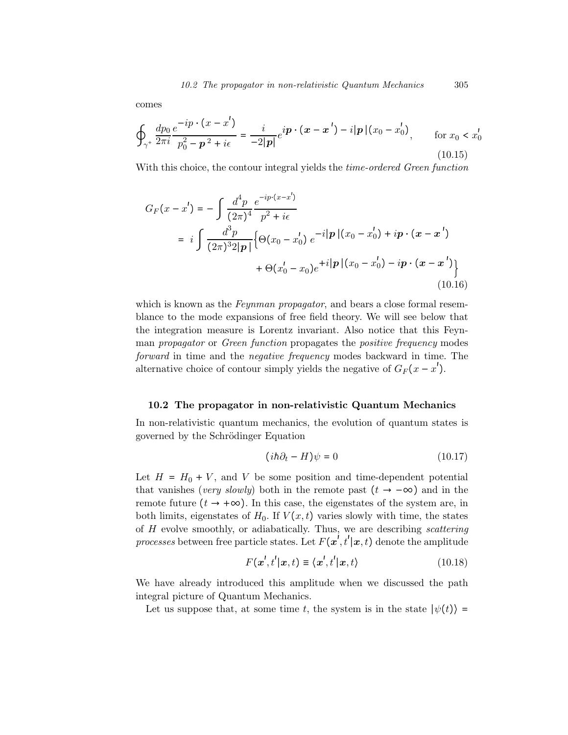comes

$$
\oint_{\gamma^+} \frac{dp_0}{2\pi i} \frac{e^{-ip \cdot (x - x')}}{p_0^2 - p^2 + i\epsilon} = \frac{i}{-2|p|} e^{ip \cdot (x - x')} - i|p|(x_0 - x'_0), \quad \text{for } x_0 < x'_0
$$
\n(10.15)

With this choice, the contour integral yields the *time-ordered Green function* 

$$
G_F(x - x') = -\int \frac{d^4 p}{(2\pi)^4} \frac{e^{-ip \cdot (x - x')}}{p^2 + i\epsilon}
$$
  
=  $i \int \frac{d^3 p}{(2\pi)^3 2|p|} \{ \Theta(x_0 - x'_0) e^{-i|p|(x_0 - x'_0) + ip \cdot (x - x')}$   
+  $\Theta(x'_0 - x_0)e^{+i|p|(x_0 - x'_0) - ip \cdot (x - x')}$  (10.16)

which is known as the Feynman propagator, and bears a close formal resemblance to the mode expansions of free field theory. We will see below that the integration measure is Lorentz invariant. Also notice that this Feynman *propagator* or *Green function* propagates the *positive frequency* modes forward in time and the negative frequency modes backward in time. The alternative choice of contour simply yields the negative of  $G_F(x - x')$ .

#### 10.2 The propagator in non-relativistic Quantum Mechanics

In non-relativistic quantum mechanics, the evolution of quantum states is governed by the Schrödinger Equation

$$
(i\hbar\partial_t - H)\psi = 0\tag{10.17}
$$

Let  $H = H_0 + V$ , and V be some position and time-dependent potential that vanishes (very slowly) both in the remote past  $(t \rightarrow -\infty)$  and in the remote future  $(t \rightarrow +\infty)$ . In this case, the eigenstates of the system are, in both limits, eigenstates of  $H_0$ . If  $V(x,t)$  varies slowly with time, the states of H evolve smoothly, or adiabatically. Thus, we are describing scattering *processes* between free particle states. Let  $F(\boldsymbol{x}^i, t' | \boldsymbol{x}, t)$  denote the amplitude

$$
F(\mathbf{x}',t'|\mathbf{x},t) \equiv \langle \mathbf{x}',t'|\mathbf{x},t \rangle \tag{10.18}
$$

We have already introduced this amplitude when we discussed the path integral picture of Quantum Mechanics.

Let us suppose that, at some time t, the system is in the state  $|\psi(t)\rangle$  =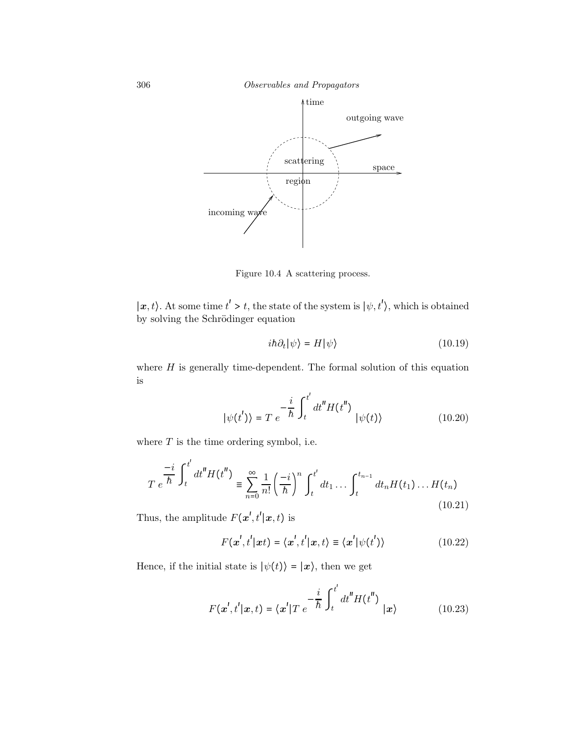306 Observables and Propagators



Figure 10.4 A scattering process.

 $|x, t\rangle$ . At some time  $t' > t$ , the state of the system is  $|\psi, t'\rangle$ , which is obtained by solving the Schrödinger equation

$$
i\hbar \partial_t |\psi\rangle = H |\psi\rangle \tag{10.19}
$$

where  $H$  is generally time-dependent. The formal solution of this equation is

$$
|\psi(t')\rangle = T e^{-\frac{i}{\hbar} \int_{t}^{t'} dt'' H(t'')} |\psi(t)\rangle
$$
 (10.20)

where  $T$  is the time ordering symbol, i.e.

$$
T e^{\frac{-i}{\hbar} \int_t^{t'} dt'' H(t'')} = \sum_{n=0}^{\infty} \frac{1}{n!} \left(\frac{-i}{\hbar}\right)^n \int_t^{t'} dt_1 \dots \int_t^{t_{n-1}} dt_n H(t_1) \dots H(t_n)
$$
\n(10.21)

Thus, the amplitude  $F(\mathbf{x}', t'|\mathbf{x}, t)$  is

$$
F(\mathbf{x}',t'|\mathbf{x}t) = \langle \mathbf{x}',t'|\mathbf{x},t \rangle \equiv \langle \mathbf{x}'|\psi(t') \rangle \tag{10.22}
$$

Hence, if the initial state is  $|\psi(t)\rangle = |x\rangle$ , then we get

$$
F(\mathbf{x}',t'|\mathbf{x},t) = \langle \mathbf{x}' | T \ e^{-\frac{i}{\hbar} \int_t^{t'} dt''} H(t'') \ | \mathbf{x} \rangle
$$
 (10.23)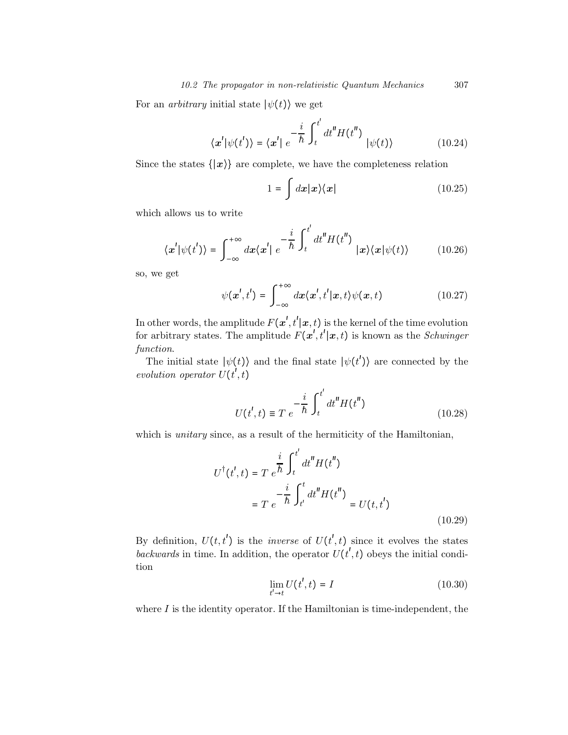For an *arbitrary* initial state  $|\psi(t)\rangle$  we get

$$
\langle \mathbf{x}' | \psi(t') \rangle = \langle \mathbf{x}' | e^{-\frac{i}{\hbar} \int_{t}^{t'} dt'' H(t'')} | \psi(t) \rangle
$$
 (10.24)

Since the states  $\{|\mathbf{x}\rangle\}$  are complete, we have the completeness relation

$$
1 = \int dx |x\rangle\langle x| \tag{10.25}
$$

which allows us to write

$$
\langle \mathbf{x}' | \psi(t') \rangle = \int_{-\infty}^{+\infty} dx \langle \mathbf{x}' | e^{-\frac{i}{\hbar} \int_{t}^{t'} dt''} H(t'') | \mathbf{x} \rangle \langle \mathbf{x} | \psi(t) \rangle
$$
 (10.26)

so, we get

$$
\psi(\mathbf{x}',t') = \int_{-\infty}^{+\infty} dx \langle \mathbf{x}',t' | \mathbf{x},t \rangle \psi(\mathbf{x},t)
$$
 (10.27)

In other words, the amplitude  $F(\mathbf{x}', t'|\mathbf{x}, t)$  is the kernel of the time evolution for arbitrary states. The amplitude  $F(\mathbf{x}', t'|\mathbf{x}, t)$  is known as the *Schwinger* function.

The initial state  $|\psi(t)\rangle$  and the final state  $|\psi(t')\rangle$  are connected by the evolution operator  $U(t^{\prime},t)$ 

$$
U(t',t) \equiv T e^{-\frac{i}{\hbar} \int_{t}^{t'} dt'' H(t'')}
$$
 (10.28)

which is *unitary* since, as a result of the hermiticity of the Hamiltonian,

$$
U^{\dagger}(t',t) = T e^{\frac{i}{\hbar} \int_{t}^{t'} dt'' H(t'')}
$$
  
=  $T e^{-\frac{i}{\hbar} \int_{t'}^{t} dt'' H(t'')} = U(t,t')$  (10.29)

By definition,  $U(t,t')$  is the *inverse* of  $U(t',t)$  since it evolves the states backwards in time. In addition, the operator  $U(t', t)$  obeys the initial condition

$$
\lim_{t' \to t} U(t', t) = I \tag{10.30}
$$

where  $I$  is the identity operator. If the Hamiltonian is time-independent, the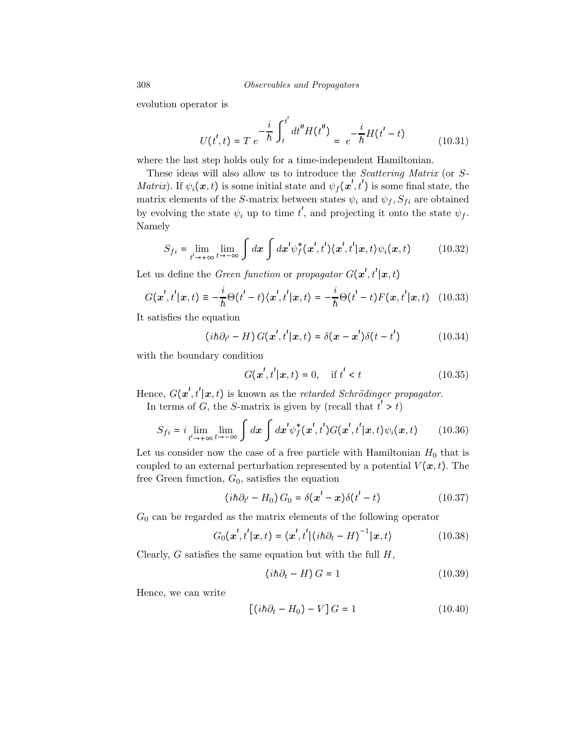308 Observables and Propagators

evolution operator is

$$
U(t',t) = T e^{-\frac{i}{\hbar} \int_{t}^{t'} dt'' H(t'')} = e^{-\frac{i}{\hbar} H(t'-t)}
$$
(10.31)

where the last step holds only for a time-independent Hamiltonian.

These ideas will also allow us to introduce the Scattering Matrix (or S-*Matrix*). If  $\psi_i(\mathbf{x}, t)$  is some initial state and  $\psi_f(\mathbf{x}', t')$  is some final state, the matrix elements of the S-matrix between states  $\psi_i$  and  $\psi_f$ ,  $S_{fi}$  are obtained by evolving the state  $\psi_i$  up to time  $t'$ , and projecting it onto the state  $\psi_f$ . Namely

$$
S_{fi} = \lim_{t' \to +\infty} \lim_{t \to -\infty} \int dx \int dx' \psi_f^*(\mathbf{x}', t') \langle \mathbf{x}', t' | \mathbf{x}, t \rangle \psi_i(\mathbf{x}, t) \tag{10.32}
$$

Let us define the *Green function* or *propagator*  $G(\boldsymbol{x}', t'|\boldsymbol{x}, t)$ 

$$
G(\mathbf{x}',t'|\mathbf{x},t) \equiv -\frac{i}{\hbar}\Theta(t'-t)\langle \mathbf{x}',t'|\mathbf{x},t\rangle = -\frac{i}{\hbar}\Theta(t'-t)F(\mathbf{x},t'|\mathbf{x},t) \quad (10.33)
$$

It satisfies the equation

$$
(i\hbar\partial_{t'} - H) G(\mathbf{x}', t'|\mathbf{x}, t) = \delta(\mathbf{x} - \mathbf{x}')\delta(t - t')
$$
 (10.34)

with the boundary condition

$$
G(\mathbf{x}',t'|\mathbf{x},t) = 0, \quad \text{if } t' < t \tag{10.35}
$$

Hence,  $G(\mathbf{x}', t' | \mathbf{x}, t)$  is known as the retarded Schrödinger propagator.

In terms of G, the S-matrix is given by (recall that  $t' > t$ )

$$
S_{fi} = i \lim_{t' \to +\infty} \lim_{t \to -\infty} \int dx \int dx' \psi_f^*(\mathbf{x}', t') G(\mathbf{x}', t'|\mathbf{x}, t) \psi_i(\mathbf{x}, t) \qquad (10.36)
$$

Let us consider now the case of a free particle with Hamiltonian  $H_0$  that is coupled to an external perturbation represented by a potential  $V(\boldsymbol{x},t)$ . The free Green function,  $G_0$ , satisfies the equation

$$
(i\hbar\partial_{t'} - H_0) G_0 = \delta(\mathbf{x'} - \mathbf{x})\delta(t' - t)
$$
 (10.37)

 $G_0$  can be regarded as the matrix elements of the following operator

$$
G_0(\boldsymbol{x}',t'|\boldsymbol{x},t) = \langle \boldsymbol{x}',t' | (\mathrm{i} \hbar \partial_t - H)^{-1} |\boldsymbol{x},t \rangle \tag{10.38}
$$

Clearly,  $G$  satisfies the same equation but with the full  $H$ ,

$$
(ih\partial_t - H)G = 1\tag{10.39}
$$

Hence, we can write

$$
[(i\hbar\partial_t - H_0) - V]G = 1 \qquad (10.40)
$$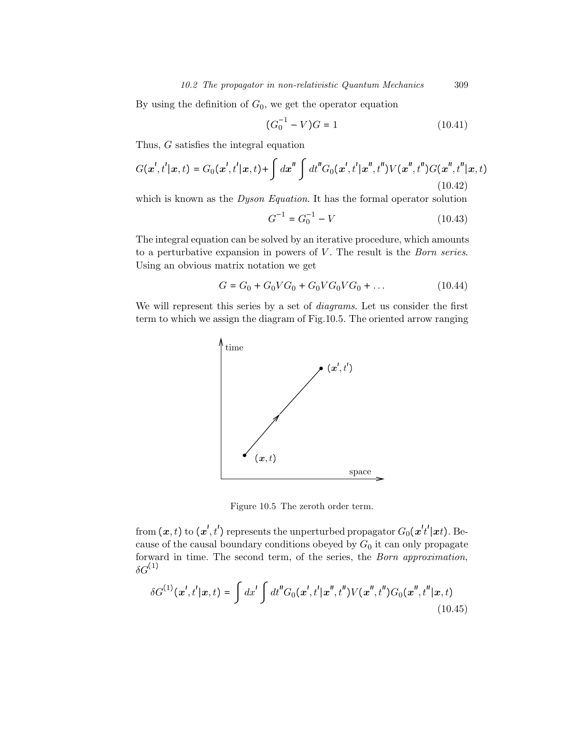By using the definition of  $G_0$ , we get the operator equation

$$
(G_0^{-1} - V)G = 1\tag{10.41}
$$

Thus, G satisfies the integral equation

$$
G(\mathbf{x}',t'|\mathbf{x},t) = G_0(\mathbf{x}',t'|\mathbf{x},t) + \int d\mathbf{x}'' \int dt'' G_0(\mathbf{x}',t'|\mathbf{x}'',t'') V(\mathbf{x}'',t'') G(\mathbf{x}'',t''|\mathbf{x},t)
$$
\n(10.42)

which is known as the *Dyson Equation*. It has the formal operator solution

$$
G^{-1} = G_0^{-1} - V \tag{10.43}
$$

The integral equation can be solved by an iterative procedure, which amounts to a perturbative expansion in powers of  $V$ . The result is the *Born series*. Using an obvious matrix notation we get

$$
G = G_0 + G_0 V G_0 + G_0 V G_0 V G_0 + \dots \tag{10.44}
$$

We will represent this series by a set of *diagrams*. Let us consider the first term to which we assign the diagram of Fig.10.5. The oriented arrow ranging



Figure 10.5 The zeroth order term.

from  $(\bm{x},t)$  to  $(\bm{x}',t')$  represents the unperturbed propagator  $G_0(\bm{x}'t'|\bm{x}t)$ . Because of the causal boundary conditions obeyed by  $G_0$  it can only propagate forward in time. The second term, of the series, the Born approximation,  $\delta G^{(1)}$ 

$$
\delta G^{(1)}(\mathbf{x}',t'|\mathbf{x},t) = \int dx' \int dt'' G_0(\mathbf{x}',t'|\mathbf{x}'',t'') V(\mathbf{x}'',t'') G_0(\mathbf{x}'',t''|\mathbf{x},t)
$$
\n(10.45)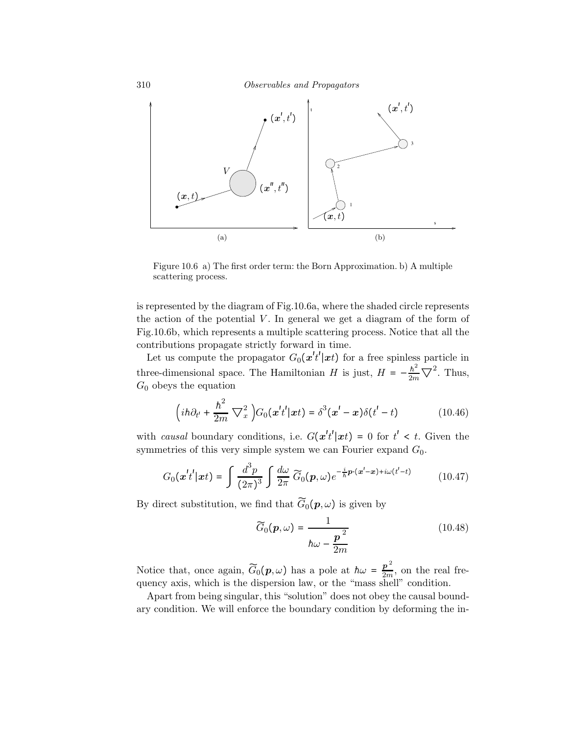

Figure 10.6 a) The first order term: the Born Approximation. b) A multiple scattering process.

is represented by the diagram of Fig.10.6a, where the shaded circle represents the action of the potential  $V$ . In general we get a diagram of the form of Fig.10.6b, which represents a multiple scattering process. Notice that all the contributions propagate strictly forward in time.

Let us compute the propagator  $G_0(\mathbf{x}^t t'|\mathbf{x}^t)$  for a free spinless particle in three-dimensional space. The Hamiltonian H is just,  $H = -\frac{\hbar^2}{2m} \nabla^2$ . Thus,  $G_0$  obeys the equation

$$
\left(i\hbar\partial_{t'}+\frac{\hbar^2}{2m}\nabla_x^2\right)G_0(\boldsymbol{x}'t'|\boldsymbol{x}t)=\delta^3(\boldsymbol{x}'-\boldsymbol{x})\delta(t'-t)
$$
\n(10.46)

with causal boundary conditions, i.e.  $G(\mathbf{x}^t t' | \mathbf{x}^t) = 0$  for  $t' < t$ . Given the symmetries of this very simple system we can Fourier expand  $G_0$ .

$$
G_0(\boldsymbol{x}^t t'|\boldsymbol{x}t) = \int \frac{d^3p}{(2\pi)^3} \int \frac{d\omega}{2\pi} \widetilde{G}_0(\boldsymbol{p}, \omega) e^{-\frac{i}{\hbar} \boldsymbol{p} \cdot (\boldsymbol{x}^t - \boldsymbol{x}) + i\omega(t^t - t)} \qquad (10.47)
$$

By direct substitution, we find that  $\widetilde{G}_0(p,\omega)$  is given by

$$
\widetilde{G}_0(\boldsymbol{p}, \omega) = \frac{1}{\hbar \omega - \frac{\boldsymbol{p}^2}{2m}}
$$
\n(10.48)

Notice that, once again,  $\widetilde{G}_0(p,\omega)$  has a pole at  $\hbar\omega = \frac{p^2}{2m}$ , on the real frequency axis, which is the dispersion law, or the "mass shell" condition.

Apart from being singular, this "solution" does not obey the causal boundary condition. We will enforce the boundary condition by deforming the in-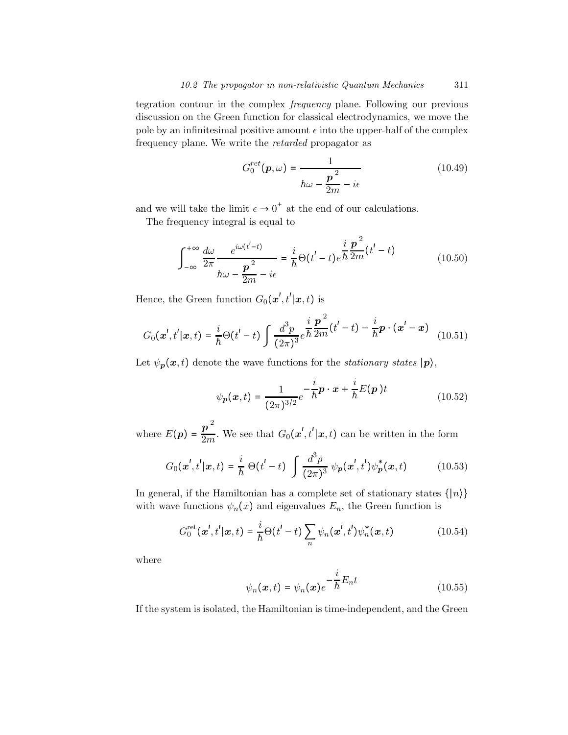tegration contour in the complex frequency plane. Following our previous discussion on the Green function for classical electrodynamics, we move the pole by an infinitesimal positive amount  $\epsilon$  into the upper-half of the complex frequency plane. We write the retarded propagator as

$$
G_0^{ret}(\boldsymbol{p}, \omega) = \frac{1}{\hbar \omega - \frac{\boldsymbol{p}^2}{2m} - i\epsilon}
$$
 (10.49)

and we will take the limit  $\epsilon \to 0^+$  at the end of our calculations.

The frequency integral is equal to

$$
\int_{-\infty}^{+\infty} \frac{d\omega}{2\pi} \frac{e^{i\omega(t'-t)}}{h\omega - \frac{p^2}{2m} - i\epsilon} = \frac{i}{\hbar} \Theta(t'-t) e^{\frac{i}{\hbar} \frac{p^2}{2m} (t'-t)}
$$
(10.50)

Hence, the Green function  $G_0(\boldsymbol{x}', t'|\boldsymbol{x}, t)$  is

$$
G_0(\mathbf{x}',t'|\mathbf{x},t) = \frac{i}{\hbar}\Theta(t'-t)\int \frac{d^3p}{(2\pi)^3}e^{\frac{i}{\hbar}\frac{\mathbf{p}^2}{2m}(t'-t) - \frac{i}{\hbar}\mathbf{p}\cdot(\mathbf{x}'-\mathbf{x})} \quad (10.51)
$$

Let  $\psi_p(x, t)$  denote the wave functions for the *stationary states*  $|p\rangle$ ,

$$
\psi_{p}(x,t) = \frac{1}{(2\pi)^{3/2}} e^{-\frac{i}{\hbar}p \cdot x + \frac{i}{\hbar}E(p)t}
$$
(10.52)

where  $E(\boldsymbol{p}) = \frac{\boldsymbol{p}^{\; 2}}{2m}$  $\frac{\boldsymbol{p}}{2m}$ . We see that  $G_0(\boldsymbol{x}', t' | \boldsymbol{x}, t)$  can be written in the form

$$
G_0(\mathbf{x}',t'|\mathbf{x},t) = \frac{i}{\hbar} \Theta(t'-t) \int \frac{d^3p}{(2\pi)^3} \psi_p(\mathbf{x}',t') \psi_p^*(\mathbf{x},t)
$$
(10.53)

In general, if the Hamiltonian has a complete set of stationary states  $\{|n\rangle\}$ with wave functions  $\psi_n(x)$  and eigenvalues  $E_n$ , the Green function is

$$
G_0^{\text{ret}}(\boldsymbol{x}',t'|\boldsymbol{x},t) = \frac{i}{\hbar} \Theta(t'-t) \sum_n \psi_n(\boldsymbol{x}',t') \psi_n^*(\boldsymbol{x},t)
$$
(10.54)

where

$$
\psi_n(\boldsymbol{x},t) = \psi_n(\boldsymbol{x})e^{-\frac{i}{\hbar}E_n t}
$$
\n(10.55)

If the system is isolated, the Hamiltonian is time-independent, and the Green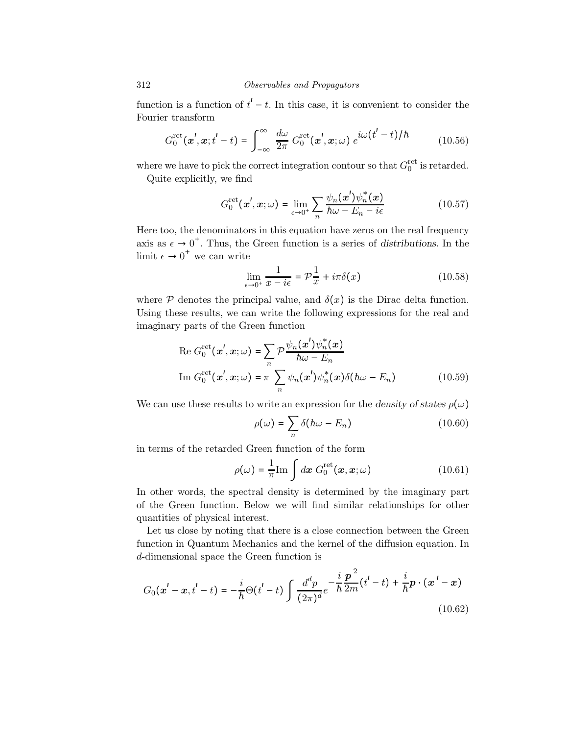function is a function of  $t'-t$ . In this case, it is convenient to consider the Fourier transform

$$
G_0^{\text{ret}}(\boldsymbol{x}', \boldsymbol{x}; t' - t) = \int_{-\infty}^{\infty} \frac{d\omega}{2\pi} G_0^{\text{ret}}(\boldsymbol{x}', \boldsymbol{x}; \omega) e^{i\omega(t' - t)/\hbar}
$$
(10.56)

where we have to pick the correct integration contour so that  $G_0^{\text{ret}}$  is retarded.

Quite explicitly, we find

$$
G_0^{\text{ret}}(\boldsymbol{x}', \boldsymbol{x}; \omega) = \lim_{\epsilon \to 0^+} \sum_n \frac{\psi_n(\boldsymbol{x}') \psi_n^*(\boldsymbol{x})}{\hbar \omega - E_n - i\epsilon}
$$
(10.57)

Here too, the denominators in this equation have zeros on the real frequency axis as  $\epsilon \to 0^+$ . Thus, the Green function is a series of distributions. In the limit  $\epsilon \to 0^+$  we can write

$$
\lim_{\epsilon \to 0^+} \frac{1}{x - i\epsilon} = \mathcal{P}\frac{1}{x} + i\pi \delta(x) \tag{10.58}
$$

where  $P$  denotes the principal value, and  $\delta(x)$  is the Dirac delta function. Using these results, we can write the following expressions for the real and imaginary parts of the Green function

Re 
$$
G_0^{\text{ret}}(\mathbf{x}', \mathbf{x}; \omega) = \sum_n \mathcal{P} \frac{\psi_n(\mathbf{x}') \psi_n^*(\mathbf{x})}{\hbar \omega - E_n}
$$
  
\nIm  $G_0^{\text{ret}}(\mathbf{x}', \mathbf{x}; \omega) = \pi \sum_n \psi_n(\mathbf{x}') \psi_n^*(\mathbf{x}) \delta(\hbar \omega - E_n)$  (10.59)

We can use these results to write an expression for the density of states  $\rho(\omega)$ 

$$
\rho(\omega) = \sum_{n} \delta(h\omega - E_n) \tag{10.60}
$$

in terms of the retarded Green function of the form

$$
\rho(\omega) = \frac{1}{\pi} \text{Im} \int dx \ G_0^{\text{ret}}(x, x; \omega) \tag{10.61}
$$

In other words, the spectral density is determined by the imaginary part of the Green function. Below we will find similar relationships for other quantities of physical interest.

Let us close by noting that there is a close connection between the Green function in Quantum Mechanics and the kernel of the diffusion equation. In d-dimensional space the Green function is

$$
G_0(\mathbf{x}' - \mathbf{x}, t' - t) = -\frac{i}{\hbar} \Theta(t' - t) \int \frac{d^d p}{(2\pi)^d} e^{-\frac{i}{\hbar} \frac{\mathbf{p}^2}{2m} (t' - t) + \frac{i}{\hbar} \mathbf{p} \cdot (\mathbf{x}' - \mathbf{x})}
$$
(10.62)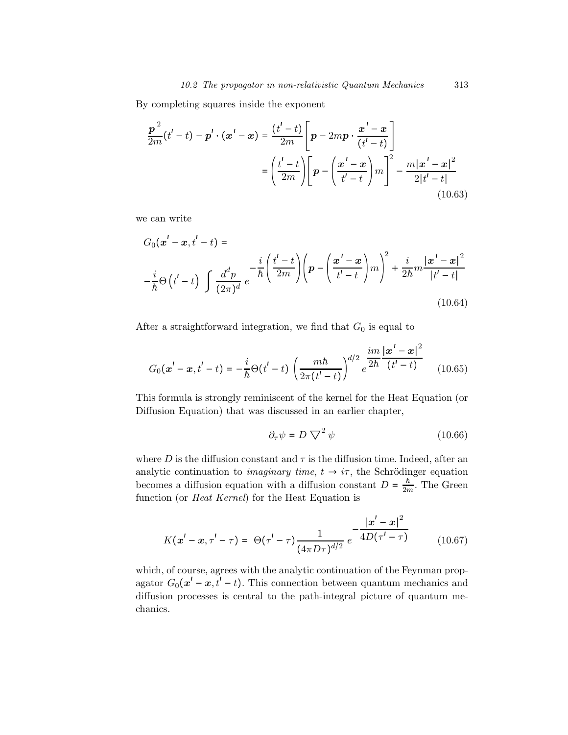By completing squares inside the exponent

$$
\frac{p^{2}}{2m}(t'-t) - p' \cdot (x'-x) = \frac{(t'-t)}{2m} \left[ p - 2mp \cdot \frac{x'-x}{(t'-t)} \right]
$$

$$
= \left( \frac{t'-t}{2m} \right) \left[ p - \left( \frac{x'-x}{t'-t} \right) m \right]^{2} - \frac{m|x'-x|^{2}}{2|t'-t|}
$$
(10.63)

we can write

$$
G_0(\mathbf{x}' - \mathbf{x}, t' - t) =
$$
  

$$
-\frac{i}{\hbar} \Theta(t' - t) \int \frac{d^d p}{(2\pi)^d} e^{-\frac{i}{\hbar} \left(\frac{t' - t}{2m}\right)} \left(p - \left(\frac{\mathbf{x}' - \mathbf{x}}{t' - t}\right) m\right)^2 + \frac{i}{2\hbar} m \frac{|\mathbf{x}' - \mathbf{x}|^2}{|t' - t|}
$$
  
(10.64)

After a straightforward integration, we find that  $G_0$  is equal to

$$
G_0(\mathbf{x}' - \mathbf{x}, t' - t) = -\frac{i}{\hbar} \Theta(t' - t) \left( \frac{mh}{2\pi(t' - t)} \right)^{d/2} e^{\frac{im}{2\hbar} \frac{|\mathbf{x}' - \mathbf{x}|^2}{(t' - t)}} \tag{10.65}
$$

This formula is strongly reminiscent of the kernel for the Heat Equation (or Diffusion Equation) that was discussed in an earlier chapter,

$$
\partial_{\tau}\psi = D\bigtriangledown^{2}\psi\tag{10.66}
$$

where D is the diffusion constant and  $\tau$  is the diffusion time. Indeed, after an analytic continuation to *imaginary time*,  $t \rightarrow i\tau$ , the Schrödinger equation becomes a diffusion equation with a diffusion constant  $D = \frac{\hbar}{2m}$ . The Green function (or *Heat Kernel*) for the Heat Equation is

$$
K(\mathbf{x}' - \mathbf{x}, \tau' - \tau) = \Theta(\tau' - \tau) \frac{1}{(4\pi D\tau)^{d/2}} e^{-\frac{|\mathbf{x}' - \mathbf{x}|^2}{4D(\tau' - \tau)}}
$$
(10.67)

which, of course, agrees with the analytic continuation of the Feynman propagator  $G_0(x'-x,t'-t)$ . This connection between quantum mechanics and diffusion processes is central to the path-integral picture of quantum mechanics.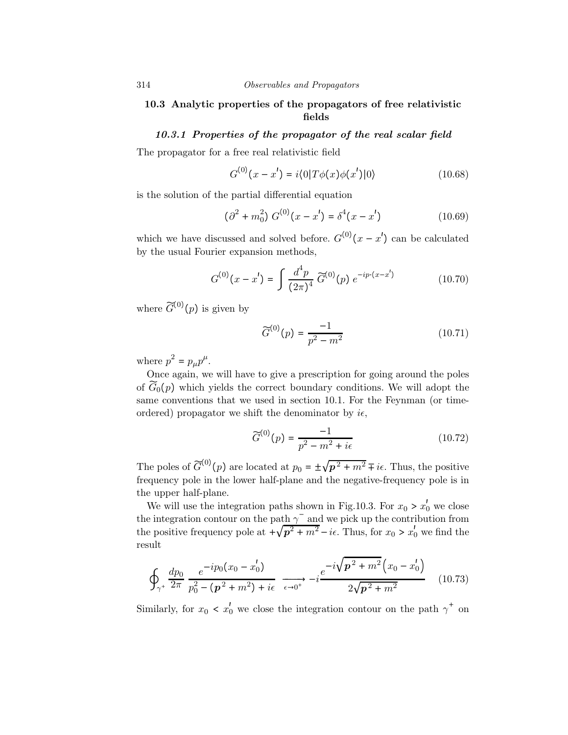# 10.3 Analytic properties of the propagators of free relativistic fields

## 10.3.1 Properties of the propagator of the real scalar field

The propagator for a free real relativistic field

$$
G^{(0)}(x - x') = i \langle 0 | T \phi(x) \phi(x') | 0 \rangle \tag{10.68}
$$

is the solution of the partial differential equation

$$
(\partial^2 + m_0^2) G^{(0)}(x - x') = \delta^4(x - x')
$$
 (10.69)

which we have discussed and solved before.  $G^{(0)}(x-x')$  can be calculated by the usual Fourier expansion methods,

$$
G^{(0)}(x-x') = \int \frac{d^4p}{(2\pi)^4} \widetilde{G}^{(0)}(p) e^{-ip \cdot (x-x')} \tag{10.70}
$$

where  $\widetilde{G}^{(0)}(p)$  is given by

$$
\widetilde{G}^{(0)}(p) = \frac{-1}{p^2 - m^2} \tag{10.71}
$$

where  $p^2 = p_\mu p^\mu$ .

Once again, we will have to give a prescription for going around the poles of  $\widetilde{G}_0(p)$  which yields the correct boundary conditions. We will adopt the same conventions that we used in section 10.1. For the Feynman (or timeordered) propagator we shift the denominator by  $i\epsilon$ ,

$$
\widetilde{G}^{(0)}(p) = \frac{-1}{p^2 - m^2 + i\epsilon} \tag{10.72}
$$

The poles of  $\widetilde{G}^{(0)}(p)$  are located at  $p_0 = \pm \sqrt{p^2 + m^2} \mp i\epsilon$ . Thus, the positive frequency pole in the lower half-plane and the negative-frequency pole is in the upper half-plane.

We will use the integration paths shown in Fig.10.3. For  $x_0 > x'_0$  we close the integration contour on the path  $\gamma^-$  and we pick up the contribution from the positive frequency pole at  $\sqrt{p^2 + m^2} - i\epsilon$ . Thus, for  $x_0 > x'_0$  we find the result

$$
\oint_{\gamma^+} \frac{dp_0}{2\pi} \frac{e^{-ip_0(x_0 - x_0')}}{p_0^2 - (\mathbf{p}^2 + m^2) + i\epsilon} \xrightarrow[\epsilon \to 0^+]{\epsilon} - i \frac{e^{-i\sqrt{\mathbf{p}^2 + m^2}(x_0 - x_0')}}{2\sqrt{\mathbf{p}^2 + m^2}} \quad (10.73)
$$

Similarly, for  $x_0 < x'_0$  we close the integration contour on the path  $\gamma^+$  on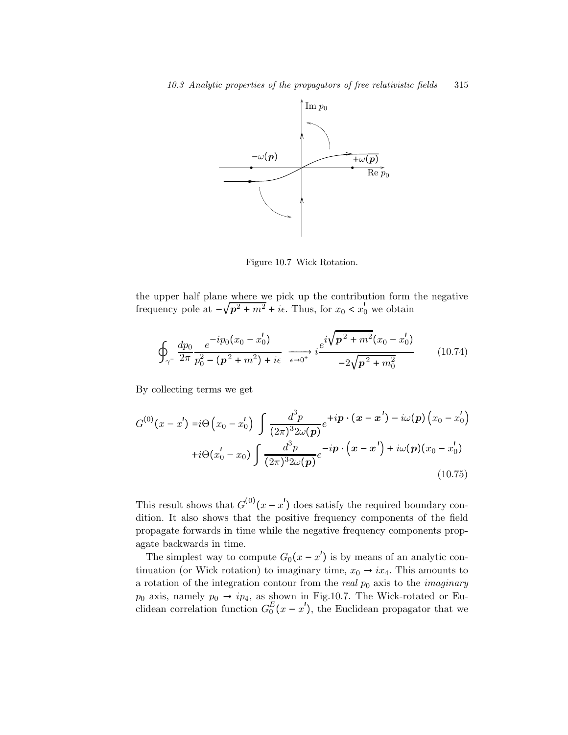

Figure 10.7 Wick Rotation.

the upper half plane where we pick up the contribution form the negative frequency pole at  $-\sqrt{p^2 + m^2} + i\epsilon$ . Thus, for  $x_0 < x'_0$  we obtain

$$
\oint_{\gamma^-} \frac{dp_0}{2\pi} \frac{e^{-ip_0(x_0 - x_0')}}{p_0^2 - (p^2 + m^2) + i\epsilon} \xrightarrow[\epsilon \to 0^+]{} i \frac{e^{i\sqrt{p^2 + m^2}(x_0 - x_0')}}{-2\sqrt{p^2 + m_0^2}} \tag{10.74}
$$

By collecting terms we get

$$
G^{(0)}(x-x') = i\Theta\left(x_0 - x'_0\right) \int \frac{d^3 p}{(2\pi)^3 2\omega(p)} e^{+ip \cdot (x-x') - i\omega(p) \cdot (x_0-x'_0)}
$$
  
+ $i\Theta(x'_0 - x_0) \int \frac{d^3 p}{(2\pi)^3 2\omega(p)} e^{-ip \cdot (x-x') + i\omega(p) (x_0-x'_0)}$   
(10.75)

This result shows that  $G^{(0)}(x-x')$  does satisfy the required boundary condition. It also shows that the positive frequency components of the field propagate forwards in time while the negative frequency components propagate backwards in time.

The simplest way to compute  $G_0(x - x')$  is by means of an analytic continuation (or Wick rotation) to imaginary time,  $x_0 \rightarrow ix_4$ . This amounts to a rotation of the integration contour from the *real*  $p_0$  axis to the *imaginary*  $p_0$  axis, namely  $p_0 \rightarrow ip_4$ , as shown in Fig.10.7. The Wick-rotated or Euclidean correlation function  $G_0^E(x - x')$ , the Euclidean propagator that we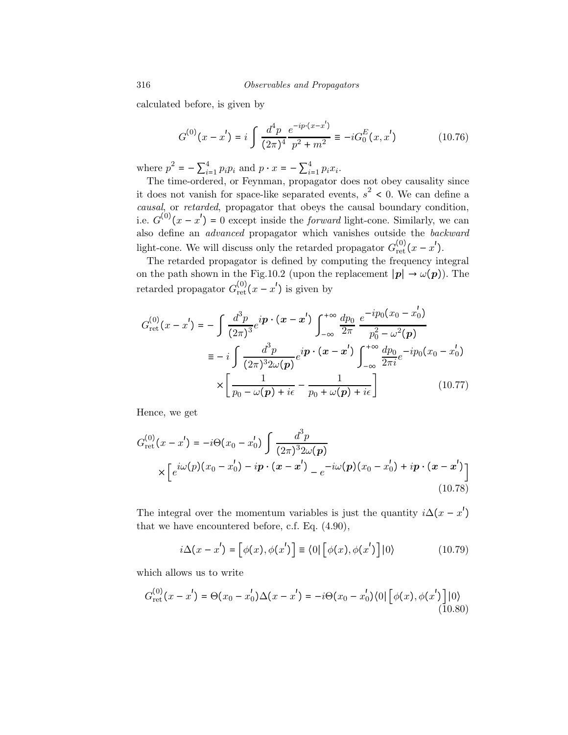calculated before, is given by

$$
G^{(0)}(x - x') = i \int \frac{d^4 p}{(2\pi)^4} \frac{e^{-ip \cdot (x - x')}}{p^2 + m^2} \equiv -i G_0^E(x, x')
$$
 (10.76)

where  $p^2 = -\sum_{i=1}^{4} p_i p_i$  and  $p \cdot x = -\sum_{i=1}^{4} p_i x_i$ .

The time-ordered, or Feynman, propagator does not obey causality since it does not vanish for space-like separated events,  $s^2$  < 0. We can define a causal, or retarded, propagator that obeys the causal boundary condition, i.e.  $G^{(0)}(x-x') = 0$  except inside the *forward* light-cone. Similarly, we can also define an advanced propagator which vanishes outside the backward light-cone. We will discuss only the retarded propagator  $G_{\text{ret}}^{(0)}(x - x')$ .

The retarded propagator is defined by computing the frequency integral on the path shown in the Fig.10.2 (upon the replacement  $|p| \to \omega(p)$ ). The retarded propagator  $G_{\text{ret}}^{(0)}(x-x')$  is given by

$$
G_{\text{ret}}^{(0)}(x - x') = -\int \frac{d^3 p}{(2\pi)^3} e^{i\mathbf{p} \cdot (\mathbf{x} - \mathbf{x}') } \int_{-\infty}^{+\infty} \frac{dp_0}{2\pi} \frac{e^{-ip_0(x_0 - x'_0)}}{p_0^2 - \omega^2(\mathbf{p})}
$$
  

$$
\equiv -i \int \frac{d^3 p}{(2\pi)^3 2\omega(\mathbf{p})} e^{i\mathbf{p} \cdot (\mathbf{x} - \mathbf{x}') } \int_{-\infty}^{+\infty} \frac{dp_0}{2\pi i} e^{-ip_0(x_0 - x'_0)}
$$
  

$$
\times \left[ \frac{1}{p_0 - \omega(\mathbf{p}) + i\epsilon} - \frac{1}{p_0 + \omega(\mathbf{p}) + i\epsilon} \right]
$$
(10.77)

Hence, we get

$$
G_{\rm ret}^{(0)}(x - x') = -i\Theta(x_0 - x'_0) \int \frac{d^3 p}{(2\pi)^3 2\omega(\mathbf{p})} \times \left[ e^{i\omega(\mathbf{p})(x_0 - x'_0) - i\mathbf{p} \cdot (\mathbf{x} - \mathbf{x}')} - e^{-i\omega(\mathbf{p})(x_0 - x'_0) + i\mathbf{p} \cdot (\mathbf{x} - \mathbf{x}')} \right]
$$
(10.78)

The integral over the momentum variables is just the quantity  $i\Delta(x - x')$ that we have encountered before, c.f. Eq. (4.90),

$$
i\Delta(x - x') = \left[\phi(x), \phi(x')\right] \equiv \langle 0|\left[\phi(x), \phi(x')\right]|0\rangle \tag{10.79}
$$

which allows us to write

$$
G_{\rm ret}^{(0)}(x-x') = \Theta(x_0 - x_0')\Delta(x-x') = -i\Theta(x_0 - x_0')\langle 0| \left[ \phi(x), \phi(x') \right] | 0 \rangle \tag{10.80}
$$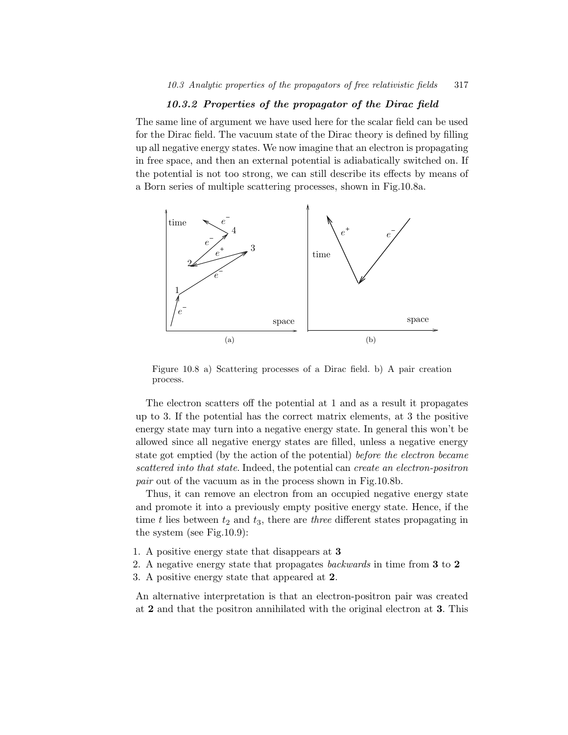### 10.3.2 Properties of the propagator of the Dirac field

The same line of argument we have used here for the scalar field can be used for the Dirac field. The vacuum state of the Dirac theory is defined by filling up all negative energy states. We now imagine that an electron is propagating in free space, and then an external potential is adiabatically switched on. If the potential is not too strong, we can still describe its effects by means of a Born series of multiple scattering processes, shown in Fig.10.8a.



Figure 10.8 a) Scattering processes of a Dirac field. b) A pair creation process.

The electron scatters off the potential at 1 and as a result it propagates up to 3. If the potential has the correct matrix elements, at 3 the positive energy state may turn into a negative energy state. In general this won't be allowed since all negative energy states are filled, unless a negative energy state got emptied (by the action of the potential) before the electron became scattered into that state. Indeed, the potential can create an electron-positron pair out of the vacuum as in the process shown in Fig.10.8b.

Thus, it can remove an electron from an occupied negative energy state and promote it into a previously empty positive energy state. Hence, if the time t lies between  $t_2$  and  $t_3$ , there are three different states propagating in the system (see Fig.10.9):

- 1. A positive energy state that disappears at 3
- 2. A negative energy state that propagates backwards in time from 3 to 2
- 3. A positive energy state that appeared at 2.

An alternative interpretation is that an electron-positron pair was created at 2 and that the positron annihilated with the original electron at 3. This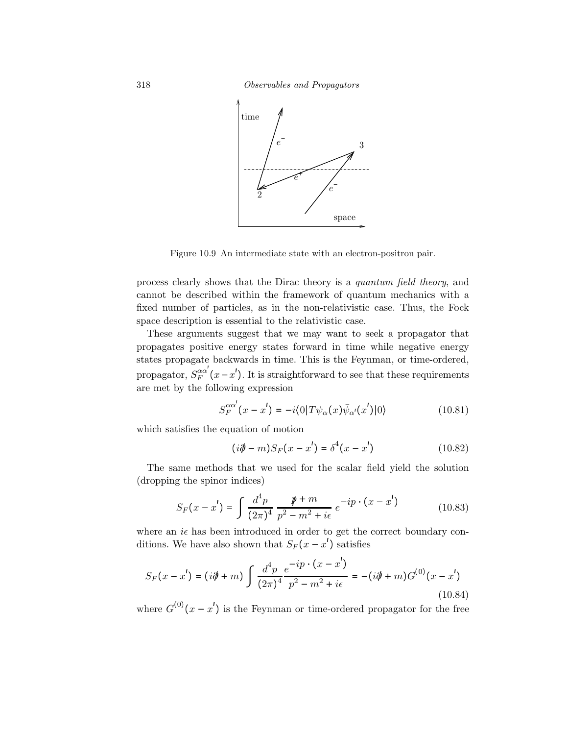318 Observables and Propagators



Figure 10.9 An intermediate state with an electron-positron pair.

process clearly shows that the Dirac theory is a quantum field theory, and cannot be described within the framework of quantum mechanics with a fixed number of particles, as in the non-relativistic case. Thus, the Fock space description is essential to the relativistic case.

These arguments suggest that we may want to seek a propagator that propagates positive energy states forward in time while negative energy states propagate backwards in time. This is the Feynman, or time-ordered, propagator,  $S_F^{\alpha\alpha'}(x-x')$ . It is straightforward to see that these requirements are met by the following expression

$$
S_F^{\alpha\alpha'}(x-x') = -i\langle 0|T\psi_\alpha(x)\bar{\psi}_{\alpha'}(x')|0\rangle \qquad (10.81)
$$

which satisfies the equation of motion

$$
(i\partial \hspace{-.5em} / -m)S_F(x-x') = \delta^4(x-x')
$$
 (10.82)

The same methods that we used for the scalar field yield the solution (dropping the spinor indices)

$$
S_F(x - x') = \int \frac{d^4 p}{(2\pi)^4} \frac{\rlap{\,/}{p + m}}{p^2 - m^2 + i\epsilon} e^{-ip \cdot (x - x')}
$$
 (10.83)

where an  $i\epsilon$  has been introduced in order to get the correct boundary conditions. We have also shown that  $S_F(x - x')$  satisfies

$$
S_F(x - x') = (i\partial + m) \int \frac{d^4 p}{(2\pi)^4} \frac{e^{-ip \cdot (x - x')}}{p^2 - m^2 + i\epsilon} = -(i\partial + m)G^{(0)}(x - x')
$$
\n(10.84)

where  $G^{(0)}(x-x')$  is the Feynman or time-ordered propagator for the free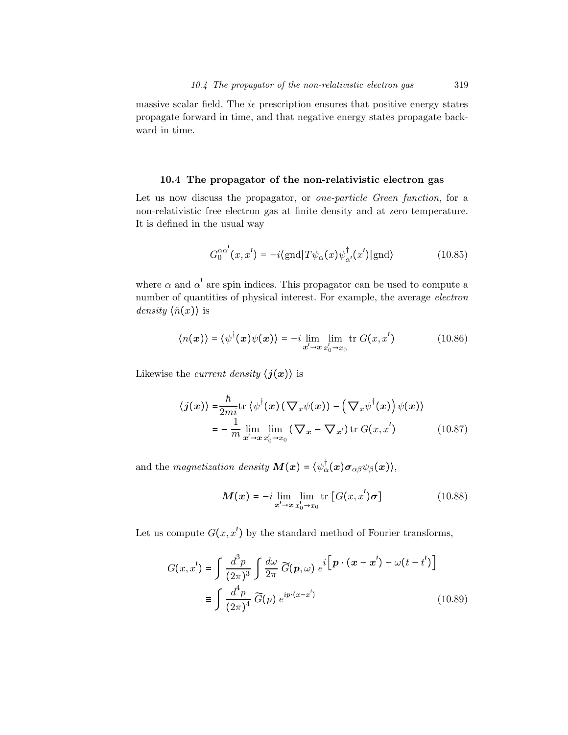massive scalar field. The  $i\epsilon$  prescription ensures that positive energy states propagate forward in time, and that negative energy states propagate backward in time.

### 10.4 The propagator of the non-relativistic electron gas

Let us now discuss the propagator, or *one-particle Green function*, for a non-relativistic free electron gas at finite density and at zero temperature. It is defined in the usual way

$$
G_0^{\alpha\alpha'}(x, x') = -i \langle \text{gnd} | T \psi_\alpha(x) \psi_{\alpha'}^\dagger(x') | \text{gnd} \rangle \tag{10.85}
$$

where  $\alpha$  and  $\alpha'$  are spin indices. This propagator can be used to compute a number of quantities of physical interest. For example, the average electron *density*  $\langle \hat{n}(x) \rangle$  is

$$
\langle n(x) \rangle = \langle \psi^{\dagger}(x) \psi(x) \rangle = -i \lim_{x' \to x} \lim_{x'_0 \to x_0} \text{tr } G(x, x')
$$
 (10.86)

Likewise the *current density*  $\langle j(x) \rangle$  is

$$
\langle j(x) \rangle = \frac{\hbar}{2mi} \text{tr} \left\{ \psi^{\dagger}(x) \left( \nabla_x \psi(x) \right) - \left( \nabla_x \psi^{\dagger}(x) \right) \psi(x) \right\}
$$

$$
= -\frac{1}{m} \lim_{x' \to x} \lim_{x'_0 \to x_0} \left( \nabla_x - \nabla_{x'} \right) \text{tr} G(x, x') \tag{10.87}
$$

and the magnetization density  $\mathbf{M}(\boldsymbol{x}) = \langle \psi_{\alpha}^{\dagger}(\boldsymbol{x}) \boldsymbol{\sigma}_{\alpha\beta} \psi_{\beta}(\boldsymbol{x}) \rangle$ ,

$$
\mathbf{M}(\mathbf{x}) = -i \lim_{\mathbf{x}' \to \mathbf{x}} \lim_{x'_0 \to x_0} \text{tr} \left[ G(x, x') \boldsymbol{\sigma} \right]
$$
(10.88)

Let us compute  $G(x, x')$  by the standard method of Fourier transforms,

$$
G(x, x') = \int \frac{d^3 p}{(2\pi)^3} \int \frac{d\omega}{2\pi} \widetilde{G}(\mathbf{p}, \omega) e^{i \left[ \mathbf{p} \cdot (\mathbf{x} - \mathbf{x}') - \omega(t - t') \right]}
$$

$$
\equiv \int \frac{d^4 p}{(2\pi)^4} \widetilde{G}(p) e^{ip \cdot (x - x')}
$$
(10.89)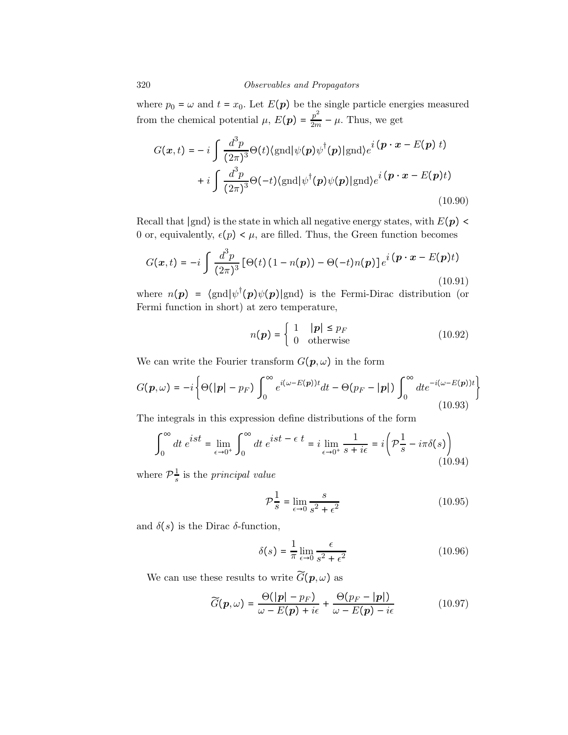#### 320 Observables and Propagators

where  $p_0 = \omega$  and  $t = x_0$ . Let  $E(p)$  be the single particle energies measured from the chemical potential  $\mu$ ,  $E(\mathbf{p}) = \frac{p^2}{2m} - \mu$ . Thus, we get

$$
G(\boldsymbol{x},t) = -i \int \frac{d^3 p}{(2\pi)^3} \Theta(t) \langle \text{gnd} | \psi(\boldsymbol{p}) \psi^\dagger(\boldsymbol{p}) | \text{gnd} \rangle e^i (\boldsymbol{p} \cdot \boldsymbol{x} - E(\boldsymbol{p}) t) + i \int \frac{d^3 p}{(2\pi)^3} \Theta(-t) \langle \text{gnd} | \psi^\dagger(\boldsymbol{p}) \psi(\boldsymbol{p}) | \text{gnd} \rangle e^i (\boldsymbol{p} \cdot \boldsymbol{x} - E(\boldsymbol{p}) t)
$$
(10.90)

Recall that  $|$ gnd $\rangle$  is the state in which all negative energy states, with  $E(p)$  < 0 or, equivalently,  $\epsilon(p) < \mu$ , are filled. Thus, the Green function becomes

$$
G(\boldsymbol{x},t) = -i \int \frac{d^3 p}{(2\pi)^3} \left[ \Theta(t) \left( 1 - n(\boldsymbol{p}) \right) - \Theta(-t) n(\boldsymbol{p}) \right] e^i \left( \boldsymbol{p} \cdot \boldsymbol{x} - E(\boldsymbol{p}) t \right)
$$
\n(10.91)

where  $n(p) = \langle \text{gnd} | \psi^{\dagger}(p) \psi(p) | \text{gnd} \rangle$  is the Fermi-Dirac distribution (or Fermi function in short) at zero temperature,

$$
n(\mathbf{p}) = \begin{cases} 1 & |\mathbf{p}| \le p_F \\ 0 & \text{otherwise} \end{cases}
$$
 (10.92)

We can write the Fourier transform  $G(p, \omega)$  in the form

$$
G(\mathbf{p},\omega) = -i \left\{ \Theta(|\mathbf{p}| - p_F) \int_0^\infty e^{i(\omega - E(\mathbf{p}))t} dt - \Theta(p_F - |\mathbf{p}|) \int_0^\infty dt e^{-i(\omega - E(\mathbf{p}))t} \right\}
$$
(10.93)

The integrals in this expression define distributions of the form

$$
\int_0^\infty dt \; e^{ist} = \lim_{\epsilon \to 0^+} \int_0^\infty dt \; e^{ist - \epsilon \; t} = i \lim_{\epsilon \to 0^+} \frac{1}{s + i\epsilon} = i \left( \mathcal{P}_s^{\frac{1}{s}} - i\pi \delta(s) \right)
$$
\n(10.94)

where  $\mathcal{P}_{s}^{\frac{1}{s}}$  is the *principal value* 

$$
\mathcal{P}\frac{1}{s} = \lim_{\epsilon \to 0} \frac{s}{s^2 + \epsilon^2} \tag{10.95}
$$

and  $\delta(s)$  is the Dirac  $\delta$ -function,

$$
\delta(s) = \frac{1}{\pi} \lim_{\epsilon \to 0} \frac{\epsilon}{s^2 + \epsilon^2}
$$
\n(10.96)

We can use these results to write  $\widetilde{G}(\boldsymbol{p},\omega)$  as

$$
\widetilde{G}(\boldsymbol{p},\omega) = \frac{\Theta(|\boldsymbol{p}| - p_F)}{\omega - E(\boldsymbol{p}) + i\epsilon} + \frac{\Theta(p_F - |\boldsymbol{p}|)}{\omega - E(\boldsymbol{p}) - i\epsilon} \tag{10.97}
$$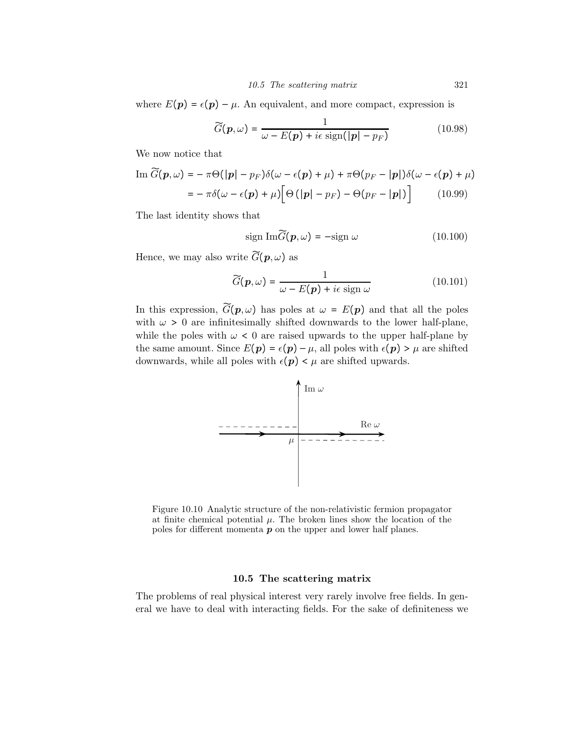where  $E(p) = \epsilon(p) - \mu$ . An equivalent, and more compact, expression is

$$
\widetilde{G}(\boldsymbol{p},\omega) = \frac{1}{\omega - E(\boldsymbol{p}) + i\epsilon \operatorname{sign}(|\boldsymbol{p}| - p_F)}
$$
(10.98)

We now notice that

$$
\operatorname{Im} \widetilde{G}(\boldsymbol{p}, \omega) = -\pi \Theta(|\boldsymbol{p}| - p_F) \delta(\omega - \epsilon(\boldsymbol{p}) + \mu) + \pi \Theta(p_F - |\boldsymbol{p}|) \delta(\omega - \epsilon(\boldsymbol{p}) + \mu)
$$

$$
= -\pi \delta(\omega - \epsilon(\boldsymbol{p}) + \mu) \Big[ \Theta(|\boldsymbol{p}| - p_F) - \Theta(p_F - |\boldsymbol{p}|) \Big] \qquad (10.99)
$$

The last identity shows that

$$
\text{sign}\ \text{Im}\widetilde{G}(\boldsymbol{p},\omega) = -\text{sign}\ \omega \tag{10.100}
$$

Hence, we may also write  $\widetilde{G}(\boldsymbol{p},\omega)$  as

$$
\widetilde{G}(\boldsymbol{p},\omega) = \frac{1}{\omega - E(\boldsymbol{p}) + i\epsilon \operatorname{sign}\omega} \tag{10.101}
$$

In this expression,  $\widetilde{G}(p,\omega)$  has poles at  $\omega = E(p)$  and that all the poles with  $\omega > 0$  are infinitesimally shifted downwards to the lower half-plane, while the poles with  $\omega < 0$  are raised upwards to the upper half-plane by the same amount. Since  $E(p) = \epsilon(p) - \mu$ , all poles with  $\epsilon(p) > \mu$  are shifted downwards, while all poles with  $\epsilon(p) < \mu$  are shifted upwards.



Figure 10.10 Analytic structure of the non-relativistic fermion propagator at finite chemical potential  $\mu$ . The broken lines show the location of the poles for different momenta  $p$  on the upper and lower half planes.

### 10.5 The scattering matrix

The problems of real physical interest very rarely involve free fields. In general we have to deal with interacting fields. For the sake of definiteness we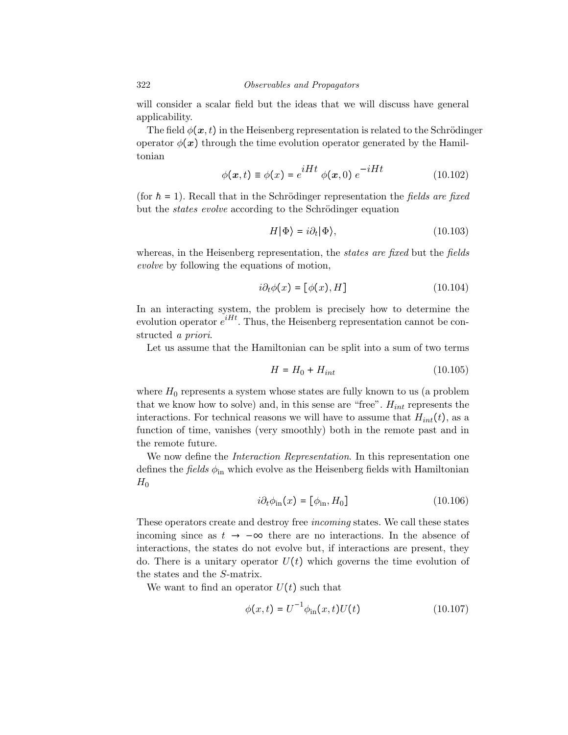will consider a scalar field but the ideas that we will discuss have general applicability.

The field  $\phi(x, t)$  in the Heisenberg representation is related to the Schrödinger operator  $\phi(x)$  through the time evolution operator generated by the Hamiltonian

$$
\phi(\mathbf{x},t) \equiv \phi(x) = e^{iHt} \phi(\mathbf{x},0) e^{-iHt}
$$
\n(10.102)

(for  $\hbar = 1$ ). Recall that in the Schrödinger representation the fields are fixed but the *states evolve* according to the Schrödinger equation

$$
H|\Phi\rangle = i\partial_t|\Phi\rangle,\tag{10.103}
$$

whereas, in the Heisenberg representation, the *states are fixed* but the *fields* evolve by following the equations of motion,

$$
i\partial_t \phi(x) = [\phi(x), H] \tag{10.104}
$$

In an interacting system, the problem is precisely how to determine the evolution operator  $e^{iHt}$ . Thus, the Heisenberg representation cannot be constructed a priori.

Let us assume that the Hamiltonian can be split into a sum of two terms

$$
H = H_0 + H_{int} \tag{10.105}
$$

where  $H_0$  represents a system whose states are fully known to us (a problem that we know how to solve) and, in this sense are "free".  $H_{int}$  represents the interactions. For technical reasons we will have to assume that  $H_{int}(t)$ , as a function of time, vanishes (very smoothly) both in the remote past and in the remote future.

We now define the *Interaction Representation*. In this representation one defines the *fields*  $\phi_{\text{in}}$  which evolve as the Heisenberg fields with Hamiltonian  $H_0$ 

$$
i\partial_t \phi_{\rm in}(x) = [\phi_{\rm in}, H_0]
$$
\n(10.106)

These operators create and destroy free incoming states. We call these states incoming since as  $t \to -\infty$  there are no interactions. In the absence of interactions, the states do not evolve but, if interactions are present, they do. There is a unitary operator  $U(t)$  which governs the time evolution of the states and the S-matrix.

We want to find an operator  $U(t)$  such that

$$
\phi(x,t) = U^{-1}\phi_{\rm in}(x,t)U(t)
$$
\n(10.107)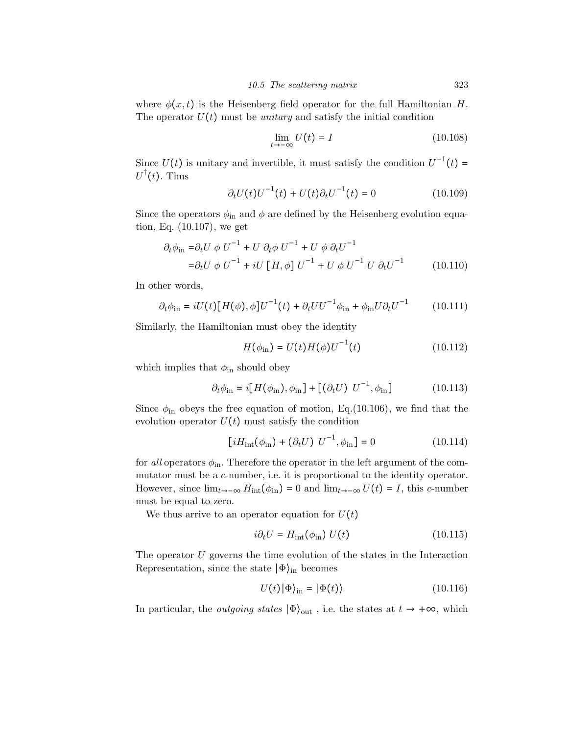where  $\phi(x, t)$  is the Heisenberg field operator for the full Hamiltonian H. The operator  $U(t)$  must be *unitary* and satisfy the initial condition

$$
\lim_{t \to -\infty} U(t) = I \tag{10.108}
$$

Since  $U(t)$  is unitary and invertible, it must satisfy the condition  $U^{-1}(t) =$  $U^{\dagger}(t)$ . Thus

$$
\partial_t U(t) U^{-1}(t) + U(t) \partial_t U^{-1}(t) = 0 \qquad (10.109)
$$

Since the operators  $\phi_{\text{in}}$  and  $\phi$  are defined by the Heisenberg evolution equation, Eq. (10.107), we get

$$
\partial_t \phi_{\rm in} = \partial_t U \, \phi \, U^{-1} + U \, \partial_t \phi \, U^{-1} + U \, \phi \, \partial_t U^{-1}
$$
  
=  $\partial_t U \, \phi \, U^{-1} + iU \, [H, \phi] \, U^{-1} + U \, \phi \, U^{-1} \, U \, \partial_t U^{-1}$  (10.110)

In other words,

$$
\partial_t \phi_{\rm in} = iU(t)[H(\phi), \phi]U^{-1}(t) + \partial_t U U^{-1} \phi_{\rm in} + \phi_{\rm in} U \partial_t U^{-1} \qquad (10.111)
$$

Similarly, the Hamiltonian must obey the identity

$$
H(\phi_{\rm in}) = U(t)H(\phi)U^{-1}(t)
$$
\n(10.112)

which implies that  $\phi_{\text{in}}$  should obey

$$
\partial_t \phi_{\rm in} = i[H(\phi_{\rm in}), \phi_{\rm in}] + [(\partial_t U) U^{-1}, \phi_{\rm in}] \tag{10.113}
$$

Since  $\phi_{\text{in}}$  obeys the free equation of motion, Eq.(10.106), we find that the evolution operator  $U(t)$  must satisfy the condition

$$
[iH_{\rm int}(\phi_{\rm in}) + (\partial_t U) U^{-1}, \phi_{\rm in}] = 0
$$
 (10.114)

for all operators  $\phi_{\text{in}}$ . Therefore the operator in the left argument of the commutator must be a *c*-number, i.e. it is proportional to the identity operator. However, since  $\lim_{t\to-\infty} H_{int}(\phi_{in}) = 0$  and  $\lim_{t\to-\infty} U(t) = I$ , this c-number must be equal to zero.

We thus arrive to an operator equation for  $U(t)$ 

$$
i\partial_t U = H_{\text{int}}(\phi_{\text{in}}) U(t) \tag{10.115}
$$

The operator  $U$  governs the time evolution of the states in the Interaction Representation, since the state  $|\Phi\rangle$ <sub>in</sub> becomes

$$
U(t)|\Phi\rangle_{\text{in}} = |\Phi(t)\rangle \tag{10.116}
$$

In particular, the *outgoing states*  $|\Phi\rangle_{\text{out}}$ , i.e. the states at  $t \to +\infty$ , which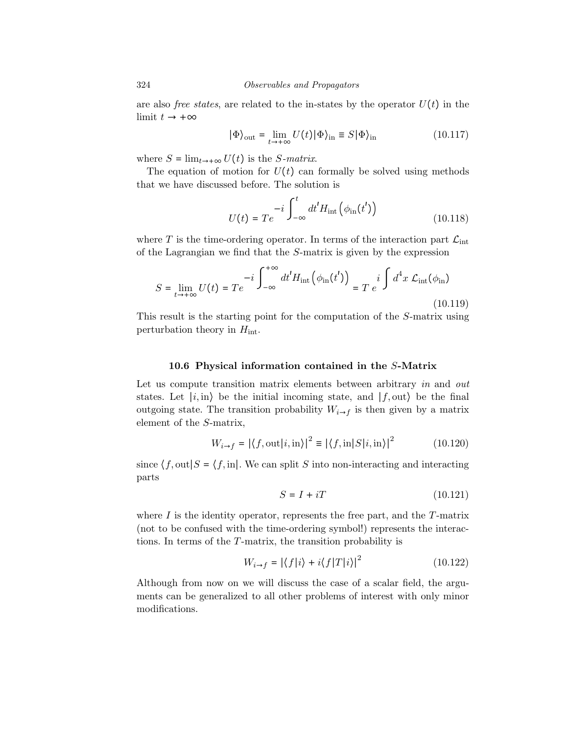are also *free states*, are related to the in-states by the operator  $U(t)$  in the limit  $t \rightarrow +\infty$ 

$$
|\Phi\rangle_{\text{out}} = \lim_{t \to +\infty} U(t) |\Phi\rangle_{\text{in}} \equiv S |\Phi\rangle_{\text{in}} \tag{10.117}
$$

where  $S = \lim_{t \to +\infty} U(t)$  is the S-matrix.

The equation of motion for  $U(t)$  can formally be solved using methods that we have discussed before. The solution is

$$
U(t) = Te^{-i\int_{-\infty}^{t} dt' H_{\rm int}(\phi_{\rm in}(t'))}
$$
\n(10.118)

where T is the time-ordering operator. In terms of the interaction part  $\mathcal{L}_{int}$ of the Lagrangian we find that the S-matrix is given by the expression

$$
S = \lim_{t \to +\infty} U(t) = Te^{-i \int_{-\infty}^{+\infty} dt' H_{\rm int}(\phi_{\rm in}(t'))} = T e^{i \int d^4 x \mathcal{L}_{\rm int}(\phi_{\rm in})}
$$
(10.119)

This result is the starting point for the computation of the S-matrix using perturbation theory in  $H_{\text{int}}$ .

## 10.6 Physical information contained in the S-Matrix

Let us compute transition matrix elements between arbitrary in and out states. Let  $|i, in\rangle$  be the initial incoming state, and  $|f, out\rangle$  be the final outgoing state. The transition probability  $W_{i\rightarrow f}$  is then given by a matrix element of the S-matrix,

$$
W_{i \to f} = |\langle f, \text{out} | i, \text{in} \rangle|^2 \equiv |\langle f, \text{in} | S | i, \text{in} \rangle|^2 \tag{10.120}
$$

since  $\langle f, \text{out} | S = \langle f, \text{in} | \rangle$ . We can split S into non-interacting and interacting parts

$$
S = I + iT \tag{10.121}
$$

where  $I$  is the identity operator, represents the free part, and the  $T$ -matrix (not to be confused with the time-ordering symbol!) represents the interactions. In terms of the T-matrix, the transition probability is

$$
W_{i \to f} = |\langle f|i \rangle + i \langle f|T|i \rangle|^2 \tag{10.122}
$$

Although from now on we will discuss the case of a scalar field, the arguments can be generalized to all other problems of interest with only minor modifications.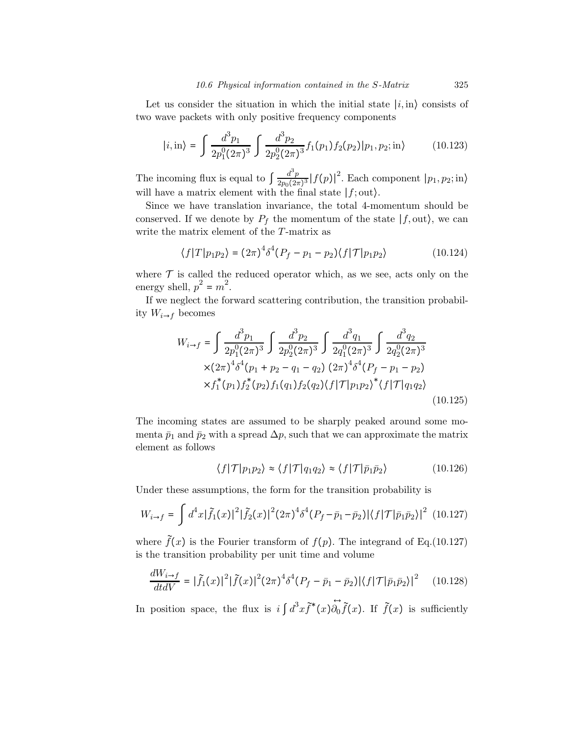Let us consider the situation in which the initial state  $|i, in\rangle$  consists of two wave packets with only positive frequency components

$$
|i, \text{in}\rangle = \int \frac{d^3 p_1}{2p_1^0 (2\pi)^3} \int \frac{d^3 p_2}{2p_2^0 (2\pi)^3} f_1(p_1) f_2(p_2) |p_1, p_2; \text{in}\rangle \tag{10.123}
$$

The incoming flux is equal to  $\int \frac{d^3p}{2p_0(2\pi)^3} |f(p)|^2$ . Each component  $|p_1, p_2; \text{in}\rangle$ will have a matrix element with the final state  $|f;$  out $\rangle$ .

Since we have translation invariance, the total 4-momentum should be conserved. If we denote by  $P_f$  the momentum of the state  $|f, \text{out}\rangle$ , we can write the matrix element of the T-matrix as

$$
\langle f|T|p_1p_2\rangle = (2\pi)^4 \delta^4 (P_f - p_1 - p_2) \langle f|T|p_1p_2\rangle \tag{10.124}
$$

where  $\mathcal T$  is called the reduced operator which, as we see, acts only on the energy shell,  $p^2 = m^2$ .

If we neglect the forward scattering contribution, the transition probability  $W_{i\rightarrow f}$  becomes

$$
W_{i\rightarrow f} = \int \frac{d^3 p_1}{2p_1^0 (2\pi)^3} \int \frac{d^3 p_2}{2p_2^0 (2\pi)^3} \int \frac{d^3 q_1}{2q_1^0 (2\pi)^3} \int \frac{d^3 q_2}{2q_2^0 (2\pi)^3}
$$
  
× $(2\pi)^4 \delta^4 (p_1 + p_2 - q_1 - q_2) (2\pi)^4 \delta^4 (P_f - p_1 - p_2)$   
× $f_1^*(p_1) f_2^*(p_2) f_1(q_1) f_2(q_2) \langle f | \mathcal{T} | p_1 p_2 \rangle^* \langle f | \mathcal{T} | q_1 q_2 \rangle$   
(10.125)

The incoming states are assumed to be sharply peaked around some momenta  $\bar{p}_1$  and  $\bar{p}_2$  with a spread  $\Delta p$ , such that we can approximate the matrix element as follows

$$
\langle f|\mathcal{T}|p_1p_2\rangle \approx \langle f|\mathcal{T}|q_1q_2\rangle \approx \langle f|\mathcal{T}|\bar{p}_1\bar{p}_2\rangle \tag{10.126}
$$

Under these assumptions, the form for the transition probability is

$$
W_{i \to f} = \int d^4x |\tilde{f}_1(x)|^2 |\tilde{f}_2(x)|^2 (2\pi)^4 \delta^4 (P_f - \bar{p}_1 - \bar{p}_2) |\langle f | \mathcal{T} | \bar{p}_1 \bar{p}_2 \rangle|^2
$$
 (10.127)

where  $\tilde{f}(x)$  is the Fourier transform of  $f(p)$ . The integrand of Eq.(10.127) is the transition probability per unit time and volume

$$
\frac{dW_{i\to f}}{dt dV} = |\tilde{f}_1(x)|^2 |\tilde{f}(x)|^2 (2\pi)^4 \delta^4 (P_f - \bar{p}_1 - \bar{p}_2) |\langle f|\mathcal{T}|\bar{p}_1 \bar{p}_2\rangle|^2 \qquad (10.128)
$$

In position space, the flux is  $i \int d^3x \tilde{f}^*(x) \tilde{\partial_0}$  $\leftrightarrow$  $f(x)$ . If  $f(x)$  is sufficiently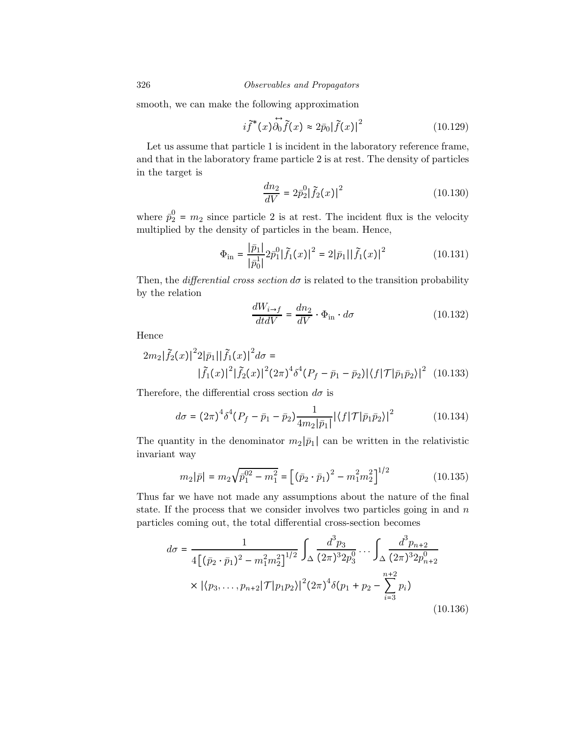smooth, we can make the following approximation

$$
i\widetilde{f}^*(x)\overrightarrow{\partial_0}\widetilde{f}(x) \approx 2\overline{p}_0|\widetilde{f}(x)|^2
$$
 (10.129)

Let us assume that particle 1 is incident in the laboratory reference frame, and that in the laboratory frame particle 2 is at rest. The density of particles in the target is

$$
\frac{dn_2}{dV} = 2\bar{p}_2^0 |\tilde{f}_2(x)|^2
$$
\n(10.130)

where  $\bar{p}_2^0 = m_2$  since particle 2 is at rest. The incident flux is the velocity multiplied by the density of particles in the beam. Hence,

$$
\Phi_{\rm in} = \frac{|\bar{p}_1|}{|\bar{p}_0^1|} 2\bar{p}_1^0 |\tilde{f}_1(x)|^2 = 2|\bar{p}_1| |\tilde{f}_1(x)|^2 \tag{10.131}
$$

Then, the *differential cross section*  $d\sigma$  is related to the transition probability by the relation

$$
\frac{dW_{i\to f}}{dt dV} = \frac{dn_2}{dV} \cdot \Phi_{\text{in}} \cdot d\sigma \qquad (10.132)
$$

Hence

$$
2m_2|\tilde{f}_2(x)|^22|\bar{p}_1||\tilde{f}_1(x)|^2d\sigma =
$$
  
 
$$
|\tilde{f}_1(x)|^2|\tilde{f}_2(x)|^2(2\pi)^4\delta^4(P_f - \bar{p}_1 - \bar{p}_2)|\langle f|\mathcal{T}|\bar{p}_1\bar{p}_2\rangle|^2
$$
 (10.133)

Therefore, the differential cross section  $d\sigma$  is

$$
d\sigma = (2\pi)^4 \delta^4 (P_f - \bar{p}_1 - \bar{p}_2) \frac{1}{4m_2 |\bar{p}_1|} |\langle f | \mathcal{T} | \bar{p}_1 \bar{p}_2 \rangle|^2 \tag{10.134}
$$

The quantity in the denominator  $m_2|\bar{p}_1|$  can be written in the relativistic invariant way

$$
m_2|\bar{p}| = m_2\sqrt{\bar{p}_1^{02} - m_1^2} = \left[ (\bar{p}_2 \cdot \bar{p}_1)^2 - m_1^2 m_2^2 \right]^{1/2}
$$
 (10.135)

Thus far we have not made any assumptions about the nature of the final state. If the process that we consider involves two particles going in and  $n$ particles coming out, the total differential cross-section becomes

$$
d\sigma = \frac{1}{4\left[\left(\bar{p}_2 \cdot \bar{p}_1\right)^2 - m_1^2 m_2^2\right]^{1/2}} \int_{\Delta} \frac{d^3 p_3}{(2\pi)^3 2p_3^0} \cdots \int_{\Delta} \frac{d^3 p_{n+2}}{(2\pi)^3 2p_{n+2}^0} \times |\langle p_3, \dots, p_{n+2} | \mathcal{T} | p_1 p_2 \rangle|^2 (2\pi)^4 \delta(p_1 + p_2 - \sum_{i=3}^{n+2} p_i) \tag{10.136}
$$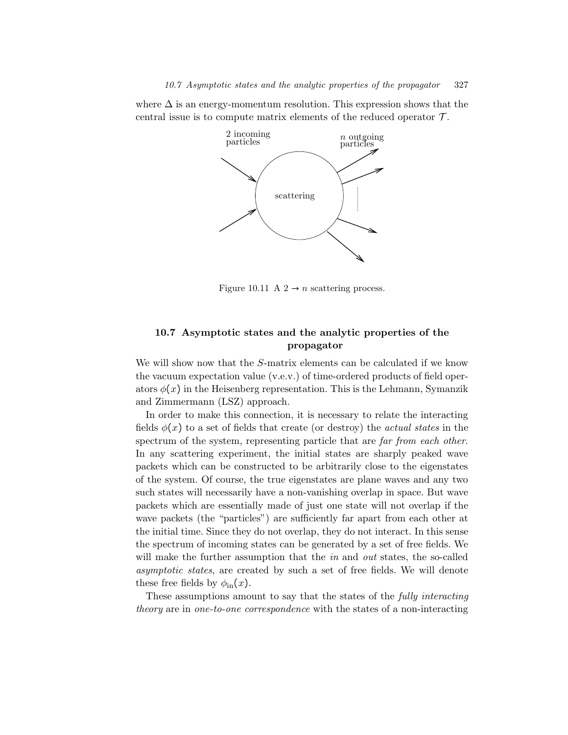where  $\Delta$  is an energy-momentum resolution. This expression shows that the central issue is to compute matrix elements of the reduced operator  $\mathcal{T}$ .



Figure 10.11 A  $2 \rightarrow n$  scattering process.

# 10.7 Asymptotic states and the analytic properties of the propagator

We will show now that the S-matrix elements can be calculated if we know the vacuum expectation value (v.e.v.) of time-ordered products of field operators  $\phi(x)$  in the Heisenberg representation. This is the Lehmann, Symanzik and Zimmermann (LSZ) approach.

In order to make this connection, it is necessary to relate the interacting fields  $\phi(x)$  to a set of fields that create (or destroy) the *actual states* in the spectrum of the system, representing particle that are far from each other. In any scattering experiment, the initial states are sharply peaked wave packets which can be constructed to be arbitrarily close to the eigenstates of the system. Of course, the true eigenstates are plane waves and any two such states will necessarily have a non-vanishing overlap in space. But wave packets which are essentially made of just one state will not overlap if the wave packets (the "particles") are sufficiently far apart from each other at the initial time. Since they do not overlap, they do not interact. In this sense the spectrum of incoming states can be generated by a set of free fields. We will make the further assumption that the  $in$  and out states, the so-called asymptotic states, are created by such a set of free fields. We will denote these free fields by  $\phi_{\rm in}(x)$ .

These assumptions amount to say that the states of the fully interacting theory are in one-to-one correspondence with the states of a non-interacting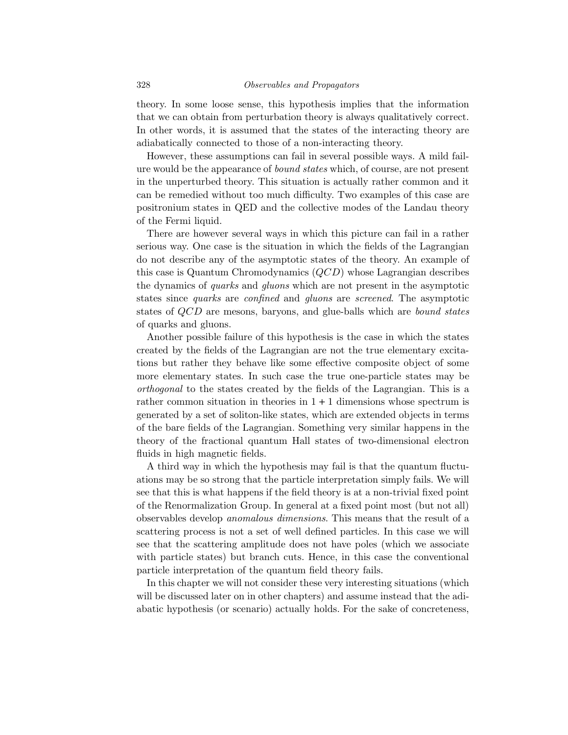theory. In some loose sense, this hypothesis implies that the information that we can obtain from perturbation theory is always qualitatively correct. In other words, it is assumed that the states of the interacting theory are adiabatically connected to those of a non-interacting theory.

However, these assumptions can fail in several possible ways. A mild failure would be the appearance of bound states which, of course, are not present in the unperturbed theory. This situation is actually rather common and it can be remedied without too much difficulty. Two examples of this case are positronium states in QED and the collective modes of the Landau theory of the Fermi liquid.

There are however several ways in which this picture can fail in a rather serious way. One case is the situation in which the fields of the Lagrangian do not describe any of the asymptotic states of the theory. An example of this case is Quantum Chromodynamics  $(QCD)$  whose Lagrangian describes the dynamics of quarks and gluons which are not present in the asymptotic states since quarks are confined and gluons are screened. The asymptotic states of *QCD* are mesons, baryons, and glue-balls which are *bound states* of quarks and gluons.

Another possible failure of this hypothesis is the case in which the states created by the fields of the Lagrangian are not the true elementary excitations but rather they behave like some effective composite object of some more elementary states. In such case the true one-particle states may be orthogonal to the states created by the fields of the Lagrangian. This is a rather common situation in theories in  $1 + 1$  dimensions whose spectrum is generated by a set of soliton-like states, which are extended objects in terms of the bare fields of the Lagrangian. Something very similar happens in the theory of the fractional quantum Hall states of two-dimensional electron fluids in high magnetic fields.

A third way in which the hypothesis may fail is that the quantum fluctuations may be so strong that the particle interpretation simply fails. We will see that this is what happens if the field theory is at a non-trivial fixed point of the Renormalization Group. In general at a fixed point most (but not all) observables develop anomalous dimensions. This means that the result of a scattering process is not a set of well defined particles. In this case we will see that the scattering amplitude does not have poles (which we associate with particle states) but branch cuts. Hence, in this case the conventional particle interpretation of the quantum field theory fails.

In this chapter we will not consider these very interesting situations (which will be discussed later on in other chapters) and assume instead that the adiabatic hypothesis (or scenario) actually holds. For the sake of concreteness,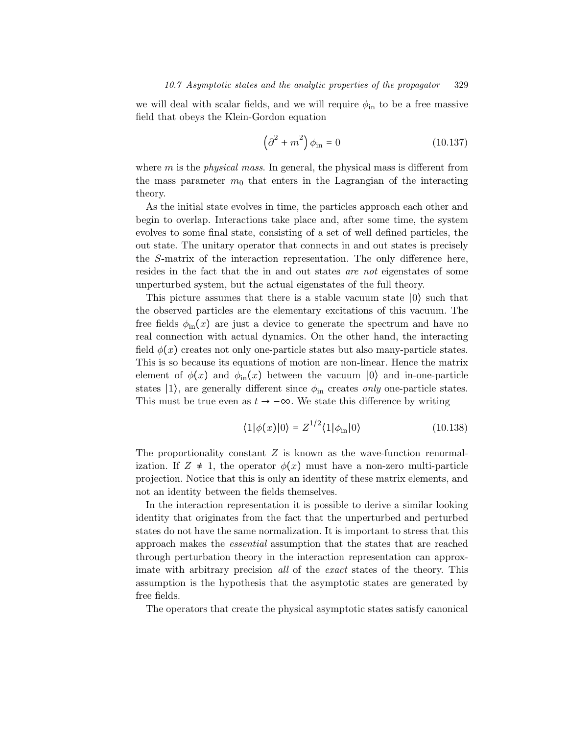we will deal with scalar fields, and we will require  $\phi_{\rm in}$  to be a free massive field that obeys the Klein-Gordon equation

$$
\left(\partial^2 + m^2\right)\phi_{\rm in} = 0\tag{10.137}
$$

where  $m$  is the *physical mass*. In general, the physical mass is different from the mass parameter  $m_0$  that enters in the Lagrangian of the interacting theory.

As the initial state evolves in time, the particles approach each other and begin to overlap. Interactions take place and, after some time, the system evolves to some final state, consisting of a set of well defined particles, the out state. The unitary operator that connects in and out states is precisely the S-matrix of the interaction representation. The only difference here, resides in the fact that the in and out states are not eigenstates of some unperturbed system, but the actual eigenstates of the full theory.

This picture assumes that there is a stable vacuum state ∣0⟩ such that the observed particles are the elementary excitations of this vacuum. The free fields  $\phi_{\rm in}(x)$  are just a device to generate the spectrum and have no real connection with actual dynamics. On the other hand, the interacting field  $\phi(x)$  creates not only one-particle states but also many-particle states. This is so because its equations of motion are non-linear. Hence the matrix element of  $\phi(x)$  and  $\phi_{\rm in}(x)$  between the vacuum  $|0\rangle$  and in-one-particle states  $|1\rangle$ , are generally different since  $\phi_{\rm in}$  creates only one-particle states. This must be true even as  $t \to -\infty$ . We state this difference by writing

$$
\langle 1|\phi(x)|0\rangle = Z^{1/2}\langle 1|\phi_{\rm in}|0\rangle \tag{10.138}
$$

The proportionality constant  $Z$  is known as the wave-function renormalization. If  $Z \neq 1$ , the operator  $\phi(x)$  must have a non-zero multi-particle projection. Notice that this is only an identity of these matrix elements, and not an identity between the fields themselves.

In the interaction representation it is possible to derive a similar looking identity that originates from the fact that the unperturbed and perturbed states do not have the same normalization. It is important to stress that this approach makes the essential assumption that the states that are reached through perturbation theory in the interaction representation can approximate with arbitrary precision all of the exact states of the theory. This assumption is the hypothesis that the asymptotic states are generated by free fields.

The operators that create the physical asymptotic states satisfy canonical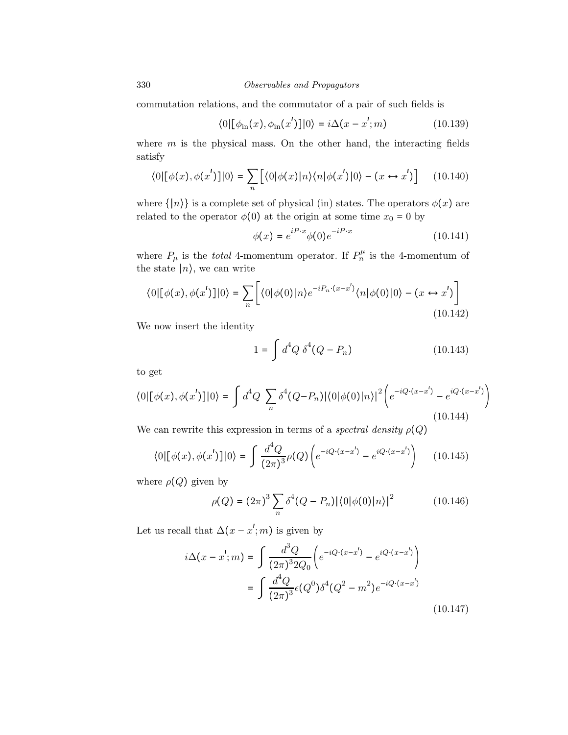commutation relations, and the commutator of a pair of such fields is

$$
\langle 0|[\phi_{\rm in}(x), \phi_{\rm in}(x')]|0\rangle = i\Delta(x - x'; m)
$$
 (10.139)

where  $m$  is the physical mass. On the other hand, the interacting fields satisfy

$$
\langle 0|[\phi(x), \phi(x')]|0\rangle = \sum_{n} [\langle 0|\phi(x)|n\rangle\langle n|\phi(x')|0\rangle - (x \leftrightarrow x')] \quad (10.140)
$$

where  $\{|n\rangle\}$  is a complete set of physical (in) states. The operators  $\phi(x)$  are related to the operator  $\phi(0)$  at the origin at some time  $x_0 = 0$  by

$$
\phi(x) = e^{iP \cdot x} \phi(0) e^{-iP \cdot x} \tag{10.141}
$$

where  $P_{\mu}$  is the *total* 4-momentum operator. If  $P_{n}^{\mu}$  is the 4-momentum of the state  $|n\rangle$ , we can write

$$
\langle 0|[\phi(x), \phi(x')]|0\rangle = \sum_{n} \left[ \langle 0|\phi(0)|n\rangle e^{-iP_n \cdot (x-x')} \langle n|\phi(0)|0\rangle - (x \leftrightarrow x') \right]
$$
\n(10.142)

We now insert the identity

$$
1 = \int d^4Q \ \delta^4(Q - P_n) \tag{10.143}
$$

to get

$$
\langle 0 | [\phi(x), \phi(x')] | 0 \rangle = \int d^4 Q \sum_n \delta^4 (Q - P_n) |\langle 0 | \phi(0) | n \rangle|^2 \left( e^{-i Q \cdot (x - x')} - e^{i Q \cdot (x - x')} \right)
$$
\n(10.144)

We can rewrite this expression in terms of a spectral density  $\rho(Q)$ 

$$
\langle 0 | [\phi(x), \phi(x')] | 0 \rangle = \int \frac{d^4Q}{(2\pi)^3} \rho(Q) \left( e^{-iQ \cdot (x - x')} - e^{iQ \cdot (x - x')} \right) \tag{10.145}
$$

where  $\rho(Q)$  given by

$$
\rho(Q) = (2\pi)^3 \sum_{n} \delta^4 (Q - P_n) |\langle 0 | \phi(0) | n \rangle|^2 \tag{10.146}
$$

Let us recall that  $\Delta(x - x'; m)$  is given by

$$
i\Delta(x - x'; m) = \int \frac{d^3Q}{(2\pi)^3 2Q_0} \left( e^{-iQ \cdot (x - x')} - e^{iQ \cdot (x - x')} \right)
$$

$$
= \int \frac{d^4Q}{(2\pi)^3} \epsilon(Q^0) \delta^4(Q^2 - m^2) e^{-iQ \cdot (x - x')}
$$
(10.147)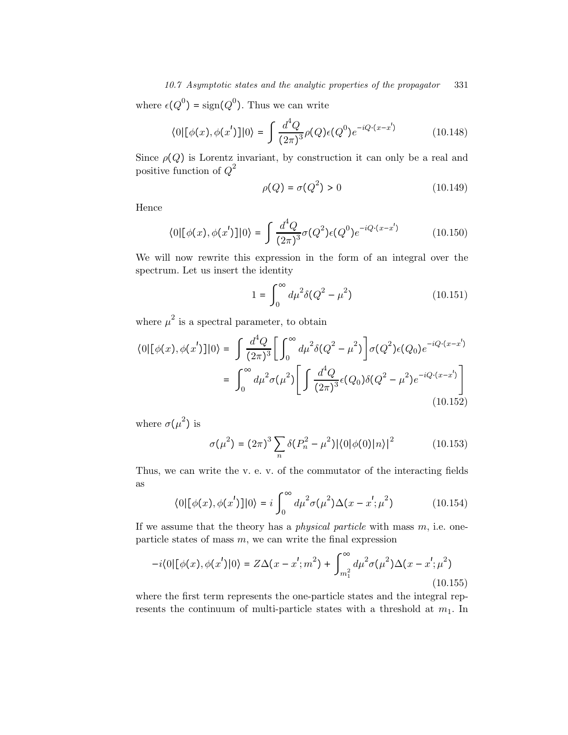10.7 Asymptotic states and the analytic properties of the propagator 331

where  $\epsilon(Q^0) = \text{sign}(Q^0)$ . Thus we can write

$$
\langle 0 | [\phi(x), \phi(x')] | 0 \rangle = \int \frac{d^4Q}{(2\pi)^3} \rho(Q) \epsilon(Q^0) e^{-iQ \cdot (x - x')} \tag{10.148}
$$

Since  $\rho(Q)$  is Lorentz invariant, by construction it can only be a real and positive function of  $Q^2$ 

$$
\rho(Q) = \sigma(Q^2) > 0 \tag{10.149}
$$

Hence

$$
\langle 0 | [\phi(x), \phi(x')] | 0 \rangle = \int \frac{d^4Q}{(2\pi)^3} \sigma(Q^2) \epsilon(Q^0) e^{-iQ \cdot (x - x')} \tag{10.150}
$$

We will now rewrite this expression in the form of an integral over the spectrum. Let us insert the identity

$$
1 = \int_0^\infty d\mu^2 \delta(Q^2 - \mu^2)
$$
 (10.151)

where  $\mu^2$  is a spectral parameter, to obtain

$$
\langle 0 | [\phi(x), \phi(x')] | 0 \rangle = \int \frac{d^4Q}{(2\pi)^3} \left[ \int_0^\infty d\mu^2 \delta(Q^2 - \mu^2) \right] \sigma(Q^2) \epsilon(Q_0) e^{-iQ \cdot (x - x')}
$$

$$
= \int_0^\infty d\mu^2 \sigma(\mu^2) \left[ \int \frac{d^4Q}{(2\pi)^3} \epsilon(Q_0) \delta(Q^2 - \mu^2) e^{-iQ \cdot (x - x')} \right]
$$
(10.152)

where  $\sigma(\mu^2)$  is

$$
\sigma(\mu^2) = (2\pi)^3 \sum_{n} \delta(P_n^2 - \mu^2) |\langle 0 | \phi(0) | n \rangle|^2 \tag{10.153}
$$

Thus, we can write the v. e. v. of the commutator of the interacting fields as

$$
\langle 0 | [\phi(x), \phi(x')] | 0 \rangle = i \int_0^\infty d\mu^2 \sigma(\mu^2) \Delta(x - x'; \mu^2)
$$
 (10.154)

If we assume that the theory has a *physical particle* with mass  $m$ , i.e. oneparticle states of mass  $m$ , we can write the final expression

$$
-i\langle 0|[\phi(x), \phi(x')]0\rangle = Z\Delta(x - x'; m^2) + \int_{m_1^2}^{\infty} d\mu^2 \sigma(\mu^2) \Delta(x - x'; \mu^2)
$$
\n(10.155)

where the first term represents the one-particle states and the integral represents the continuum of multi-particle states with a threshold at  $m_1$ . In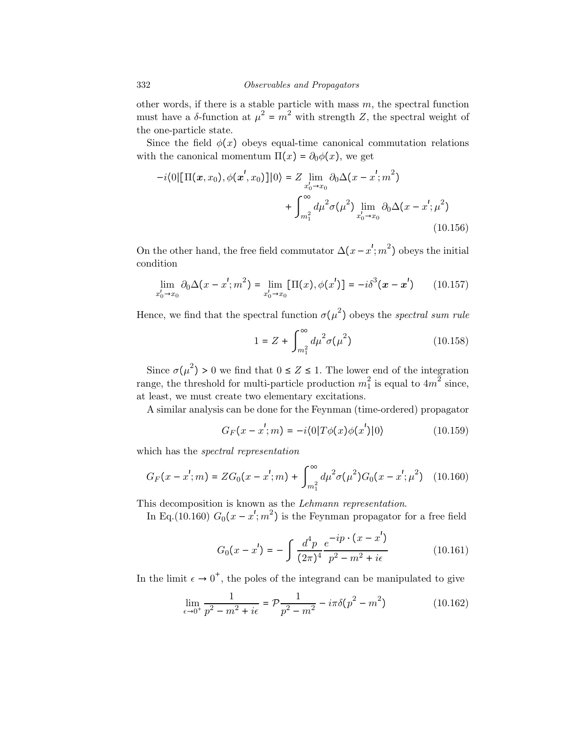other words, if there is a stable particle with mass  $m$ , the spectral function must have a  $\delta$ -function at  $\mu^2 = m^2$  with strength Z, the spectral weight of the one-particle state.

Since the field  $\phi(x)$  obeys equal-time canonical commutation relations with the canonical momentum  $\Pi(x) = \partial_0 \phi(x)$ , we get

$$
-i\langle 0|[\Pi(\bm{x}, x_0), \phi(\bm{x}', x_0)]|0\rangle = Z \lim_{x'_0 \to x_0} \partial_0 \Delta(x - x'; m^2) + \int_{m_1^2}^{\infty} d\mu^2 \sigma(\mu^2) \lim_{x'_0 \to x_0} \partial_0 \Delta(x - x'; \mu^2)
$$
\n(10.156)

On the other hand, the free field commutator  $\Delta(x - x'; m^2)$  obeys the initial condition

$$
\lim_{x_0' \to x_0} \partial_0 \Delta(x - x'; m^2) = \lim_{x_0' \to x_0} [\Pi(x), \phi(x')] = -i \delta^3(x - x')
$$
 (10.157)

Hence, we find that the spectral function  $\sigma(\mu^2)$  obeys the spectral sum rule

$$
1 = Z + \int_{m_1^2}^{\infty} d\mu^2 \sigma(\mu^2)
$$
 (10.158)

Since  $\sigma(\mu^2) > 0$  we find that  $0 \le Z \le 1$ . The lower end of the integration range, the threshold for multi-particle production  $m_1^2$  is equal to  $4m^2$  since, at least, we must create two elementary excitations.

A similar analysis can be done for the Feynman (time-ordered) propagator

$$
G_F(x - x'; m) = -i \langle 0|T\phi(x)\phi(x')|0\rangle \qquad (10.159)
$$

which has the spectral representation

$$
G_F(x - x'; m) = ZG_0(x - x'; m) + \int_{m_1^2}^{\infty} d\mu^2 \sigma(\mu^2) G_0(x - x'; \mu^2)
$$
 (10.160)

This decomposition is known as the Lehmann representation.

In Eq.(10.160)  $G_0(x - x'; m^2)$  is the Feynman propagator for a free field

$$
G_0(x - x') = -\int \frac{d^4 p}{(2\pi)^4} \frac{e^{-ip \cdot (x - x')}}{p^2 - m^2 + i\epsilon} \tag{10.161}
$$

In the limit  $\epsilon \to 0^+$ , the poles of the integrand can be manipulated to give

$$
\lim_{\epsilon \to 0^+} \frac{1}{p^2 - m^2 + i\epsilon} = \mathcal{P} \frac{1}{p^2 - m^2} - i\pi \delta(p^2 - m^2)
$$
 (10.162)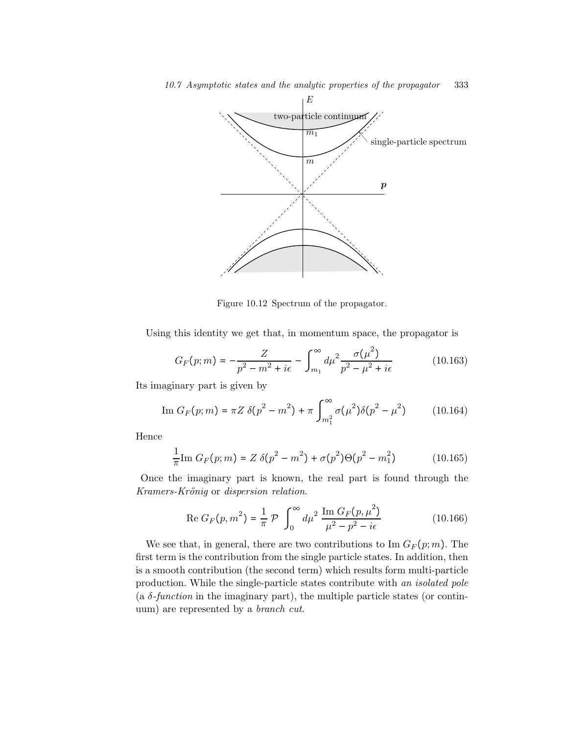

Figure 10.12 Spectrum of the propagator.

Using this identity we get that, in momentum space, the propagator is

$$
G_F(p;m) = -\frac{Z}{p^2 - m^2 + i\epsilon} - \int_{m_1}^{\infty} d\mu^2 \frac{\sigma(\mu^2)}{p^2 - \mu^2 + i\epsilon}
$$
 (10.163)

Its imaginary part is given by

Im 
$$
G_F(p; m) = \pi Z \delta(p^2 - m^2) + \pi \int_{m_1^2}^{\infty} \sigma(\mu^2) \delta(p^2 - \mu^2)
$$
 (10.164)

Hence

$$
\frac{1}{\pi} \text{Im} \, G_F(p; m) = Z \, \delta(p^2 - m^2) + \sigma(p^2) \Theta(p^2 - m_1^2) \tag{10.165}
$$

Once the imaginary part is known, the real part is found through the Kramers-Krönig or dispersion relation.

Re 
$$
G_F(p, m^2) = \frac{1}{\pi} \mathcal{P} \int_0^{\infty} d\mu^2 \frac{\text{Im } G_F(p, \mu^2)}{\mu^2 - p^2 - i\epsilon}
$$
 (10.166)

We see that, in general, there are two contributions to Im  $G_F(p;m)$ . The first term is the contribution from the single particle states. In addition, then is a smooth contribution (the second term) which results form multi-particle production. While the single-particle states contribute with an isolated pole (a  $\delta$ -function in the imaginary part), the multiple particle states (or continuum) are represented by a branch cut.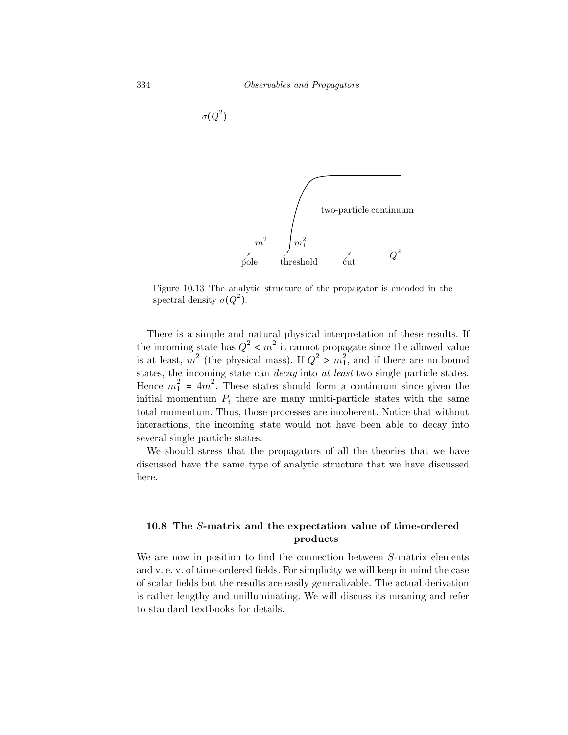334 Observables and Propagators



Figure 10.13 The analytic structure of the propagator is encoded in the spectral density  $\sigma(Q^2)$ .

There is a simple and natural physical interpretation of these results. If the incoming state has  $Q^2 < m^2$  it cannot propagate since the allowed value is at least,  $m^2$  (the physical mass). If  $Q^2 > m_1^2$ , and if there are no bound states, the incoming state can decay into at least two single particle states. Hence  $m_1^2 = 4m^2$ . These states should form a continuum since given the initial momentum  $P_i$  there are many multi-particle states with the same total momentum. Thus, those processes are incoherent. Notice that without interactions, the incoming state would not have been able to decay into several single particle states.

We should stress that the propagators of all the theories that we have discussed have the same type of analytic structure that we have discussed here.

## 10.8 The S-matrix and the expectation value of time-ordered products

We are now in position to find the connection between S-matrix elements and v. e. v. of time-ordered fields. For simplicity we will keep in mind the case of scalar fields but the results are easily generalizable. The actual derivation is rather lengthy and unilluminating. We will discuss its meaning and refer to standard textbooks for details.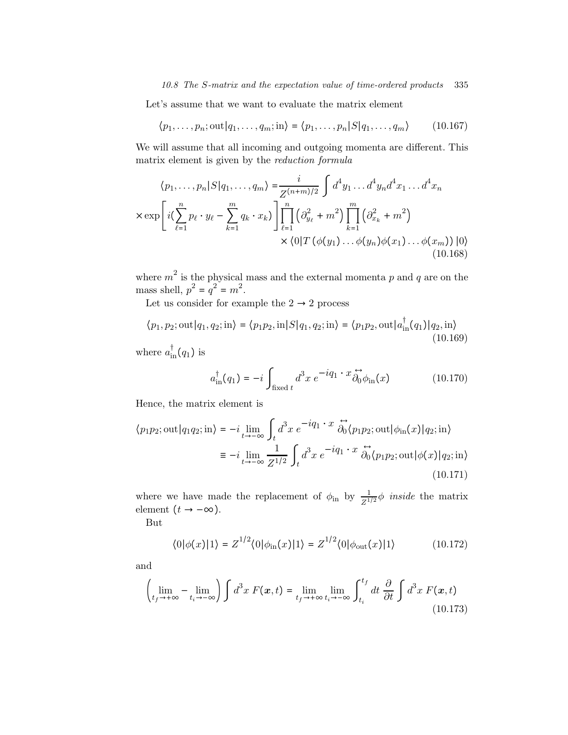Let's assume that we want to evaluate the matrix element

$$
\langle p_1, \dots, p_n; \text{out}|q_1, \dots, q_m; \text{in} \rangle = \langle p_1, \dots, p_n | S | q_1, \dots, q_m \rangle \tag{10.167}
$$

We will assume that all incoming and outgoing momenta are different. This matrix element is given by the reduction formula

$$
\langle p_1, \dots, p_n | S | q_1, \dots, q_m \rangle = \frac{i}{Z^{(n+m)/2}} \int d^4 y_1 \dots d^4 y_n d^4 x_1 \dots d^4 x_n
$$
  

$$
\times \exp \left[ i \left( \sum_{\ell=1}^n p_\ell \cdot y_\ell - \sum_{k=1}^m q_k \cdot x_k \right) \right] \prod_{\ell=1}^n \left( \partial_{y_\ell}^2 + m^2 \right) \prod_{k=1}^m \left( \partial_{x_k}^2 + m^2 \right)
$$
  

$$
\times \langle 0 | T \left( \phi(y_1) \dots \phi(y_n) \phi(x_1) \dots \phi(x_m) \right) | 0 \rangle
$$
  
(10.168)

where  $m^2$  is the physical mass and the external momenta p and q are on the mass shell,  $p^2 = q^2 = m^2$ .

Let us consider for example the  $2\to 2$  process

$$
\langle p_1, p_2; \text{out}|q_1, q_2; \text{in}\rangle = \langle p_1 p_2, \text{in}|S|q_1, q_2; \text{in}\rangle = \langle p_1 p_2, \text{out}|a_{\text{in}}^\dagger(q_1)|q_2, \text{in}\rangle
$$
\n(10.169)

where  $a^{\dagger}_{\text{in}}(q_1)$  is

$$
a_{\rm in}^{\dagger}(q_1) = -i \int_{\text{fixed }t} d^3x \ e^{-iq_1 \cdot x} \overleftrightarrow{\partial_0} \phi_{\rm in}(x) \tag{10.170}
$$

Hence, the matrix element is

$$
\langle p_1 p_2; \text{out} | q_1 q_2; \text{in} \rangle = -i \lim_{t \to -\infty} \int_t d^3 x \ e^{-iq_1 \cdot x} \overleftrightarrow{\partial_0} \langle p_1 p_2; \text{out} | \phi_{\text{in}}(x) | q_2; \text{in} \rangle
$$
  

$$
\equiv -i \lim_{t \to -\infty} \frac{1}{Z^{1/2}} \int_t d^3 x \ e^{-iq_1 \cdot x} \overleftrightarrow{\partial_0} \langle p_1 p_2; \text{out} | \phi(x) | q_2; \text{in} \rangle
$$
  
(10.171)

where we have made the replacement of  $\phi_{\text{in}}$  by  $\frac{1}{Z^{1/2}}\phi$  *inside* the matrix element  $\bigl(t\to-\infty\bigr).$ 

But

$$
\langle 0|\phi(x)|1\rangle = Z^{1/2}\langle 0|\phi_{\rm in}(x)|1\rangle = Z^{1/2}\langle 0|\phi_{\rm out}(x)|1\rangle \tag{10.172}
$$

and

$$
\left(\lim_{t_f \to +\infty} - \lim_{t_i \to -\infty} \right) \int d^3x \ F(\mathbf{x}, t) = \lim_{t_f \to +\infty} \lim_{t_i \to -\infty} \int_{t_i}^{t_f} dt \ \frac{\partial}{\partial t} \int d^3x \ F(\mathbf{x}, t)
$$
\n(10.173)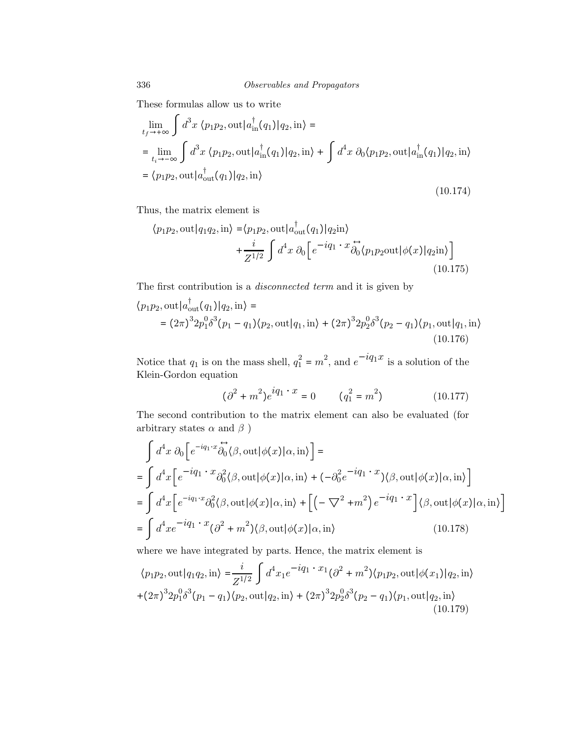These formulas allow us to write

$$
\lim_{t_f \to +\infty} \int d^3x \langle p_1 p_2, \text{out} | a_{\text{in}}^\dagger(q_1) | q_2, \text{in} \rangle =
$$
\n
$$
= \lim_{t_i \to -\infty} \int d^3x \langle p_1 p_2, \text{out} | a_{\text{in}}^\dagger(q_1) | q_2, \text{in} \rangle + \int d^4x \partial_0 \langle p_1 p_2, \text{out} | a_{\text{in}}^\dagger(q_1) | q_2, \text{in} \rangle
$$
\n
$$
= \langle p_1 p_2, \text{out} | a_{\text{out}}^\dagger(q_1) | q_2, \text{in} \rangle
$$
\n(10.174)

Thus, the matrix element is

$$
\langle p_1 p_2, \text{out} | q_1 q_2, \text{in} \rangle = \langle p_1 p_2, \text{out} | a_{\text{out}}^\dagger(q_1) | q_2 \text{in} \rangle
$$
  
+ 
$$
\frac{i}{Z^{1/2}} \int d^4x \, \partial_0 \left[ e^{-iq_1 \cdot x} \partial_0^{\bullet} \langle p_1 p_2 \text{out} | \phi(x) | q_2 \text{in} \rangle \right]
$$
(10.175)

The first contribution is a disconnected term and it is given by

$$
\langle p_1 p_2, \text{out} | a_{\text{out}}^{\dagger}(q_1) | q_2, \text{in} \rangle = (2\pi)^3 2p_1^0 \delta^3(p_1 - q_1) \langle p_2, \text{out} | q_1, \text{in} \rangle + (2\pi)^3 2p_2^0 \delta^3(p_2 - q_1) \langle p_1, \text{out} | q_1, \text{in} \rangle
$$
\n(10.176)

Notice that  $q_1$  is on the mass shell,  $q_1^2 = m^2$ , and  $e^{-iq_1x}$  is a solution of the Klein-Gordon equation

$$
(\partial^2 + m^2)e^{iq_1 \cdot x} = 0 \qquad (q_1^2 = m^2)
$$
 (10.177)

The second contribution to the matrix element can also be evaluated (for arbitrary states  $\alpha$  and  $\beta$ )

$$
\int d^4x \, \partial_0 \Big[ e^{-iq_1 \cdot x} \overleftrightarrow{\partial_0} \langle \beta, \text{out} | \phi(x) | \alpha, \text{in} \rangle \Big] =
$$
\n
$$
= \int d^4x \Big[ e^{-iq_1 \cdot x} \partial_0^2 \langle \beta, \text{out} | \phi(x) | \alpha, \text{in} \rangle + (-\partial_0^2 e^{-iq_1 \cdot x}) \langle \beta, \text{out} | \phi(x) | \alpha, \text{in} \rangle \Big]
$$
\n
$$
= \int d^4x \Big[ e^{-iq_1 \cdot x} \partial_0^2 \langle \beta, \text{out} | \phi(x) | \alpha, \text{in} \rangle + \Big[ \Big( -\nabla^2 + m^2 \Big) e^{-iq_1 \cdot x} \Big] \langle \beta, \text{out} | \phi(x) | \alpha, \text{in} \rangle \Big]
$$
\n
$$
= \int d^4x e^{-iq_1 \cdot x} (\partial^2 + m^2) \langle \beta, \text{out} | \phi(x) | \alpha, \text{in} \rangle \tag{10.178}
$$

where we have integrated by parts. Hence, the matrix element is

$$
\langle p_1 p_2, \text{out} | q_1 q_2, \text{in} \rangle = \frac{i}{Z^{1/2}} \int d^4 x_1 e^{-iq_1 \cdot x_1} (\partial^2 + m^2) \langle p_1 p_2, \text{out} | \phi(x_1) | q_2, \text{in} \rangle
$$
  
+  $(2\pi)^3 2p_1^0 \delta^3 (p_1 - q_1) \langle p_2, \text{out} | q_2, \text{in} \rangle + (2\pi)^3 2p_2^0 \delta^3 (p_2 - q_1) \langle p_1, \text{out} | q_2, \text{in} \rangle$   
(10.179)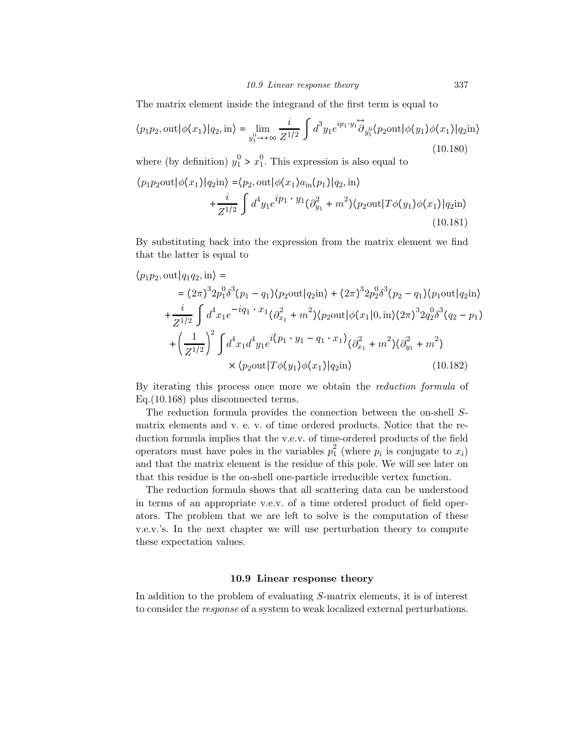The matrix element inside the integrand of the first term is equal to

$$
\langle p_1 p_2, \text{out} | \phi(x_1) | q_2, \text{in} \rangle = \lim_{y_1^0 \to +\infty} \frac{i}{Z^{1/2}} \int d^3 y_1 e^{ip_1 \cdot y_1} \partial_{y_1^0} \langle p_2 \text{out} | \phi(y_1) \phi(x_1) | q_2 \text{in} \rangle
$$
\n(10.180)

where (by definition)  $y_1^0 > x_1^0$ . This expression is also equal to

$$
\langle p_1 p_2 \text{out} | \phi(x_1) | q_2 \text{in} \rangle = \langle p_2, \text{out} | \phi(x_1) a_{\text{in}}(p_1) | q_2, \text{in} \rangle + \frac{i}{Z^{1/2}} \int d^4 y_1 e^{ip_1 \cdot y_1} (\partial_{y_1}^2 + m^2) \langle p_2 \text{out} | T \phi(y_1) \phi(x_1) | q_2 \text{in} \rangle
$$
\n(10.181)

By substituting back into the expression from the matrix element we find that the latter is equal to

$$
\langle p_1 p_2, \text{out} | q_1 q_2, \text{in} \rangle =
$$
\n
$$
= (2\pi)^3 2p_1^0 \delta^3 (p_1 - q_1) \langle p_2 \text{out} | q_2 \text{in} \rangle + (2\pi)^3 2p_2^0 \delta^3 (p_2 - q_1) \langle p_1 \text{out} | q_2 \text{in} \rangle
$$
\n
$$
+ \frac{i}{Z^{1/2}} \int d^4 x_1 e^{-iq_1 \cdot x_1} (\partial_{x_1}^2 + m^2) \langle p_2 \text{out} | \phi(x_1 | 0, \text{in}) (2\pi)^3 2q_2^0 \delta^3 (q_2 - p_1)
$$
\n
$$
+ \left(\frac{1}{Z^{1/2}}\right)^2 \int d^4 x_1 d^4 y_1 e^{i(p_1 \cdot y_1 - q_1 \cdot x_1)} (\partial_{x_1}^2 + m^2) (\partial_{y_1}^2 + m^2)
$$
\n
$$
\times \langle p_2 \text{out} | T\phi(y_1)\phi(x_1) | q_2 \text{in} \rangle \qquad (10.182)
$$

By iterating this process once more we obtain the reduction formula of Eq.(10.168) plus disconnected terms.

The reduction formula provides the connection between the on-shell Smatrix elements and v. e. v. of time ordered products. Notice that the reduction formula implies that the v.e.v. of time-ordered products of the field operators must have poles in the variables  $p_1^2$  (where  $p_i$  is conjugate to  $x_i$ ) and that the matrix element is the residue of this pole. We will see later on that this residue is the on-shell one-particle irreducible vertex function.

The reduction formula shows that all scattering data can be understood in terms of an appropriate v.e.v. of a time ordered product of field operators. The problem that we are left to solve is the computation of these v.e.v.'s. In the next chapter we will use perturbation theory to compute these expectation values.

## 10.9 Linear response theory

In addition to the problem of evaluating S-matrix elements, it is of interest to consider the response of a system to weak localized external perturbations.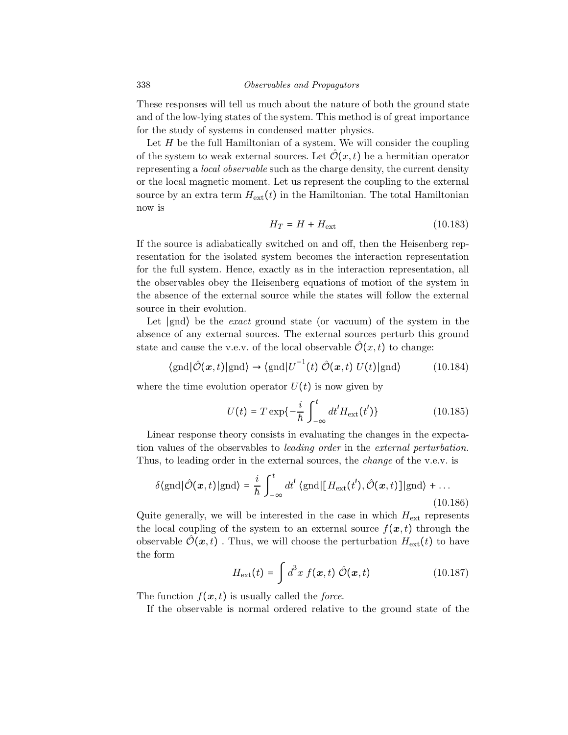These responses will tell us much about the nature of both the ground state and of the low-lying states of the system. This method is of great importance for the study of systems in condensed matter physics.

Let  $H$  be the full Hamiltonian of a system. We will consider the coupling of the system to weak external sources. Let  $\mathcal{O}(x,t)$  be a hermitian operator representing a local observable such as the charge density, the current density or the local magnetic moment. Let us represent the coupling to the external source by an extra term  $H_{ext}(t)$  in the Hamiltonian. The total Hamiltonian now is

$$
H_T = H + H_{\text{ext}} \tag{10.183}
$$

If the source is adiabatically switched on and off, then the Heisenberg representation for the isolated system becomes the interaction representation for the full system. Hence, exactly as in the interaction representation, all the observables obey the Heisenberg equations of motion of the system in the absence of the external source while the states will follow the external source in their evolution.

Let ∣gnd⟩ be the exact ground state (or vacuum) of the system in the absence of any external sources. The external sources perturb this ground state and cause the v.e.v. of the local observable  $\hat{\mathcal{O}}(x,t)$  to change:

$$
\langle \text{gnd} | \hat{\mathcal{O}}(\boldsymbol{x}, t) | \text{gnd} \rangle \to \langle \text{gnd} | U^{-1}(t) \hat{\mathcal{O}}(\boldsymbol{x}, t) U(t) | \text{gnd} \rangle \tag{10.184}
$$

where the time evolution operator  $U(t)$  is now given by

$$
U(t) = T \exp\{-\frac{i}{\hbar} \int_{-\infty}^{t} dt' H_{\text{ext}}(t')\}
$$
 (10.185)

Linear response theory consists in evaluating the changes in the expectation values of the observables to leading order in the external perturbation. Thus, to leading order in the external sources, the *change* of the v.e.v. is

$$
\delta\langle \text{gnd} | \hat{\mathcal{O}}(\boldsymbol{x}, t) | \text{gnd} \rangle = \frac{i}{\hbar} \int_{-\infty}^{t} dt' \langle \text{gnd} | [H_{\text{ext}}(t'), \hat{\mathcal{O}}(\boldsymbol{x}, t)] | \text{gnd} \rangle + \dots
$$
\n(10.186)

Quite generally, we will be interested in the case in which  $H_{\text{ext}}$  represents the local coupling of the system to an external source  $f(x, t)$  through the observable  $\hat{\mathcal{O}}(\boldsymbol{x},t)$ . Thus, we will choose the perturbation  $H_{\text{ext}}(t)$  to have the form

$$
H_{\text{ext}}(t) = \int d^3x \ f(\mathbf{x}, t) \ \hat{\mathcal{O}}(\mathbf{x}, t) \tag{10.187}
$$

The function  $f(x, t)$  is usually called the *force*.

If the observable is normal ordered relative to the ground state of the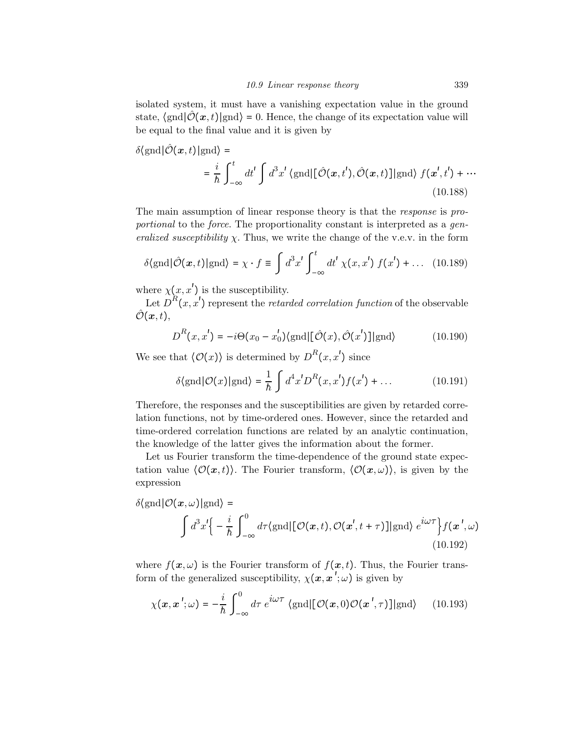isolated system, it must have a vanishing expectation value in the ground state,  $\langle \text{gnd} | \mathcal{O}(\mathbf{x}, t) | \text{gnd} \rangle = 0$ . Hence, the change of its expectation value will be equal to the final value and it is given by

$$
\delta\langle \text{gnd} | \hat{\mathcal{O}}(\boldsymbol{x}, t) | \text{gnd} \rangle =
$$
  
=  $\frac{i}{\hbar} \int_{-\infty}^{t} dt' \int d^3x' \langle \text{gnd} | [\hat{\mathcal{O}}(\boldsymbol{x}, t'), \hat{\mathcal{O}}(\boldsymbol{x}, t)] | \text{gnd} \rangle f(\boldsymbol{x}', t') + \cdots$   
(10.188)

The main assumption of linear response theory is that the response is proportional to the force. The proportionality constant is interpreted as a generalized susceptibility  $\chi$ . Thus, we write the change of the v.e.v. in the form

$$
\delta\langle \text{gnd} | \hat{\mathcal{O}}(\boldsymbol{x}, t) | \text{gnd} \rangle = \chi \cdot f \equiv \int d^3 x' \int_{-\infty}^t dt' \, \chi(x, x') \, f(x') + \dots \quad (10.189)
$$

where  $\chi(x, x')$  is the susceptibility.

Let  $D^{R}(x, x')$  represent the *retarded correlation function* of the observable  $\hat{\mathcal{O}}(\bm{x},t),$ 

$$
D^{R}(x, x') = -i\Theta(x_0 - x'_0) \langle \text{gnd} | [\hat{\mathcal{O}}(x), \hat{\mathcal{O}}(x')] | \text{gnd} \rangle \tag{10.190}
$$

We see that  $\langle \mathcal{O}(x) \rangle$  is determined by  $D^R(x, x')$  since

$$
\delta\langle \text{gnd} | \mathcal{O}(x) | \text{gnd} \rangle = \frac{1}{\hbar} \int d^4 x' D^R(x, x') f(x') + \dots \tag{10.191}
$$

Therefore, the responses and the susceptibilities are given by retarded correlation functions, not by time-ordered ones. However, since the retarded and time-ordered correlation functions are related by an analytic continuation, the knowledge of the latter gives the information about the former.

Let us Fourier transform the time-dependence of the ground state expectation value  $\langle \mathcal{O}(x,t) \rangle$ . The Fourier transform,  $\langle \mathcal{O}(x,\omega) \rangle$ , is given by the expression

$$
\delta\langle \text{gnd} | \mathcal{O}(\boldsymbol{x}, \omega) | \text{gnd} \rangle =
$$
\n
$$
\int d^3x' \Big\{ - \frac{i}{\hbar} \int_{-\infty}^0 d\tau \langle \text{gnd} | [\mathcal{O}(\boldsymbol{x}, t), \mathcal{O}(\boldsymbol{x}', t + \tau)] | \text{gnd} \rangle e^{i\omega \tau} \Big\} f(\boldsymbol{x}', \omega)
$$
\n(10.192)

where  $f(\mathbf{x}, \omega)$  is the Fourier transform of  $f(\mathbf{x}, t)$ . Thus, the Fourier transform of the generalized susceptibility,  $\chi(\boldsymbol{x}, \boldsymbol{x}'; \omega)$  is given by

$$
\chi(\mathbf{x}, \mathbf{x}'; \omega) = -\frac{i}{\hbar} \int_{-\infty}^{0} d\tau \ e^{i\omega \tau} \langle \text{gnd} | [\mathcal{O}(\mathbf{x}, 0) \mathcal{O}(\mathbf{x}', \tau)] | \text{gnd} \rangle \qquad (10.193)
$$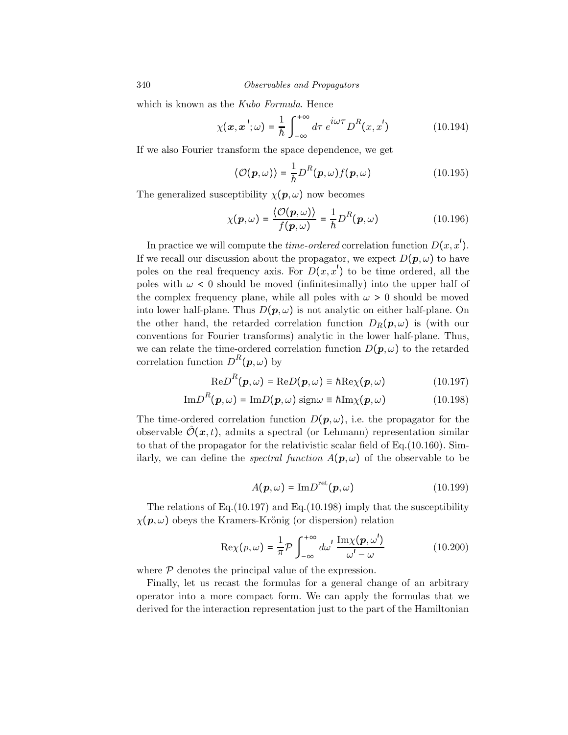which is known as the Kubo Formula. Hence

$$
\chi(\mathbf{x}, \mathbf{x}'; \omega) = \frac{1}{\hbar} \int_{-\infty}^{+\infty} d\tau \ e^{i\omega \tau} D^{R}(x, x')
$$
 (10.194)

If we also Fourier transform the space dependence, we get

$$
\langle \mathcal{O}(\boldsymbol{p}, \omega) \rangle = \frac{1}{\hbar} D^R(\boldsymbol{p}, \omega) f(\boldsymbol{p}, \omega)
$$
 (10.195)

The generalized susceptibility  $\chi(\mathbf{p}, \omega)$  now becomes

$$
\chi(\mathbf{p},\omega) = \frac{\langle \mathcal{O}(\mathbf{p},\omega) \rangle}{f(\mathbf{p},\omega)} = \frac{1}{\hbar} D^R(\mathbf{p},\omega)
$$
(10.196)

In practice we will compute the *time-ordered* correlation function  $D(x, x')$ . If we recall our discussion about the propagator, we expect  $D(\mathbf{p}, \omega)$  to have poles on the real frequency axis. For  $D(x, x')$  to be time ordered, all the poles with  $\omega < 0$  should be moved (infinitesimally) into the upper half of the complex frequency plane, while all poles with  $\omega > 0$  should be moved into lower half-plane. Thus  $D(p,\omega)$  is not analytic on either half-plane. On the other hand, the retarded correlation function  $D_R(p,\omega)$  is (with our conventions for Fourier transforms) analytic in the lower half-plane. Thus, we can relate the time-ordered correlation function  $D(p,\omega)$  to the retarded correlation function  $D^{R}(p,\omega)$  by

$$
\text{Re}D^{R}(\boldsymbol{p},\omega) = \text{Re}D(\boldsymbol{p},\omega) \equiv \hbar \text{Re}\chi(\boldsymbol{p},\omega) \qquad (10.197)
$$

$$
\mathrm{Im}D^{R}(\boldsymbol{p},\omega) = \mathrm{Im}D(\boldsymbol{p},\omega)\,\mathrm{sign}\omega \equiv \hbar \mathrm{Im}\chi(\boldsymbol{p},\omega) \tag{10.198}
$$

The time-ordered correlation function  $D(p,\omega)$ , i.e. the propagator for the observable  $\mathcal{O}(\boldsymbol{x}, t)$ , admits a spectral (or Lehmann) representation similar to that of the propagator for the relativistic scalar field of Eq.(10.160). Similarly, we can define the *spectral function*  $A(p,\omega)$  of the observable to be

$$
A(\mathbf{p}, \omega) = \text{Im} D^{\text{ret}}(\mathbf{p}, \omega) \tag{10.199}
$$

The relations of Eq.(10.197) and Eq.(10.198) imply that the susceptibility  $\chi(\mathbf{p}, \omega)$  obeys the Kramers-Krönig (or dispersion) relation

$$
\operatorname{Re}\chi(p,\omega) = \frac{1}{\pi} \mathcal{P} \int_{-\infty}^{+\infty} d\omega' \frac{\operatorname{Im}\chi(p,\omega')}{\omega' - \omega}
$$
 (10.200)

where  $P$  denotes the principal value of the expression.

Finally, let us recast the formulas for a general change of an arbitrary operator into a more compact form. We can apply the formulas that we derived for the interaction representation just to the part of the Hamiltonian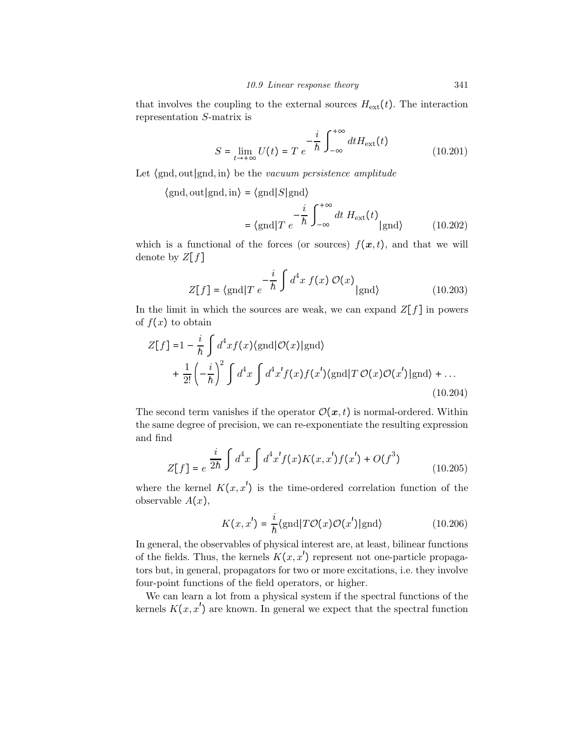that involves the coupling to the external sources  $H_{\text{ext}}(t)$ . The interaction representation S-matrix is

$$
S = \lim_{t \to +\infty} U(t) = T e^{-\frac{i}{\hbar} \int_{-\infty}^{+\infty} dt H_{\text{ext}}(t)}
$$
(10.201)

Let ⟨gnd, out∣gnd, in⟩ be the vacuum persistence amplitude

 $\langle \text{gnd}, \text{out} | \text{gnd}, \text{in} \rangle = \langle \text{gnd} | S | \text{gnd} \rangle$ 

$$
= \langle \text{gnd} | T e^{-\frac{i}{\hbar} \int_{-\infty}^{+\infty} dt \, H_{\text{ext}}(t)} | \text{gnd} \rangle \qquad (10.202)
$$

which is a functional of the forces (or sources)  $f(x, t)$ , and that we will denote by  $Z[f]$ 

$$
Z[f] = \langle \text{gnd} | T e^{-\frac{i}{\hbar} \int d^4 x f(x) \mathcal{O}(x)} | \text{gnd} \rangle \tag{10.203}
$$

In the limit in which the sources are weak, we can expand  $Z[f]$  in powers of  $f(x)$  to obtain

$$
Z[f] = 1 - \frac{i}{\hbar} \int d^4x f(x) \langle \text{gnd} | \mathcal{O}(x) | \text{gnd} \rangle
$$
  
+ 
$$
\frac{1}{2!} \left( -\frac{i}{\hbar} \right)^2 \int d^4x \int d^4x' f(x) f(x') \langle \text{gnd} | T \mathcal{O}(x) \mathcal{O}(x') | \text{gnd} \rangle + ...
$$
(10.204)

The second term vanishes if the operator  $\mathcal{O}(x,t)$  is normal-ordered. Within the same degree of precision, we can re-exponentiate the resulting expression and find

$$
Z[f] = e^{\frac{i}{2\hbar} \int d^4x \int d^4x' f(x) K(x, x') f(x') + O(f^3)}
$$
(10.205)

where the kernel  $K(x, x')$  is the time-ordered correlation function of the observable  $A(x)$ ,

$$
K(x, x') = \frac{i}{\hbar} \langle \text{gnd} | T\mathcal{O}(x)\mathcal{O}(x') | \text{gnd} \rangle \tag{10.206}
$$

In general, the observables of physical interest are, at least, bilinear functions of the fields. Thus, the kernels  $K(x, x')$  represent not one-particle propagators but, in general, propagators for two or more excitations, i.e. they involve four-point functions of the field operators, or higher.

We can learn a lot from a physical system if the spectral functions of the kernels  $K(x, x')$  are known. In general we expect that the spectral function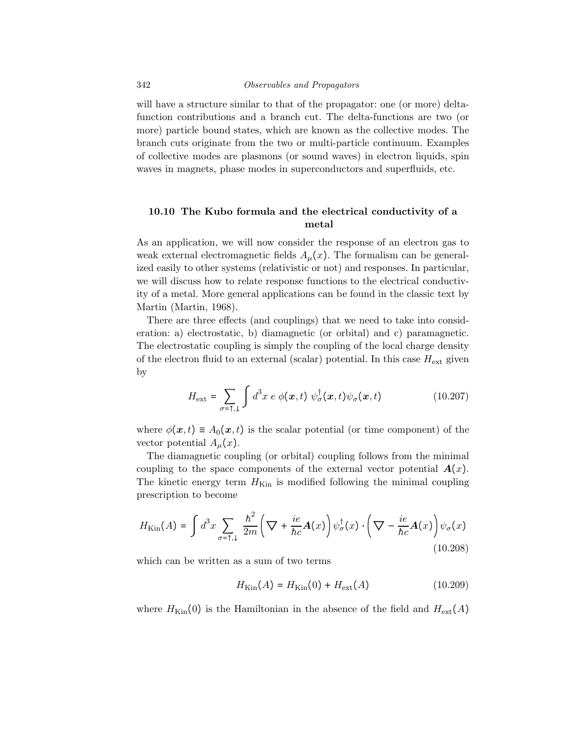#### 342 Observables and Propagators

will have a structure similar to that of the propagator: one (or more) deltafunction contributions and a branch cut. The delta-functions are two (or more) particle bound states, which are known as the collective modes. The branch cuts originate from the two or multi-particle continuum. Examples of collective modes are plasmons (or sound waves) in electron liquids, spin waves in magnets, phase modes in superconductors and superfluids, etc.

# 10.10 The Kubo formula and the electrical conductivity of a metal

As an application, we will now consider the response of an electron gas to weak external electromagnetic fields  $A<sub>u</sub>(x)$ . The formalism can be generalized easily to other systems (relativistic or not) and responses. In particular, we will discuss how to relate response functions to the electrical conductivity of a metal. More general applications can be found in the classic text by Martin (Martin, 1968).

There are three effects (and couplings) that we need to take into consideration: a) electrostatic, b) diamagnetic (or orbital) and c) paramagnetic. The electrostatic coupling is simply the coupling of the local charge density of the electron fluid to an external (scalar) potential. In this case  $H_{\text{ext}}$  given by

$$
H_{\text{ext}} = \sum_{\sigma = \uparrow, \downarrow} \int d^3x \ e \ \phi(\mathbf{x}, t) \ \psi_{\sigma}^{\dagger}(\mathbf{x}, t) \psi_{\sigma}(\mathbf{x}, t) \tag{10.207}
$$

where  $\phi(\mathbf{x}, t) \equiv A_0(\mathbf{x}, t)$  is the scalar potential (or time component) of the vector potential  $A_\mu(x)$ .

The diamagnetic coupling (or orbital) coupling follows from the minimal coupling to the space components of the external vector potential  $A(x)$ . The kinetic energy term  $H_{\text{Kin}}$  is modified following the minimal coupling prescription to become

$$
H_{\text{Kin}}(A) = \int d^3x \sum_{\sigma = \uparrow, \downarrow} \frac{\hbar^2}{2m} \left( \nabla + \frac{ie}{\hbar c} A(x) \right) \psi_{\sigma}^{\dagger}(x) \cdot \left( \nabla - \frac{ie}{\hbar c} A(x) \right) \psi_{\sigma}(x) \tag{10.208}
$$

which can be written as a sum of two terms

$$
H_{\text{Kin}}(A) = H_{\text{Kin}}(0) + H_{\text{ext}}(A) \tag{10.209}
$$

where  $H_{\text{Kin}}(0)$  is the Hamiltonian in the absence of the field and  $H_{\text{ext}}(A)$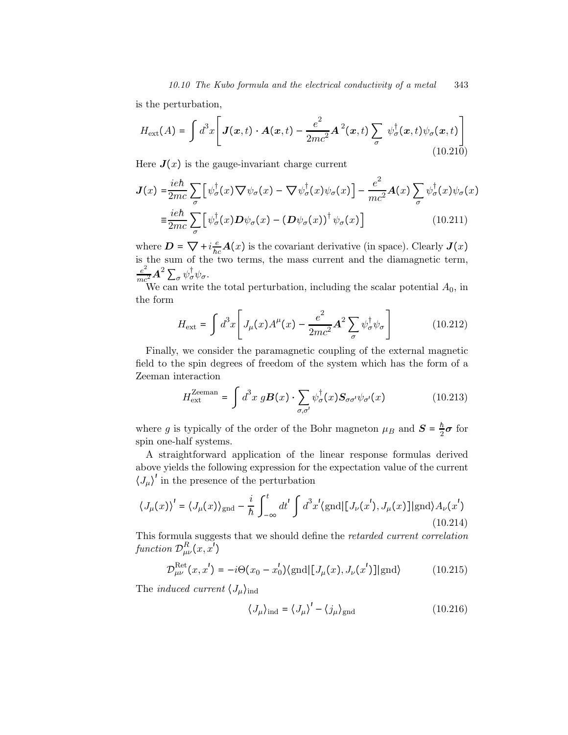is the perturbation,

$$
H_{\text{ext}}(A) = \int d^3x \left[ \mathbf{J}(\mathbf{x},t) \cdot \mathbf{A}(\mathbf{x},t) - \frac{e^2}{2mc^2} \mathbf{A}^2(\mathbf{x},t) \sum_{\sigma} \psi_{\sigma}^{\dagger}(\mathbf{x},t) \psi_{\sigma}(\mathbf{x},t) \right]
$$
(10.210)

Here  $J(x)$  is the gauge-invariant charge current

$$
J(x) = \frac{ie\hbar}{2mc} \sum_{\sigma} \left[ \psi_{\sigma}^{\dagger}(x) \nabla \psi_{\sigma}(x) - \nabla \psi_{\sigma}^{\dagger}(x) \psi_{\sigma}(x) \right] - \frac{e^2}{mc^2} A(x) \sum_{\sigma} \psi_{\sigma}^{\dagger}(x) \psi_{\sigma}(x)
$$

$$
\equiv \frac{ie\hbar}{2mc} \sum_{\sigma} \left[ \psi_{\sigma}^{\dagger}(x) D \psi_{\sigma}(x) - (D \psi_{\sigma}(x))^{\dagger} \psi_{\sigma}(x) \right]
$$
(10.211)

where  $D = \nabla + i \frac{e}{hc} A(x)$  is the covariant derivative (in space). Clearly  $J(x)$ is the sum of the two terms, the mass current and the diamagnetic term,  $\frac{e^2}{mc^2} \boldsymbol{A}^2 \sum_{\sigma} \psi^{\dagger}_{\sigma} \psi_{\sigma}.$ 

We can write the total perturbation, including the scalar potential  $A_0$ , in the form

$$
H_{\text{ext}} = \int d^3x \left[ J_\mu(x) A^\mu(x) - \frac{e^2}{2mc^2} \mathbf{A}^2 \sum_\sigma \psi_\sigma^\dagger \psi_\sigma \right] \tag{10.212}
$$

Finally, we consider the paramagnetic coupling of the external magnetic field to the spin degrees of freedom of the system which has the form of a Zeeman interaction

$$
H_{\text{ext}}^{\text{Zeeman}} = \int d^3x \ g \mathbf{B}(x) \cdot \sum_{\sigma,\sigma'} \psi_{\sigma}^{\dagger}(x) \mathbf{S}_{\sigma\sigma'} \psi_{\sigma'}(x) \tag{10.213}
$$

where g is typically of the order of the Bohr magneton  $\mu_B$  and  $S = \frac{h}{2}\sigma$  for spin one-half systems.

A straightforward application of the linear response formulas derived above yields the following expression for the expectation value of the current  $\langle J_\mu \rangle^{\prime}$  in the presence of the perturbation

$$
\langle J_{\mu}(x) \rangle' = \langle J_{\mu}(x) \rangle_{\text{gnd}} - \frac{i}{\hbar} \int_{-\infty}^{t} dt' \int d^{3}x' \langle \text{gnd} | [J_{\nu}(x'), J_{\mu}(x)] | \text{gnd} \rangle A_{\nu}(x')
$$
\n(10.214)

This formula suggests that we should define the retarded current correlation function  $\mathcal{D}^R_{\mu\nu}(x,x')$ 

$$
\mathcal{D}^{\text{Ret}}_{\mu\nu}(x, x') = -i\Theta(x_0 - x'_0) \langle \text{gnd} | [J_\mu(x), J_\nu(x')] | \text{gnd} \rangle \tag{10.215}
$$

The *induced current*  $\langle J_\mu \rangle_{\text{ind}}$ 

$$
\langle J_{\mu} \rangle_{\text{ind}} = \langle J_{\mu} \rangle' - \langle j_{\mu} \rangle_{\text{gnd}} \tag{10.216}
$$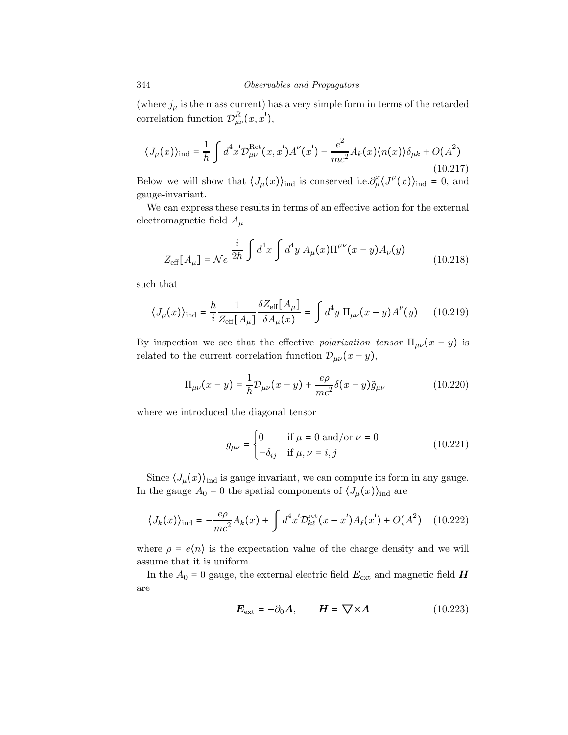(where  $j_\mu$  is the mass current) has a very simple form in terms of the retarded correlation function  $\mathcal{D}_{\mu\nu}^{R}(x,x'),$ 

$$
\langle J_{\mu}(x) \rangle_{\text{ind}} = \frac{1}{\hbar} \int d^{4}x' \mathcal{D}^{\text{Ret}}_{\mu\nu}(x, x') A^{\nu}(x') - \frac{e^{2}}{mc^{2}} A_{k}(x) \langle n(x) \rangle \delta_{\mu k} + O(A^{2})
$$
\n(10.217)

Below we will show that  $\langle J_\mu(x) \rangle_{\text{ind}}$  is conserved i.e.  $\partial_\mu^x \langle J^\mu(x) \rangle_{\text{ind}} = 0$ , and gauge-invariant.

We can express these results in terms of an effective action for the external electromagnetic field  $A_\mu$ 

$$
Z_{\text{eff}}[A_{\mu}] = \mathcal{N}e^{-\frac{i}{2\hbar} \int d^4x \int d^4y A_{\mu}(x) \Pi^{\mu\nu}(x-y) A_{\nu}(y)}
$$
(10.218)

such that

$$
\langle J_{\mu}(x) \rangle_{\text{ind}} = \frac{\hbar}{i} \frac{1}{Z_{\text{eff}}[A_{\mu}]} \frac{\delta Z_{\text{eff}}[A_{\mu}]}{\delta A_{\mu}(x)} = \int d^4 y \, \Pi_{\mu\nu}(x - y) A^{\nu}(y) \qquad (10.219)
$$

By inspection we see that the effective polarization tensor  $\Pi_{\mu\nu}(x-y)$  is related to the current correlation function  $\mathcal{D}_{\mu\nu}(x-y)$ ,

$$
\Pi_{\mu\nu}(x-y) = \frac{1}{\hbar} \mathcal{D}_{\mu\nu}(x-y) + \frac{e\rho}{mc^2} \delta(x-y) \tilde{g}_{\mu\nu}
$$
\n(10.220)

where we introduced the diagonal tensor

$$
\tilde{g}_{\mu\nu} = \begin{cases}\n0 & \text{if } \mu = 0 \text{ and/or } \nu = 0 \\
-\delta_{ij} & \text{if } \mu, \nu = i, j\n\end{cases}
$$
\n(10.221)

Since  $\langle J_\mu(x) \rangle_{\text{ind}}$  is gauge invariant, we can compute its form in any gauge. In the gauge  $A_0 = 0$  the spatial components of  $\langle J_\mu(x) \rangle_{\text{ind}}$  are

$$
\langle J_k(x) \rangle_{\text{ind}} = -\frac{e\rho}{mc^2} A_k(x) + \int d^4 x' \mathcal{D}_{k\ell}^{\text{ret}}(x - x') A_\ell(x') + O(A^2) \quad (10.222)
$$

where  $\rho = e\langle n \rangle$  is the expectation value of the charge density and we will assume that it is uniform.

In the  $A_0 = 0$  gauge, the external electric field  $E_{\text{ext}}$  and magnetic field  $H$ are

$$
E_{\text{ext}} = -\partial_0 A, \qquad H = \nabla \times A \tag{10.223}
$$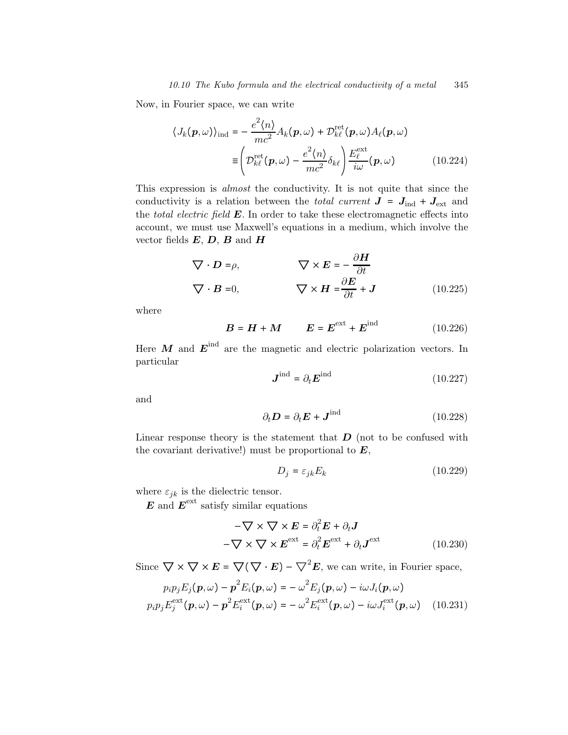Now, in Fourier space, we can write

$$
\langle J_k(\mathbf{p}, \omega) \rangle_{\text{ind}} = -\frac{e^2 \langle n \rangle}{mc^2} A_k(\mathbf{p}, \omega) + \mathcal{D}_{k\ell}^{\text{ret}}(\mathbf{p}, \omega) A_\ell(\mathbf{p}, \omega)
$$

$$
\equiv \left( \mathcal{D}_{k\ell}^{\text{ret}}(\mathbf{p}, \omega) - \frac{e^2 \langle n \rangle}{mc^2} \delta_{k\ell} \right) \frac{E_{\ell}^{\text{ext}}}{i\omega}(\mathbf{p}, \omega) \tag{10.224}
$$

This expression is almost the conductivity. It is not quite that since the conductivity is a relation between the *total current*  $J = J_{ind} + J_{ext}$  and the total electric field  $E$ . In order to take these electromagnetic effects into account, we must use Maxwell's equations in a medium, which involve the vector fields  $E, D, B$  and  $H$ 

$$
\nabla \cdot \mathbf{D} = \rho, \qquad \nabla \times \mathbf{E} = -\frac{\partial \mathbf{H}}{\partial t}
$$
  

$$
\nabla \cdot \mathbf{B} = 0, \qquad \nabla \times \mathbf{H} = \frac{\partial \mathbf{E}}{\partial t} + \mathbf{J} \qquad (10.225)
$$

where

$$
B = H + M \qquad E = E^{\text{ext}} + E^{\text{ind}} \qquad (10.226)
$$

Here  $M$  and  $E^{ind}$  are the magnetic and electric polarization vectors. In particular

$$
\boldsymbol{J}^{\text{ind}} = \partial_t \boldsymbol{E}^{\text{ind}} \tag{10.227}
$$

and

$$
\partial_t \mathbf{D} = \partial_t \mathbf{E} + \mathbf{J}^{\text{ind}} \tag{10.228}
$$

Linear response theory is the statement that  $\bm{D}$  (not to be confused with the covariant derivative!) must be proportional to  $E$ ,

$$
D_j = \varepsilon_{jk} E_k \tag{10.229}
$$

where  $\varepsilon_{jk}$  is the dielectric tensor.

 $\boldsymbol{E}$  and  $\boldsymbol{E}^{\text{ext}}$  satisfy similar equations

$$
-\nabla \times \nabla \times \mathbf{E} = \partial_t^2 \mathbf{E} + \partial_t \mathbf{J}
$$

$$
-\nabla \times \nabla \times \mathbf{E}^{\text{ext}} = \partial_t^2 \mathbf{E}^{\text{ext}} + \partial_t \mathbf{J}^{\text{ext}}
$$
(10.230)

Since  $\nabla \times \nabla \times E = \nabla (\nabla \cdot E) - \nabla^2 E$ , we can write, in Fourier space,

$$
p_i p_j E_j(\boldsymbol{p}, \omega) - \boldsymbol{p}^2 E_i(\boldsymbol{p}, \omega) = -\omega^2 E_j(\boldsymbol{p}, \omega) - i\omega J_i(\boldsymbol{p}, \omega)
$$
  
\n
$$
p_i p_j E_j^{\text{ext}}(\boldsymbol{p}, \omega) - \boldsymbol{p}^2 E_i^{\text{ext}}(\boldsymbol{p}, \omega) = -\omega^2 E_i^{\text{ext}}(\boldsymbol{p}, \omega) - i\omega J_i^{\text{ext}}(\boldsymbol{p}, \omega) \quad (10.231)
$$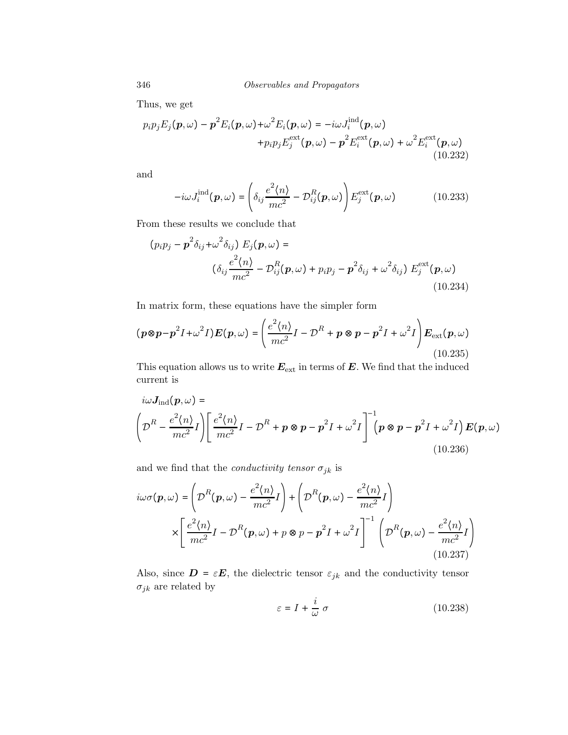346 Observables and Propagators

Thus, we get

$$
p_i p_j E_j(\boldsymbol{p}, \omega) - \boldsymbol{p}^2 E_i(\boldsymbol{p}, \omega) + \omega^2 E_i(\boldsymbol{p}, \omega) = -i\omega J_i^{\text{ind}}(\boldsymbol{p}, \omega) + p_i p_j E_j^{\text{ext}}(\boldsymbol{p}, \omega) - \boldsymbol{p}^2 E_i^{\text{ext}}(\boldsymbol{p}, \omega) + \omega^2 E_i^{\text{ext}}(\boldsymbol{p}, \omega)
$$
(10.232)

and

$$
-i\omega J_i^{\text{ind}}(\boldsymbol{p},\omega) = \left(\delta_{ij}\frac{e^2\langle n\rangle}{mc^2} - \mathcal{D}_{ij}^R(\boldsymbol{p},\omega)\right) E_j^{\text{ext}}(\boldsymbol{p},\omega) \tag{10.233}
$$

From these results we conclude that

$$
(p_i p_j - \mathbf{p}^2 \delta_{ij} + \omega^2 \delta_{ij}) E_j(\mathbf{p}, \omega) =
$$
  

$$
(\delta_{ij} \frac{e^2 \langle n \rangle}{mc^2} - \mathcal{D}_{ij}^R(\mathbf{p}, \omega) + p_i p_j - \mathbf{p}^2 \delta_{ij} + \omega^2 \delta_{ij}) E_j^{\text{ext}}(\mathbf{p}, \omega)
$$
  
(10.234)

In matrix form, these equations have the simpler form

$$
(\boldsymbol{p} \otimes \boldsymbol{p} - \boldsymbol{p}^2 I + \omega^2 I) \boldsymbol{E}(\boldsymbol{p}, \omega) = \left(\frac{e^2 \langle n \rangle}{mc^2} I - \mathcal{D}^R + \boldsymbol{p} \otimes \boldsymbol{p} - \boldsymbol{p}^2 I + \omega^2 I\right) \boldsymbol{E}_{\text{ext}}(\boldsymbol{p}, \omega)
$$
\n(10.235)

This equation allows us to write  $E_{ext}$  in terms of  $E$ . We find that the induced current is

$$
i\omega J_{\text{ind}}(\boldsymbol{p}, \omega) =
$$
\n
$$
\left(\mathcal{D}^R - \frac{e^2 \langle n \rangle}{mc^2} I\right) \left[\frac{e^2 \langle n \rangle}{mc^2} I - \mathcal{D}^R + \boldsymbol{p} \otimes \boldsymbol{p} - \boldsymbol{p}^2 I + \omega^2 I\right]^{-1} \left(\boldsymbol{p} \otimes \boldsymbol{p} - \boldsymbol{p}^2 I + \omega^2 I\right) \boldsymbol{E}(\boldsymbol{p}, \omega)
$$
\n(10.236)

and we find that the *conductivity tensor*  $\sigma_{jk}$  is

$$
i\omega\sigma(\mathbf{p},\omega) = \left(\mathcal{D}^R(\mathbf{p},\omega) - \frac{e^2\langle n\rangle}{mc^2}I\right) + \left(\mathcal{D}^R(\mathbf{p},\omega) - \frac{e^2\langle n\rangle}{mc^2}I\right)
$$

$$
\times \left[\frac{e^2\langle n\rangle}{mc^2}I - \mathcal{D}^R(\mathbf{p},\omega) + p\otimes p - \mathbf{p}^2I + \omega^2I\right]^{-1} \left(\mathcal{D}^R(\mathbf{p},\omega) - \frac{e^2\langle n\rangle}{mc^2}I\right)
$$
(10.237)

Also, since  $\mathbf{D} = \varepsilon \mathbf{E}$ , the dielectric tensor  $\varepsilon_{jk}$  and the conductivity tensor  $\sigma_{jk}$  are related by

$$
\varepsilon = I + \frac{i}{\omega} \sigma \tag{10.238}
$$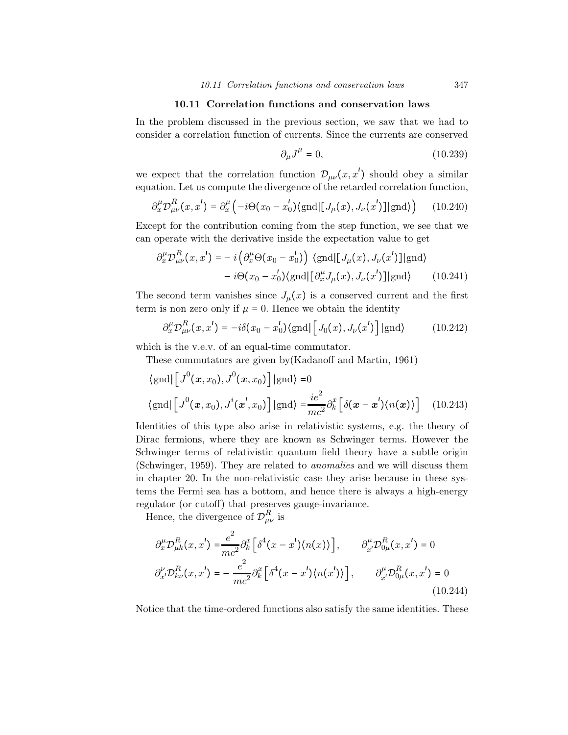## 10.11 Correlation functions and conservation laws

In the problem discussed in the previous section, we saw that we had to consider a correlation function of currents. Since the currents are conserved

$$
\partial_{\mu}J^{\mu} = 0, \qquad (10.239)
$$

we expect that the correlation function  $\mathcal{D}_{\mu\nu}(x, x')$  should obey a similar equation. Let us compute the divergence of the retarded correlation function,

$$
\partial_x^{\mu} \mathcal{D}_{\mu\nu}^{R}(x, x') = \partial_x^{\mu} \left( -i \Theta(x_0 - x'_0) \langle \text{gnd} | [J_{\mu}(x), J_{\nu}(x')] | \text{gnd} \rangle \right) \tag{10.240}
$$

Except for the contribution coming from the step function, we see that we can operate with the derivative inside the expectation value to get

$$
\partial_x^{\mu} \mathcal{D}_{\mu\nu}^{R}(x, x') = -i \left( \partial_x^{\mu} \Theta(x_0 - x'_0) \right) \langle \text{gnd} | [J_{\mu}(x), J_{\nu}(x')] | \text{gnd} \rangle - i \Theta(x_0 - x'_0) \langle \text{gnd} | [\partial_x^{\mu} J_{\mu}(x), J_{\nu}(x')] | \text{gnd} \rangle
$$
(10.241)

The second term vanishes since  $J_{\mu}(x)$  is a conserved current and the first term is non zero only if  $\mu = 0$ . Hence we obtain the identity

$$
\partial_x^{\mu} \mathcal{D}_{\mu\nu}^{R}(x, x') = -i\delta(x_0 - x'_0) \langle \text{gnd} | \left[ J_0(x), J_{\nu}(x') \right] | \text{gnd} \rangle \tag{10.242}
$$

which is the v.e.v. of an equal-time commutator.

These commutators are given by(Kadanoff and Martin, 1961)

$$
\langle \text{gnd} | \left[ J^0(\boldsymbol{x}, x_0), J^0(\boldsymbol{x}, x_0) \right] | \text{gnd} \rangle = 0
$$
  

$$
\langle \text{gnd} | \left[ J^0(\boldsymbol{x}, x_0), J^i(\boldsymbol{x}', x_0) \right] | \text{gnd} \rangle = \frac{ie^2}{mc^2} \partial_k^x \left[ \delta(\boldsymbol{x} - \boldsymbol{x}') \langle n(\boldsymbol{x}) \rangle \right] \quad (10.243)
$$

Identities of this type also arise in relativistic systems, e.g. the theory of Dirac fermions, where they are known as Schwinger terms. However the Schwinger terms of relativistic quantum field theory have a subtle origin (Schwinger, 1959). They are related to anomalies and we will discuss them in chapter 20. In the non-relativistic case they arise because in these systems the Fermi sea has a bottom, and hence there is always a high-energy regulator (or cutoff) that preserves gauge-invariance.

Hence, the divergence of  $\mathcal{D}_{\mu\nu}^{R}$  is

$$
\partial_x^{\mu} \mathcal{D}_{\mu k}^R(x, x') = \frac{e^2}{mc^2} \partial_k^x \left[ \delta^4(x - x') \langle n(x) \rangle \right], \qquad \partial_{x'}^{\mu} \mathcal{D}_{0\mu}^R(x, x') = 0
$$
  

$$
\partial_{x'}^{\nu} \mathcal{D}_{k\nu}^R(x, x') = -\frac{e^2}{mc^2} \partial_k^x \left[ \delta^4(x - x') \langle n(x') \rangle \right], \qquad \partial_{x'}^{\mu} \mathcal{D}_{0\mu}^R(x, x') = 0
$$
  
(10.244)

Notice that the time-ordered functions also satisfy the same identities. These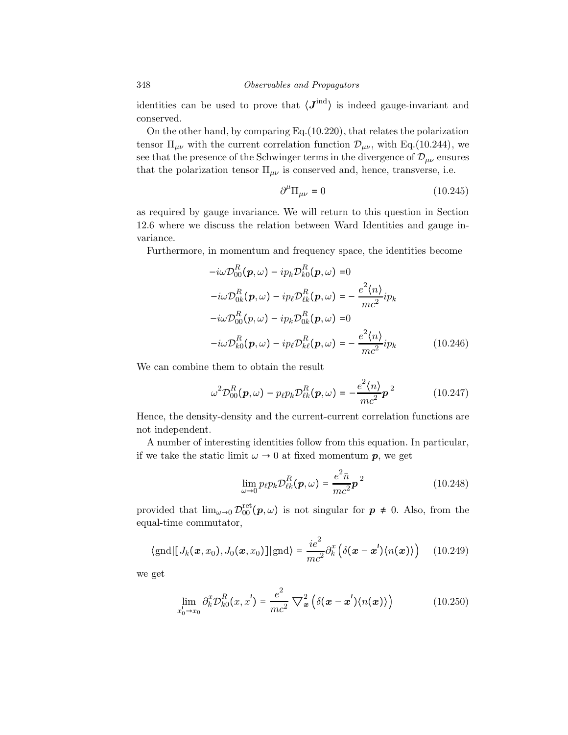identities can be used to prove that  $\langle J^{\text{ind}} \rangle$  is indeed gauge-invariant and conserved.

On the other hand, by comparing Eq.(10.220), that relates the polarization tensor  $\Pi_{\mu\nu}$  with the current correlation function  $\mathcal{D}_{\mu\nu}$ , with Eq.(10.244), we see that the presence of the Schwinger terms in the divergence of  $\mathcal{D}_{\mu\nu}$  ensures that the polarization tensor  $\Pi_{\mu\nu}$  is conserved and, hence, transverse, i.e.

$$
\partial^{\mu} \Pi_{\mu\nu} = 0 \tag{10.245}
$$

as required by gauge invariance. We will return to this question in Section 12.6 where we discuss the relation between Ward Identities and gauge invariance.

Furthermore, in momentum and frequency space, the identities become

$$
-i\omega \mathcal{D}_{00}^{R}(\boldsymbol{p}, \omega) - ip_{k} \mathcal{D}_{k0}^{R}(\boldsymbol{p}, \omega) = 0
$$
  
\n
$$
-i\omega \mathcal{D}_{0k}^{R}(\boldsymbol{p}, \omega) - ip_{\ell} \mathcal{D}_{\ell k}^{R}(\boldsymbol{p}, \omega) = -\frac{e^{2} \langle n \rangle}{mc^{2}} i p_{k}
$$
  
\n
$$
-i\omega \mathcal{D}_{00}^{R}(\boldsymbol{p}, \omega) - ip_{k} \mathcal{D}_{0k}^{R}(\boldsymbol{p}, \omega) = 0
$$
  
\n
$$
-i\omega \mathcal{D}_{k0}^{R}(\boldsymbol{p}, \omega) - ip_{\ell} \mathcal{D}_{k\ell}^{R}(\boldsymbol{p}, \omega) = -\frac{e^{2} \langle n \rangle}{mc^{2}} i p_{k}
$$
 (10.246)

We can combine them to obtain the result

$$
\omega^2 \mathcal{D}_{00}^R(\boldsymbol{p}, \omega) - p_{\ell} p_k \mathcal{D}_{\ell k}^R(\boldsymbol{p}, \omega) = -\frac{e^2 \langle n \rangle}{mc^2} \boldsymbol{p}^2 \qquad (10.247)
$$

Hence, the density-density and the current-current correlation functions are not independent.

A number of interesting identities follow from this equation. In particular, if we take the static limit  $\omega \to 0$  at fixed momentum p, we get

$$
\lim_{\omega \to 0} p_{\ell} p_k \mathcal{D}_{\ell k}^R(\boldsymbol{p}, \omega) = \frac{e^2 \bar{n}}{mc^2} \boldsymbol{p}^2
$$
\n(10.248)

provided that  $\lim_{\omega\to 0} \mathcal{D}_{00}^{\text{ret}}(\mathbf{p},\omega)$  is not singular for  $\mathbf{p} \neq 0$ . Also, from the equal-time commutator,

$$
\langle \text{gnd} | [J_k(\boldsymbol{x}, x_0), J_0(\boldsymbol{x}, x_0)] | \text{gnd} \rangle = \frac{ie^2}{mc^2} \partial_k^x \left( \delta(\boldsymbol{x} - \boldsymbol{x}') \langle n(\boldsymbol{x}) \rangle \right) \quad (10.249)
$$

we get

$$
\lim_{x_0' \to x_0} \partial_k^x \mathcal{D}_{k0}^R(x, x') = \frac{e^2}{mc^2} \nabla_x^2 \left( \delta(x - x') \langle n(x) \rangle \right) \tag{10.250}
$$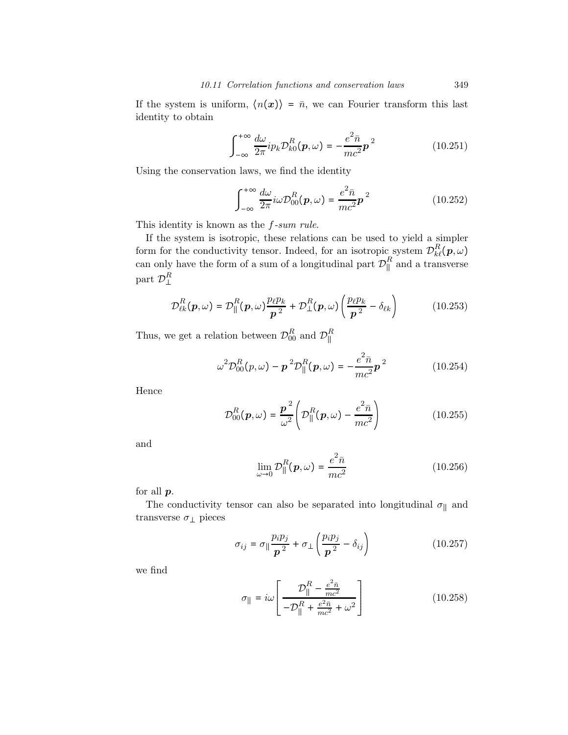If the system is uniform,  $\langle n(x) \rangle = \bar{n}$ , we can Fourier transform this last identity to obtain

$$
\int_{-\infty}^{+\infty} \frac{d\omega}{2\pi} i p_k \mathcal{D}_{k0}^R(\boldsymbol{p}, \omega) = -\frac{e^2 \bar{n}}{mc^2} \boldsymbol{p}^2
$$
 (10.251)

Using the conservation laws, we find the identity

$$
\int_{-\infty}^{+\infty} \frac{d\omega}{2\pi} i\omega \mathcal{D}_{00}^{R}(\boldsymbol{p}, \omega) = \frac{e^2 \bar{n}}{mc^2} \boldsymbol{p}^2
$$
 (10.252)

This identity is known as the  $f\text{-}sum rule$ .

If the system is isotropic, these relations can be used to yield a simpler form for the conductivity tensor. Indeed, for an isotropic system  $\mathcal{D}_{k\ell}^R(\boldsymbol{p},\omega)$ can only have the form of a sum of a longitudinal part  $\mathcal{D}_{\parallel}^R$  and a transverse part  $\mathcal{D}_{\perp}^{R}$ 

$$
\mathcal{D}_{\ell k}^R(\boldsymbol{p},\omega) = \mathcal{D}_{\parallel}^R(\boldsymbol{p},\omega) \frac{p_{\ell} p_k}{\boldsymbol{p}^2} + \mathcal{D}_{\perp}^R(\boldsymbol{p},\omega) \left(\frac{p_{\ell} p_k}{\boldsymbol{p}^2} - \delta_{\ell k}\right)
$$
(10.253)

Thus, we get a relation between  $\mathcal{D}_{00}^R$  and  $\mathcal{D}_{\parallel}^R$ 

$$
\omega^2 \mathcal{D}_{00}^R(p,\omega) - \mathbf{p}^2 \mathcal{D}_{\parallel}^R(\mathbf{p},\omega) = -\frac{e^2 \bar{n}}{mc^2} \mathbf{p}^2
$$
 (10.254)

Hence

$$
\mathcal{D}_{00}^R(\boldsymbol{p},\omega) = \frac{\boldsymbol{p}^2}{\omega^2} \left( \mathcal{D}_{\parallel}^R(\boldsymbol{p},\omega) - \frac{e^2 \bar{n}}{mc^2} \right) \tag{10.255}
$$

and

$$
\lim_{\omega \to 0} \mathcal{D}_{\parallel}^{R}(\boldsymbol{p}, \omega) = \frac{e^2 \bar{n}}{mc^2}
$$
\n(10.256)

for all  $p$ .

The conductivity tensor can also be separated into longitudinal  $\sigma_{\parallel}$  and transverse  $\sigma_{\perp}$  pieces

$$
\sigma_{ij} = \sigma_{\parallel} \frac{p_i p_j}{p^2} + \sigma_{\perp} \left( \frac{p_i p_j}{p^2} - \delta_{ij} \right) \tag{10.257}
$$

we find

$$
\sigma_{\parallel} = i\omega \left[ \frac{\mathcal{D}_{\parallel}^R - \frac{e^2 \bar{n}}{mc^2}}{-\mathcal{D}_{\parallel}^R + \frac{e^2 \bar{n}}{mc^2} + \omega^2} \right]
$$
(10.258)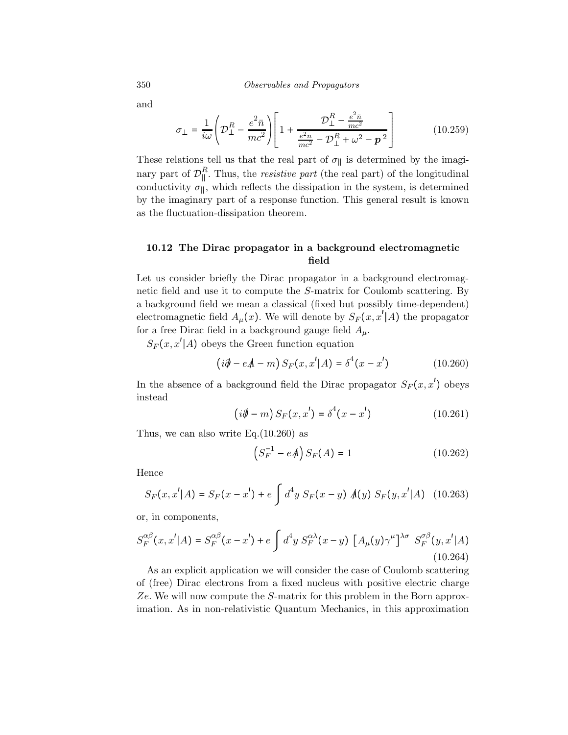and

$$
\sigma_{\perp} = \frac{1}{i\omega} \left( \mathcal{D}_{\perp}^{R} - \frac{e^{2} \bar{n}}{mc^{2}} \right) \left[ 1 + \frac{\mathcal{D}_{\perp}^{R} - \frac{e^{2} \bar{n}}{mc^{2}}}{\frac{e^{2} \bar{n}}{mc^{2}} - \mathcal{D}_{\perp}^{R} + \omega^{2} - \mathcal{p}^{2}} \right]
$$
(10.259)

These relations tell us that the real part of  $\sigma_{\parallel}$  is determined by the imaginary part of  $\mathcal{D}_{\parallel}^R$ . Thus, the *resistive part* (the real part) of the longitudinal conductivity  $\sigma_{\parallel}$ , which reflects the dissipation in the system, is determined by the imaginary part of a response function. This general result is known as the fluctuation-dissipation theorem.

## 10.12 The Dirac propagator in a background electromagnetic field

Let us consider briefly the Dirac propagator in a background electromagnetic field and use it to compute the S-matrix for Coulomb scattering. By a background field we mean a classical (fixed but possibly time-dependent) electromagnetic field  $A_\mu(x)$ . We will denote by  $S_F(x, x'|A)$  the propagator for a free Dirac field in a background gauge field  $A_\mu$ .

 $S_F(x, x' | A)$  obeys the Green function equation

$$
(i\partial - eA - m) S_F(x, x'|A) = \delta^4(x - x')
$$
 (10.260)

In the absence of a background field the Dirac propagator  $S_F(x, x')$  obeys instead

$$
(i\partial - m) S_F(x, x') = \delta^4(x - x')
$$
 (10.261)

Thus, we can also write  $Eq.(10.260)$  as

$$
(S_F^{-1} - eA)S_F(A) = 1
$$
 (10.262)

Hence

$$
S_F(x, x'|A) = S_F(x - x') + e \int d^4y \ S_F(x - y) \ A(y) \ S_F(y, x'|A) \quad (10.263)
$$

or, in components,

$$
S_F^{\alpha\beta}(x, x'|A) = S_F^{\alpha\beta}(x - x') + e \int d^4y \ S_F^{\alpha\lambda}(x - y) \left[ A_\mu(y) \gamma^\mu \right]^{\lambda\sigma} S_F^{\sigma\beta}(y, x'|A)
$$
\n(10.264)

As an explicit application we will consider the case of Coulomb scattering of (free) Dirac electrons from a fixed nucleus with positive electric charge Ze. We will now compute the S-matrix for this problem in the Born approximation. As in non-relativistic Quantum Mechanics, in this approximation

$$
350\,
$$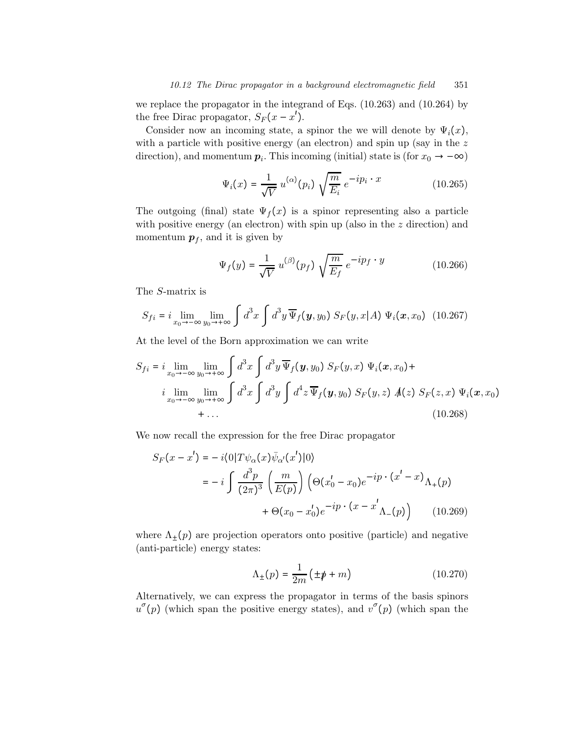we replace the propagator in the integrand of Eqs. (10.263) and (10.264) by the free Dirac propagator,  $S_F(x - x')$ .

Consider now an incoming state, a spinor the we will denote by  $\Psi_i(x)$ , with a particle with positive energy (an electron) and spin up (say in the  $z$ direction), and momentum  $p_i$ . This incoming (initial) state is (for  $x_0 \rightarrow -\infty$ )

$$
\Psi_i(x) = \frac{1}{\sqrt{V}} u^{(\alpha)}(p_i) \sqrt{\frac{m}{E_i}} e^{-ip_i \cdot x}
$$
\n(10.265)

The outgoing (final) state  $\Psi_f(x)$  is a spinor representing also a particle with positive energy (an electron) with spin up (also in the  $z$  direction) and momentum  $p_f$ , and it is given by

$$
\Psi_f(y) = \frac{1}{\sqrt{V}} u^{(\beta)}(p_f) \sqrt{\frac{m}{E_f}} e^{-ip_f \cdot y}
$$
\n(10.266)

The S-matrix is

$$
S_{fi} = i \lim_{x_0 \to -\infty} \lim_{y_0 \to +\infty} \int d^3x \int d^3y \, \overline{\Psi}_f(\mathbf{y}, y_0) \, S_F(y, x | A) \, \Psi_i(\mathbf{x}, x_0) \tag{10.267}
$$

At the level of the Born approximation we can write

$$
S_{fi} = i \lim_{x_0 \to -\infty} \lim_{y_0 \to +\infty} \int d^3x \int d^3y \, \overline{\Psi}_f(\mathbf{y}, y_0) \, S_F(y, x) \, \Psi_i(\mathbf{x}, x_0) +
$$
  
\n
$$
i \lim_{x_0 \to -\infty} \lim_{y_0 \to +\infty} \int d^3x \int d^3y \int d^4z \, \overline{\Psi}_f(\mathbf{y}, y_0) \, S_F(y, z) \, A(z) \, S_F(z, x) \, \Psi_i(\mathbf{x}, x_0)
$$
  
\n
$$
+ \dots \qquad (10.268)
$$

We now recall the expression for the free Dirac propagator

$$
S_F(x - x') = -i \langle 0 | T \psi_\alpha(x) \bar{\psi}_{\alpha'}(x') | 0 \rangle
$$
  
=  $-i \int \frac{d^3 p}{(2\pi)^3} \left( \frac{m}{E(p)} \right) \left( \Theta(x'_0 - x_0) e^{-ip \cdot (x' - x)} \Lambda_+(p) + \Theta(x_0 - x'_0) e^{-ip \cdot (x - x'} \Lambda_-(p)) \right)$  (10.269)

where  $\Lambda_{\pm}(p)$  are projection operators onto positive (particle) and negative (anti-particle) energy states:

$$
\Lambda_{\pm}(p) = \frac{1}{2m} \left( \pm \rlap{/}p + m \right) \tag{10.270}
$$

Alternatively, we can express the propagator in terms of the basis spinors  $u^{\sigma}(p)$  (which span the positive energy states), and  $v^{\sigma}(p)$  (which span the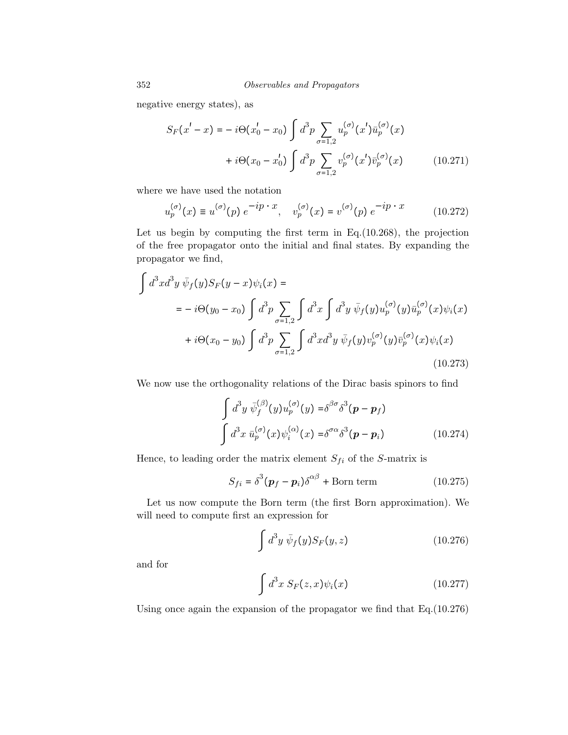negative energy states), as

$$
S_F(x'-x) = -i\Theta(x'_0 - x_0) \int d^3p \sum_{\sigma=1,2} u_p^{(\sigma)}(x') \bar{u}_p^{(\sigma)}(x)
$$
  
+  $i\Theta(x_0 - x'_0) \int d^3p \sum_{\sigma=1,2} v_p^{(\sigma)}(x') \bar{v}_p^{(\sigma)}(x)$  (10.271)

where we have used the notation

$$
u_p^{(\sigma)}(x) \equiv u^{(\sigma)}(p) e^{-ip \cdot x}, \quad v_p^{(\sigma)}(x) = v^{(\sigma)}(p) e^{-ip \cdot x}
$$
 (10.272)

Let us begin by computing the first term in Eq.(10.268), the projection of the free propagator onto the initial and final states. By expanding the propagator we find,

$$
\int d^{3}x d^{3}y \ \bar{\psi}_{f}(y) S_{F}(y-x) \psi_{i}(x) =
$$
\n
$$
= -i\Theta(y_{0}-x_{0}) \int d^{3}p \sum_{\sigma=1,2} \int d^{3}x \int d^{3}y \ \bar{\psi}_{f}(y) u_{p}^{(\sigma)}(y) \bar{u}_{p}^{(\sigma)}(x) \psi_{i}(x)
$$
\n
$$
+i\Theta(x_{0}-y_{0}) \int d^{3}p \sum_{\sigma=1,2} \int d^{3}x d^{3}y \ \bar{\psi}_{f}(y) v_{p}^{(\sigma)}(y) \bar{v}_{p}^{(\sigma)}(x) \psi_{i}(x)
$$
\n(10.273)

We now use the orthogonality relations of the Dirac basis spinors to find

$$
\int d^3y \ \bar{\psi}_f^{(\beta)}(y) u_p^{(\sigma)}(y) = \delta^{\beta \sigma} \delta^3(\mathbf{p} - \mathbf{p}_f)
$$
  

$$
\int d^3x \ \bar{u}_p^{(\sigma)}(x) \psi_i^{(\alpha)}(x) = \delta^{\sigma \alpha} \delta^3(\mathbf{p} - \mathbf{p}_i)
$$
 (10.274)

Hence, to leading order the matrix element  $S_{fi}$  of the S-matrix is

$$
S_{fi} = \delta^3 (\boldsymbol{p}_f - \boldsymbol{p}_i) \delta^{\alpha \beta} + \text{Born term}
$$
 (10.275)

Let us now compute the Born term (the first Born approximation). We will need to compute first an expression for

$$
\int d^3y \,\bar{\psi}_f(y) S_F(y,z) \tag{10.276}
$$

and for

$$
\int d^3x \; S_F(z,x)\psi_i(x) \tag{10.277}
$$

Using once again the expansion of the propagator we find that Eq.(10.276)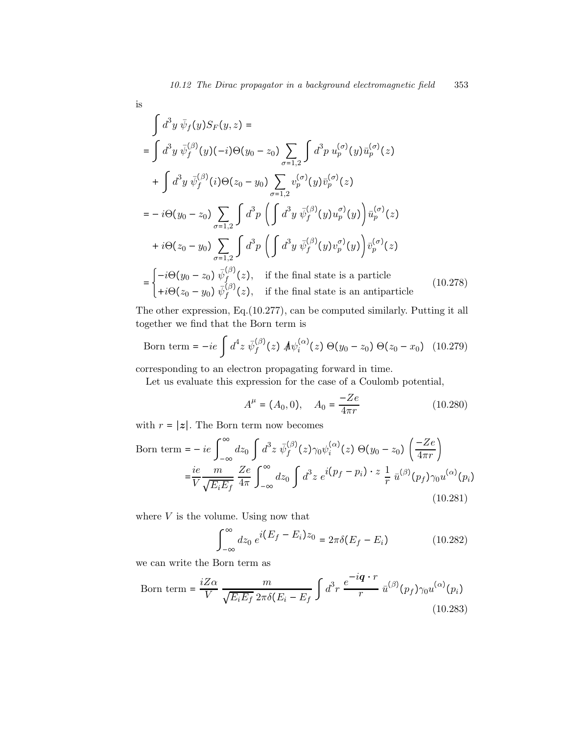$$
\mathrm{is}\,
$$

$$
\int d^3y \,\overline{\psi}_f(y)S_F(y,z) =
$$
\n
$$
= \int d^3y \,\overline{\psi}_f^{(\beta)}(y)(-i)\Theta(y_0 - z_0) \sum_{\sigma=1,2} \int d^3p \, u_p^{(\sigma)}(y)\overline{u}_p^{(\sigma)}(z)
$$
\n
$$
+ \int d^3y \,\overline{\psi}_f^{(\beta)}(i)\Theta(z_0 - y_0) \sum_{\sigma=1,2} v_p^{(\sigma)}(y)\overline{v}_p^{(\sigma)}(z)
$$
\n
$$
= -i\Theta(y_0 - z_0) \sum_{\sigma=1,2} \int d^3p \left( \int d^3y \,\overline{\psi}_f^{(\beta)}(y)u_p^{(\sigma)}(y) \right) \overline{u}_p^{(\sigma)}(z)
$$
\n
$$
+i\Theta(z_0 - y_0) \sum_{\sigma=1,2} \int d^3p \left( \int d^3y \,\overline{\psi}_f^{(\beta)}(y)v_p^{(\sigma)}(y) \right) \overline{v}_p^{(\sigma)}(z)
$$
\n
$$
= \begin{cases}\n-i\Theta(y_0 - z_0) \,\overline{\psi}_f^{(\beta)}(z), & \text{if the final state is a particle} \\
+i\Theta(z_0 - y_0) \,\overline{\psi}_f^{(\beta)}(z), & \text{if the final state is an antiparticle}\n\end{cases} (10.278)
$$

The other expression, Eq.(10.277), can be computed similarly. Putting it all together we find that the Born term is

Born term = 
$$
-ie \int d^4z \ \bar{\psi}_f^{(\beta)}(z) \ A \psi_i^{(\alpha)}(z) \ \Theta(y_0 - z_0) \ \Theta(z_0 - x_0) \tag{10.279}
$$

corresponding to an electron propagating forward in time.

Let us evaluate this expression for the case of a Coulomb potential,

$$
A^{\mu} = (A_0, 0), \quad A_0 = \frac{-Ze}{4\pi r}
$$
 (10.280)

with  $r = |z|$ . The Born term now becomes

Born term = 
$$
-ie \int_{-\infty}^{\infty} dz_0 \int d^3 z \ \bar{\psi}_f^{(\beta)}(z) \gamma_0 \psi_i^{(\alpha)}(z) \Theta(y_0 - z_0) \left(\frac{-Ze}{4\pi r}\right)
$$
  
\n
$$
= \frac{ie}{V} \frac{m}{\sqrt{E_i E_f}} \frac{Ze}{4\pi} \int_{-\infty}^{\infty} dz_0 \int d^3 z \ e^{i(p_f - p_i) \cdot z} \frac{1}{r} \bar{u}^{(\beta)}(p_f) \gamma_0 u^{(\alpha)}(p_i)
$$
\n(10.281)

where  $V$  is the volume. Using now that

$$
\int_{-\infty}^{\infty} dz_0 \ e^{i(E_f - E_i)z_0} = 2\pi \delta(E_f - E_i)
$$
 (10.282)

we can write the Born term as

Born term = 
$$
\frac{iZ\alpha}{V} \frac{m}{\sqrt{E_i E_f} 2\pi \delta(E_i - E_f)} \int d^3r \frac{e^{-i\boldsymbol{q} \cdot \boldsymbol{r}}}{r} \bar{u}^{(\beta)}(p_f) \gamma_0 u^{(\alpha)}(p_i)
$$
(10.283)